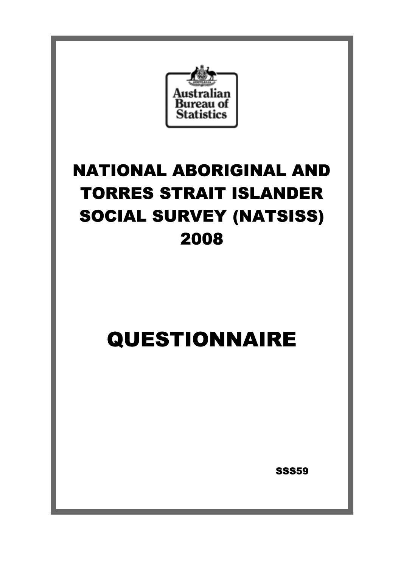

# NATIONAL ABORIGINAL AND TORRES STRAIT ISLANDER SOCIAL SURVEY (NATSISS) 2008

# QUESTIONNAIRE

**SSS59**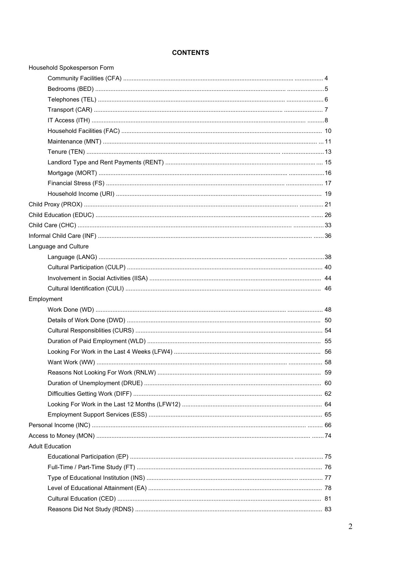# **CONTENTS**

| Household Spokesperson Form |  |
|-----------------------------|--|
|                             |  |
|                             |  |
|                             |  |
|                             |  |
|                             |  |
|                             |  |
|                             |  |
|                             |  |
|                             |  |
|                             |  |
|                             |  |
|                             |  |
|                             |  |
|                             |  |
|                             |  |
|                             |  |
| Language and Culture        |  |
|                             |  |
|                             |  |
|                             |  |
|                             |  |
| Employment                  |  |
|                             |  |
|                             |  |
|                             |  |
|                             |  |
|                             |  |
|                             |  |
|                             |  |
|                             |  |
|                             |  |
|                             |  |
|                             |  |
|                             |  |
|                             |  |
| <b>Adult Education</b>      |  |
|                             |  |
|                             |  |
|                             |  |
|                             |  |
|                             |  |
|                             |  |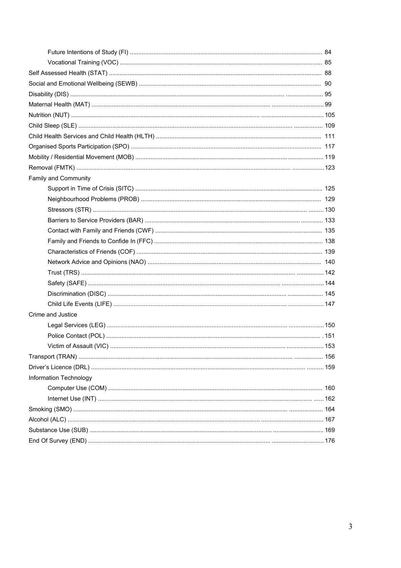| Family and Community   |  |
|------------------------|--|
|                        |  |
|                        |  |
|                        |  |
|                        |  |
|                        |  |
|                        |  |
|                        |  |
|                        |  |
|                        |  |
|                        |  |
|                        |  |
|                        |  |
| Crime and Justice      |  |
|                        |  |
|                        |  |
|                        |  |
|                        |  |
|                        |  |
| Information Technology |  |
|                        |  |
|                        |  |
|                        |  |
|                        |  |
|                        |  |
|                        |  |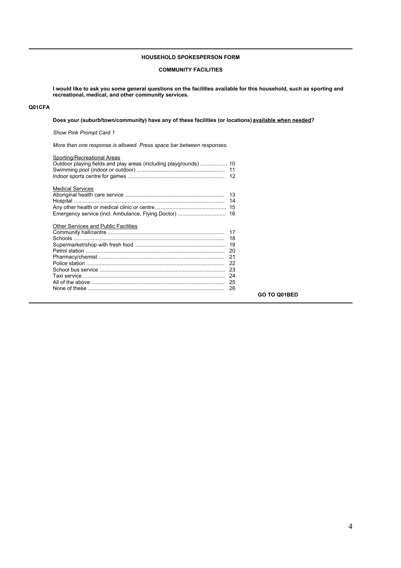## **HOUSEHOLD SPOKESPERSON FORM**

## **COMMUNITY FACILITIES**

**I would like to ask you some general questions on the facilities available for this household, such as sporting and recreational, medical, and other community services.** 

# **Q01CFA**

**Does your (suburb/town/community) have any of these facilities (or locations) available when needed?**

*Show Pink Prompt Card 1*

*More than one response is allowed. Press space bar between responses.*

| Sporting/Recreational Areas                 |                     |
|---------------------------------------------|---------------------|
| <b>Medical Services</b>                     | 14                  |
|                                             |                     |
| <b>Other Services and Public Facilities</b> |                     |
|                                             | 17                  |
|                                             | 18                  |
|                                             |                     |
|                                             | 20                  |
|                                             | 21                  |
|                                             |                     |
|                                             |                     |
|                                             | 24                  |
|                                             |                     |
|                                             | 26                  |
|                                             | <b>GO TO Q01BED</b> |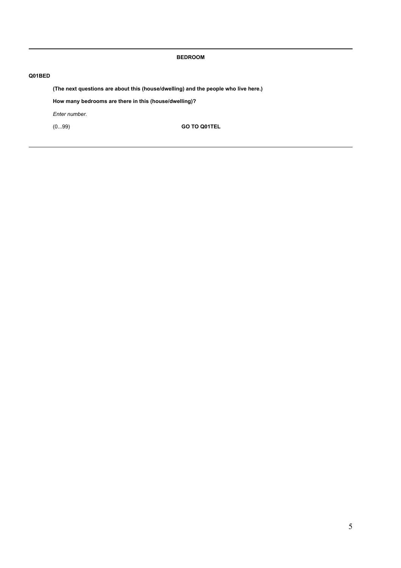**BEDROOM**

# **Q01BED**

**(The next questions are about this (house/dwelling) and the people who live here.)**

**How many bedrooms are there in this (house/dwelling)?**

*Enter number.*

(0...99) **GO TO Q01TEL**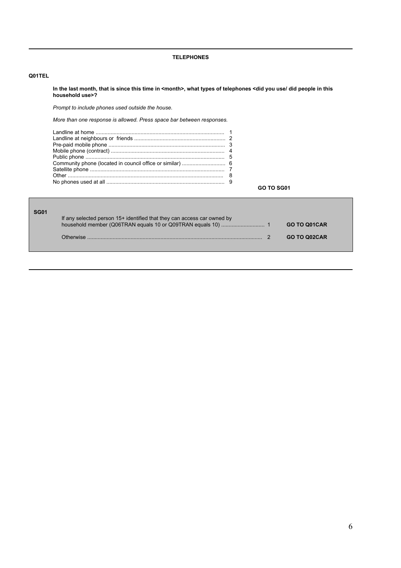## **TELEPHONES**

## **Q01TEL**

**In the last month, that is since this time in <month>, what types of telephones <did you use/ did people in this household use>?**

*Prompt to include phones used outside the house.*

*More than one response is allowed. Press space bar between responses.*

|  | <b>GO TO SG01</b> |  |
|--|-------------------|--|

| <b>SG01</b> | If any selected person 15+ identified that they can access car owned by |                     |
|-------------|-------------------------------------------------------------------------|---------------------|
|             |                                                                         | <b>GO TO Q01CAR</b> |
|             | Otherwise                                                               | <b>GO TO Q02CAR</b> |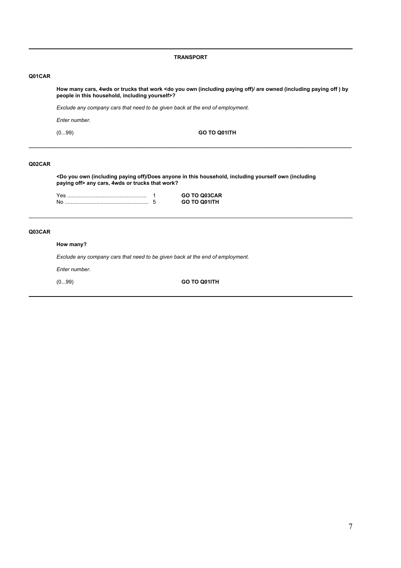#### **TRANSPORT**

## **Q01CAR**

**How many cars, 4wds or trucks that work <do you own (including paying off)/ are owned (including paying off ) by people in this household, including yourself>?**

*Exclude any company cars that need to be given back at the end of employment.*

*Enter number.*

(0...99) **GO TO Q01ITH**

## **Q02CAR**

**<Do you own (including paying off)/Does anyone in this household, including yourself own (including paying off> any cars, 4wds or trucks that work?**

**\_\_\_\_\_\_\_\_\_\_\_\_\_\_\_\_\_\_\_\_\_\_\_\_\_\_\_\_\_\_\_\_\_\_\_\_\_\_\_\_\_\_\_\_\_\_\_\_\_\_\_\_\_\_\_\_\_\_\_\_\_\_\_\_\_\_\_\_\_\_\_\_\_\_\_\_\_\_\_\_\_\_\_\_\_\_\_\_\_\_\_\_\_\_\_\_\_\_\_\_\_\_\_\_\_\_\_\_**

|  | <b>GO TO Q03CAR</b> |
|--|---------------------|
|  | <b>GO TO O01ITH</b> |

## **Q03CAR**

#### **How many?**

*Exclude any company cars that need to be given back at the end of employment.*

*Enter number.*

(0...99) **GO TO Q01ITH**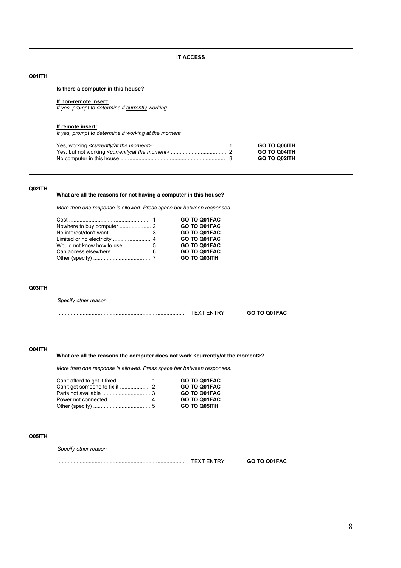**IT ACCESS**

## **Q01ITH**

**Is there a computer in this house?**

#### **If non-remote insert:**

*If yes, prompt to determine if currently working*

#### **If remote insert:**

*If yes, prompt to determine if working at the moment*

|  | <b>GO TO Q06ITH</b> |
|--|---------------------|
|  | <b>GO TO Q04ITH</b> |
|  | <b>GO TO Q02ITH</b> |

## **Q02ITH**

## **What are all the reasons for not having a computer in this house?**

*More than one response is allowed. Press space bar between responses.*

|  | GO TO Q01FAC        |
|--|---------------------|
|  | GO TO Q01FAC        |
|  | GO TO Q01FAC        |
|  | GO TO Q01FAC        |
|  | GO TO Q01FAC        |
|  | GO TO Q01FAC        |
|  | <b>GO TO Q03ITH</b> |
|  |                     |

#### **Q03ITH**

*Specify other reason*

...................................................................................... TEXT ENTRY **GO TO Q01FAC**

## **Q04ITH**

## What are all the reasons the computer does not work <currently/at the moment>?

*More than one response is allowed. Press space bar between responses.*

|  | GO TO Q01FAC        |
|--|---------------------|
|  | GO TO Q01FAC        |
|  | GO TO Q01FAC        |
|  | GO TO Q01FAC        |
|  | <b>GO TO Q05ITH</b> |
|  |                     |

### **Q05ITH**

*Specify other reason*

...................................................................................... TEXT ENTRY **GO TO Q01FAC**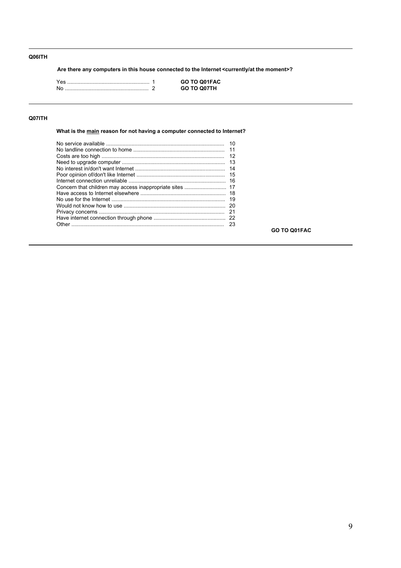# **Q06ITH**

**Are there any computers in this house connected to the Internet <currently/at the moment>?**

|  | GO TO Q01FAC       |
|--|--------------------|
|  | <b>GO TO O07TH</b> |

# **Q07ITH**

**What is the main reason for not having a computer connected to Internet?**

**GO TO Q01FAC**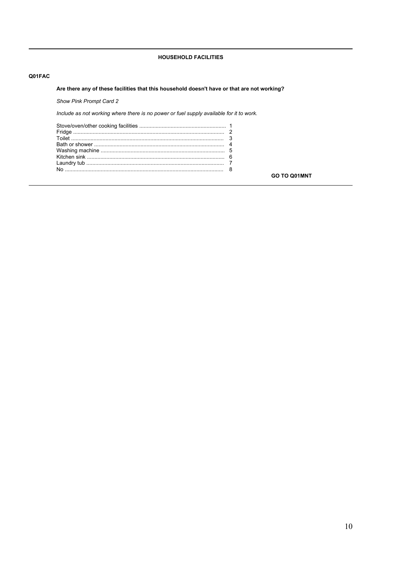# **HOUSEHOLD FACILITIES**

## Q01FAC

# Are there any of these facilities that this household doesn't have or that are not working?

Show Pink Prompt Card 2

Include as not working where there is no power or fuel supply available for it to work.

GO TO Q01MNT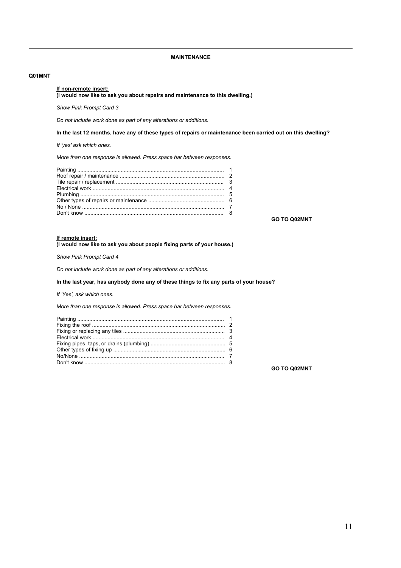## **MAINTENANCE**

#### **Q01MNT**

#### **If non-remote insert:**

**(I would now like to ask you about repairs and maintenance to this dwelling.)**

#### *Show Pink Prompt Card 3*

*Do not include work done as part of any alterations or additions.*

#### **In the last 12 months, have any of these types of repairs or maintenance been carried out on this dwelling?**

*If 'yes' ask which ones.*

*More than one response is allowed. Press space bar between responses.*

**GO TO Q02MNT**

# **If remote insert:**

**(I would now like to ask you about people fixing parts of your house.)**

*Show Pink Prompt Card 4*

*Do not include work done as part of any alterations or additions.*

# **In the last year, has anybody done any of these things to fix any parts of your house?**

*If 'Yes', ask which ones.*

*More than one response is allowed. Press space bar between responses.*

**GO TO Q02MNT**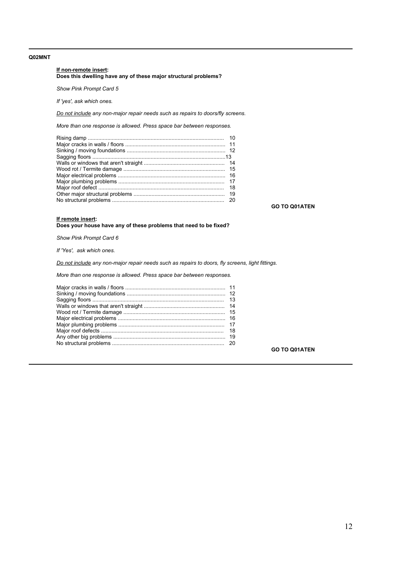## **Q02MNT**

#### **If non-remote insert: Does this dwelling have any of these major structural problems?**

*Show Pink Prompt Card 5*

*If 'yes', ask which ones.*

*Do not include any non-major repair needs such as repairs to doors/fly screens.*

*More than one response is allowed. Press space bar between responses.*

| 20 |  |
|----|--|
|    |  |
|    |  |
|    |  |
|    |  |
|    |  |
|    |  |
|    |  |
|    |  |
|    |  |
|    |  |

**GO TO Q01ATEN**

#### **If remote insert:**

**Does your house have any of these problems that need to be fixed?**

*Show Pink Prompt Card 6*

*If 'Yes', ask which ones.* 

*Do not include any non-major repair needs such as repairs to doors, fly screens, light fittings.*

*More than one response is allowed. Press space bar between responses.*

**GO TO Q01ATEN**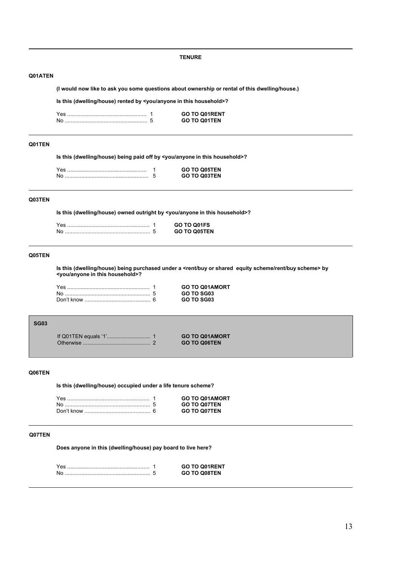**(I would now like to ask you some questions about ownership or rental of this dwelling/house.) Is this (dwelling/house) rented by <you/anyone in this household>?** Yes ..................................................... 1 **GO TO Q01RENT** No ....................................................... 5 **GO TO Q01TEN Is this (dwelling/house) being paid off by <you/anyone in this household>?**

**TENURE**

|  | <b>GO TO Q05TEN</b> |
|--|---------------------|
|  | <b>GO TO Q03TEN</b> |

## **Q03TEN**

**Q01TEN**

**Q01ATEN**

**Is this (dwelling/house) owned outright by <you/anyone in this household>?**

|  | GO TO O01FS  |
|--|--------------|
|  | GO TO O05TEN |

## **Q05TEN**

**Is this (dwelling/house) being purchased under a <rent/buy or shared equity scheme/rent/buy scheme> by <you/anyone in this household>?**

| Yes | <b>GO TO Q01AMORT</b> |
|-----|-----------------------|
|     | GO TO SG03            |
|     | GO TO SG03            |

## **SG03**

| <b>GO TO Q01AMORT</b> |
|-----------------------|
| <b>GO TO Q06TEN</b>   |

# **Q06TEN**

**Is this (dwelling/house) occupied under a life tenure scheme?**

|  | <b>GO TO Q01AMORT</b> |
|--|-----------------------|
|  | <b>GO TO Q07TEN</b>   |
|  | <b>GO TO Q07TEN</b>   |

## **Q07TEN**

**Does anyone in this (dwelling/house) pay board to live here?**

|  | <b>GO TO Q01RENT</b> |
|--|----------------------|
|  | <b>GO TO Q08TEN</b>  |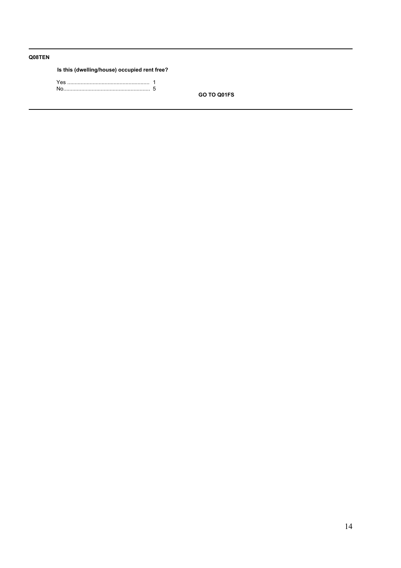# **Q08TEN**

## **Is this (dwelling/house) occupied rent free?**

Yes ....................................................... 1 No.......................................................... 5

**GO TO Q01FS**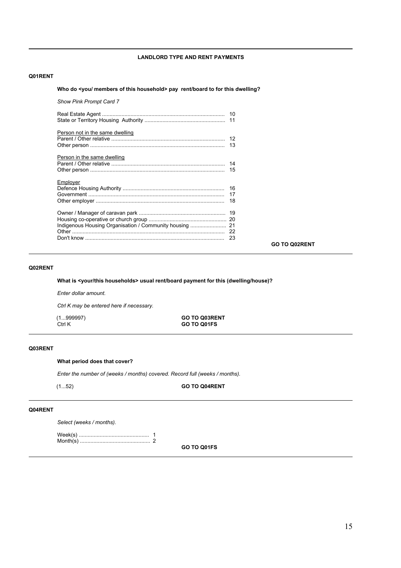## **LANDLORD TYPE AND RENT PAYMENTS**

## **Q01RENT**

#### **Who do <you/ members of this household> pay rent/board to for this dwelling?**

| <b>Show Pink Prompt Card 7</b>  |                      |
|---------------------------------|----------------------|
|                                 |                      |
| Person not in the same dwelling |                      |
| Person in the same dwelling     |                      |
| Employer                        |                      |
|                                 | <b>GO TO Q02RENT</b> |
|                                 |                      |

## **Q02RENT**

**What is <your/this households> usual rent/board payment for this (dwelling/house)?**

*Enter dollar amount.*

*Ctrl K may be entered here if necessary.*

(1...999997) **GO TO Q03RENT** Ctrl K **GO TO Q01FS**

## **Q03RENT**

#### **What period does that cover?**

*Enter the number of (weeks / months) covered. Record full (weeks / months).*

#### (1...52) **GO TO Q04RENT**

## **Q04RENT**

*Select (weeks / months).*

Week(s) ............................................... 1 Month(s) ............................................... 2

**GO TO Q01FS**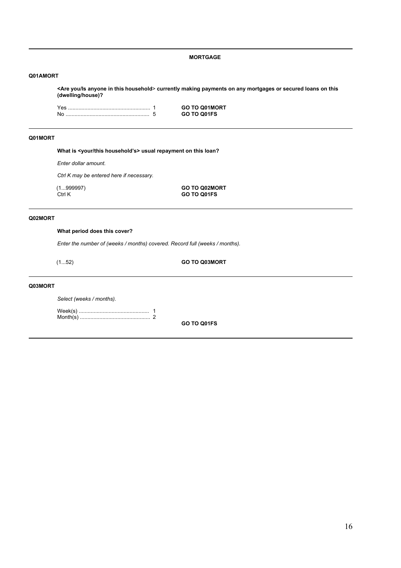## **MORTGAGE**

#### **Q01AMORT**

**<Are you/Is anyone in this household**> **currently making payments on any mortgages or secured loans on this (dwelling/house)?**

Yes ....................................................... 1 **GO TO Q01MORT** No ........................................................ 5 **GO TO Q01FS**

## **Q01MORT**

What is <your/this household's> usual repayment on this loan?

*Enter dollar amount.*

*Ctrl K may be entered here if necessary.*

(1...999997) **GO TO Q02MORT** Ctrl K **GO TO Q01FS**

## **Q02MORT**

#### **What period does this cover?**

*Enter the number of (weeks / months) covered. Record full (weeks / months).*

(1...52) **GO TO Q03MORT**

#### **Q03MORT**

*Select (weeks / months).*

Week(s) ............................................... 1 Month(s) ............................................... 2

**GO TO Q01FS**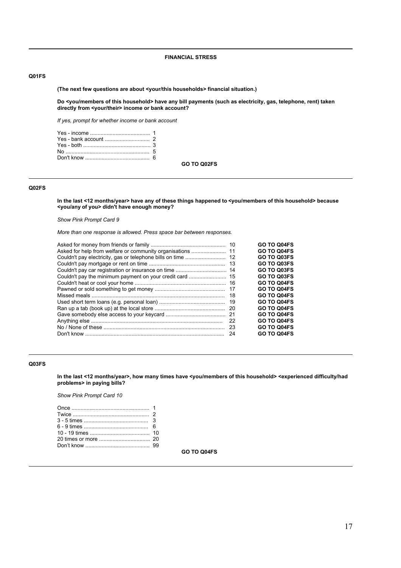## **FINANCIAL STRESS**

## **Q01FS**

**(The next few questions are about <your/this households> financial situation.)**

**Do <you/members of this household> have any bill payments (such as electricity, gas, telephone, rent) taken directly from <your/their> income or bank account?**

*If yes, prompt for whether income or bank account*

**GO TO Q02FS**

## **Q02FS**

**In the last <12 months/year> have any of these things happened to <you/members of this household> because <you/any of you> didn't have enough money?**

*Show Pink Prompt Card 9*

*More than one response is allowed. Press space bar between responses.*

|     | GO TO Q04FS |
|-----|-------------|
|     | GO TO Q04FS |
|     | GO TO Q03FS |
|     | GO TO Q03FS |
|     | GO TO Q03FS |
|     | GO TO Q03FS |
|     | GO TO Q04FS |
|     | GO TO Q04FS |
| 18  | GO TO Q04FS |
| -19 | GO TO Q04FS |
| -20 | GO TO Q04FS |
|     | GO TO Q04FS |
| 22  | GO TO Q04FS |
| -23 | GO TO Q04FS |
| 24  | GO TO Q04FS |
|     |             |

## **Q03FS**

**In the last <12 months/year>, how many times have <you/members of this household> <experienced difficulty/had problems> in paying bills?**

*Show Pink Prompt Card 10*

**GO TO Q04FS**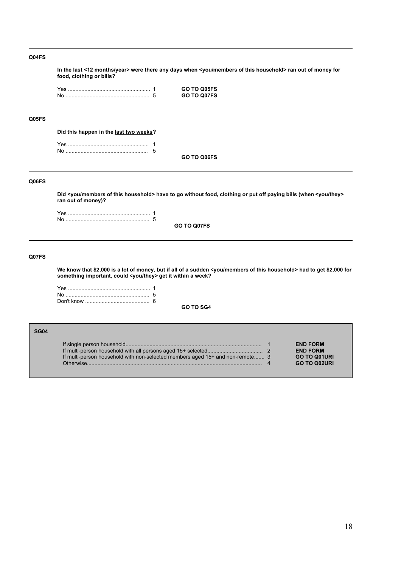## **Q04FS**

**In the last <12 months/year> were there any days when <you/members of this household> ran out of money for food, clothing or bills?**

Yes ....................................................... 1 **GO TO Q05FS**

#### **Q05FS**

**Did this happen in the last two weeks?**

**GO TO Q06FS**

# **Q06FS**

**Did <you/members of this household> have to go without food, clothing or put off paying bills (when <you/they> ran out of money)?**

**GO TO Q07FS**

# **Q07FS**

**SG04**

**We know that \$2,000 is a lot of money, but if all of a sudden <you/members of this household> had to get \$2,000 for something important, could <you/they> get it within a week?**

**GO TO SG4**

| 304                                                                                        |                                                                                  |
|--------------------------------------------------------------------------------------------|----------------------------------------------------------------------------------|
| If multi-person household with non-selected members aged 15+ and non-remote 3<br>Otherwise | <b>END FORM</b><br><b>END FORM</b><br><b>GO TO Q01URI</b><br><b>GO TO Q02URI</b> |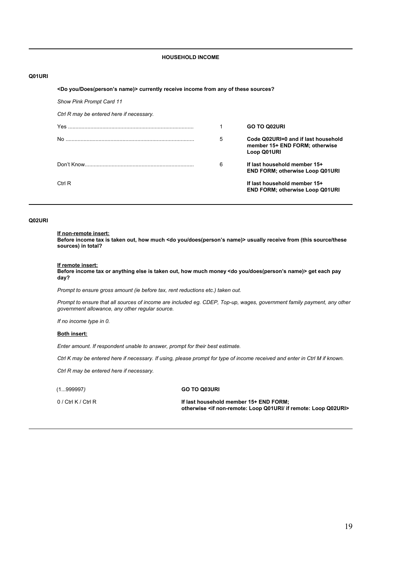## **HOUSEHOLD INCOME**

## **Q01URI**

#### **<Do you/Does(personís name)> currently receive income from any of these sources?**

*Show Pink Prompt Card 11*

| Ctrl R may be entered here if necessary. |   |                                                                                      |
|------------------------------------------|---|--------------------------------------------------------------------------------------|
|                                          |   | <b>GO TO Q02URI</b>                                                                  |
|                                          | 5 | Code Q02URI=0 and if last household<br>member 15+ END FORM; otherwise<br>Loop Q01URI |
|                                          | 6 | If last household member 15+<br><b>END FORM: otherwise Loop Q01URI</b>               |
| Ctrl R                                   |   | If last household member 15+<br><b>END FORM: otherwise Loop Q01URI</b>               |

## **Q02URI**

#### **If non-remote insert:**

**Before income tax is taken out, how much <do you/does(personís name)> usually receive from (this source/these sources) in total?**

#### **If remote insert:**

**Before income tax or anything else is taken out, how much money <do you/does(personís name)> get each pay day?**

*Prompt to ensure gross amount (ie before tax, rent reductions etc.) taken out.*

*Prompt to ensure that all sources of income are included eg. CDEP, Top-up, wages, government family payment, any other government allowance, any other regular source.*

*If no income type in 0.*

#### **Both insert:**

*Enter amount. If respondent unable to answer, prompt for their best estimate.*

*Ctrl K may be entered here if necessary. If using, please prompt for type of income received and enter in Ctrl M if known.*

*Ctrl R may be entered here if necessary.*

## (1...999997*)* **GO TO Q03URI**

0 / Ctrl K / Ctrl R **If last household member 15+ END FORM; otherwise <if non-remote: Loop Q01URI/ if remote: Loop Q02URI>**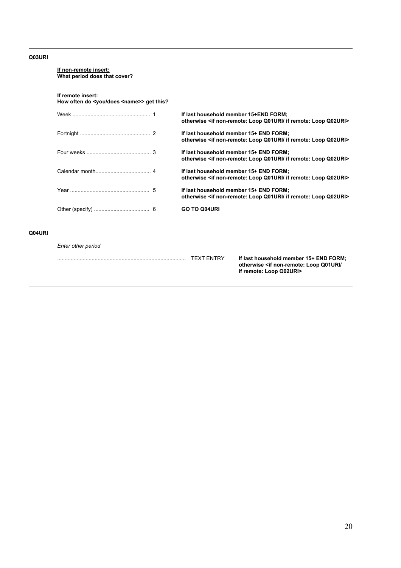## **Q03URI**

| If remote insert:<br>How often do <you <name="" does="">&gt; get this?</you> |                                                                                                                           |
|------------------------------------------------------------------------------|---------------------------------------------------------------------------------------------------------------------------|
|                                                                              | If last household member 15+END FORM;<br>otherwise <if if="" loop="" non-remote:="" q01uri="" q02uri="" remote:=""></if>  |
|                                                                              | If last household member 15+ END FORM;<br>otherwise <if if="" loop="" non-remote:="" q01uri="" q02uri="" remote:=""></if> |
|                                                                              | If last household member 15+ END FORM;<br>otherwise <if if="" loop="" non-remote:="" q01uri="" q02uri="" remote:=""></if> |
|                                                                              | If last household member 15+ END FORM;<br>otherwise <if if="" loop="" non-remote:="" q01uri="" q02uri="" remote:=""></if> |
|                                                                              | If last household member 15+ END FORM;<br>otherwise <if if="" loop="" non-remote:="" q01uri="" q02uri="" remote:=""></if> |
|                                                                              | <b>GO TO Q04URI</b>                                                                                                       |

...................................................................................... TEXT ENTRY **If last household member 15+ END FORM; otherwise <if non-remote: Loop Q01URI/ if remote: Loop Q02URI>**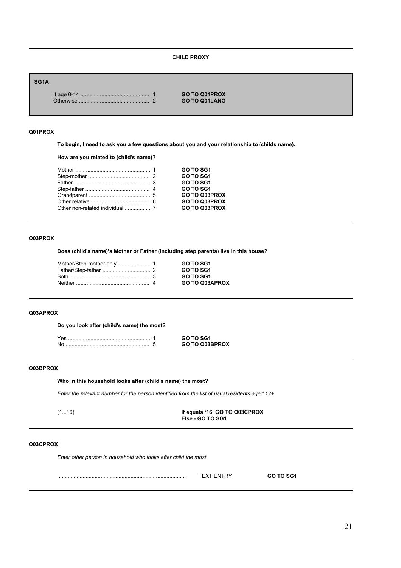## **CHILD PROXY**

## **SG1A**

If age 0-14 .............................................. 1 **GO TO Q01PROX** Otherwise ............................................... 2 **GO TO Q01LANG**

# **Q01PROX**

**To begin, I need to ask you a few questions about you and your relationship to (childs name).**

**How are you related to (child's name)?**

|  | GO TO SG1            |
|--|----------------------|
|  | <b>GO TO SG1</b>     |
|  | <b>GO TO SG1</b>     |
|  | <b>GO TO SG1</b>     |
|  | <b>GO TO Q03PROX</b> |
|  | <b>GO TO Q03PROX</b> |
|  | <b>GO TO Q03PROX</b> |
|  |                      |

#### **Q03PROX**

**Does (child's name)ís Mother or Father (including step parents) live in this house?**

| <b>GO TO SG1</b>      |
|-----------------------|
| <b>GO TO SG1</b>      |
| <b>GO TO SG1</b>      |
| <b>GO TO Q03APROX</b> |
|                       |

#### **Q03APROX**

**Do you look after (child's name) the most?**

|  | GO TO Q03BPROX |
|--|----------------|

# **Q03BPROX**

**Who in this household looks after (child's name) the most?**

*Enter the relevant number for the person identified from the list of usual residents aged 12+*

| 1161<br> |  |
|----------|--|
|          |  |

(1...16) **If equals ë16í GO TO Q03CPROX Else - GO TO SG1**

### **Q03CPROX**

*Enter other person in household who looks after child the most*

| .<br>---- |  |
|-----------|--|
|           |  |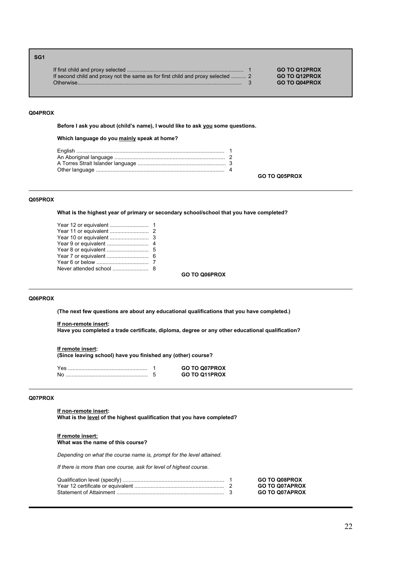| SG <sub>1</sub> |                                                                                 |                      |
|-----------------|---------------------------------------------------------------------------------|----------------------|
|                 |                                                                                 | <b>GO TO Q12PROX</b> |
|                 | If second child and proxy not the same as for first child and proxy selected  2 | <b>GO TO Q12PROX</b> |
|                 | Otherwise                                                                       | <b>GO TO Q04PROX</b> |

#### **Q04PROX**

Before I ask you about (child's name), I would like to ask you some questions.

## **Which language do you mainly speak at home?**

**GO TO Q05PROX**

## **Q05PROX**

**What is the highest year of primary or secondary school/school that you have completed?**

**GO TO Q06PROX**

## **Q06PROX**

**(The next few questions are about any educational qualifications that you have completed.)**

## **If non-remote insert:**

**Have you completed a trade certificate, diploma, degree or any other educational qualification?**

#### **If remote insert:**

**(Since leaving school) have you finished any (other) course?**

|  | <b>GO TO Q07PROX</b> |
|--|----------------------|
|  | GO TO 011PROX        |

## **Q07PROX**

**If non-remote insert: What is the level of the highest qualification that you have completed?**

#### **If remote insert: What was the name of this course?**

*Depending on what the course name is, prompt for the level attained.*

*If there is more than one course, ask for level of highest course.*

|  | <b>GO TO Q08PROX</b>  |
|--|-----------------------|
|  | <b>GO TO Q07APROX</b> |
|  | <b>GO TO Q07APROX</b> |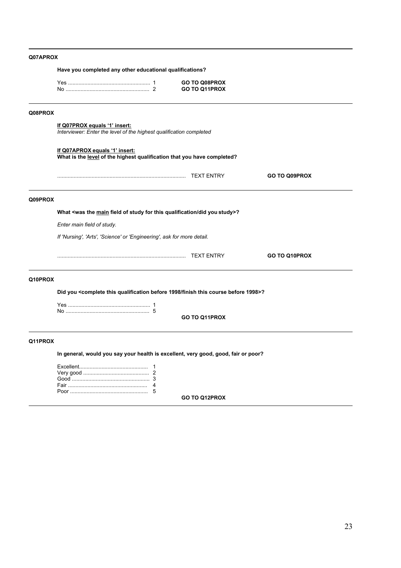# **Q07APROX**

|         | Have you completed any other educational qualifications?                                                  |  |                                |               |  |
|---------|-----------------------------------------------------------------------------------------------------------|--|--------------------------------|---------------|--|
|         |                                                                                                           |  | GO TO Q08PROX<br>GO TO Q11PROX |               |  |
| Q08PROX |                                                                                                           |  |                                |               |  |
|         | If Q07PROX equals '1' insert:<br>Interviewer: Enter the level of the highest qualification completed      |  |                                |               |  |
|         | If Q07APROX equals '1' insert:<br>What is the level of the highest qualification that you have completed? |  |                                |               |  |
|         |                                                                                                           |  |                                | GO TO Q09PROX |  |
| Q09PROX |                                                                                                           |  |                                |               |  |
|         | What <was did="" field="" for="" main="" of="" qualification="" study="" the="" this="" you="">?</was>    |  |                                |               |  |
|         | Enter main field of study.                                                                                |  |                                |               |  |
|         | If 'Nursing', 'Arts', 'Science' or 'Engineering', ask for more detail.                                    |  |                                |               |  |
|         |                                                                                                           |  |                                | GO TO Q10PROX |  |
| Q10PROX |                                                                                                           |  |                                |               |  |
|         | Did you <complete 1998="" before="" course="" finish="" qualification="" this="">?</complete>             |  |                                |               |  |
|         |                                                                                                           |  | <b>GO TO Q11PROX</b>           |               |  |
|         |                                                                                                           |  |                                |               |  |
| Q11PROX |                                                                                                           |  |                                |               |  |
|         | In general, would you say your health is excellent, very good, good, fair or poor?                        |  |                                |               |  |
|         |                                                                                                           |  |                                |               |  |

**GO TO Q12PROX**

Poor .................................................... 5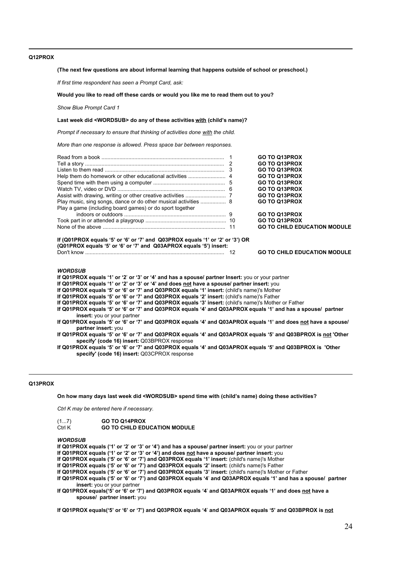## **Q12PROX**

#### **(The next few questions are about informal learning that happens outside of school or preschool.)**

*If first time respondent has seen a Prompt Card, ask:*

#### **Would you like to read off these cards or would you like me to read them out to you?**

*Show Blue Prompt Card 1*

#### Last week did <WORDSUB> do any of these activities with (child's name)?

*Prompt if necessary to ensure that thinking of activities done with the child.*

*More than one response is allowed. Press space bar between responses.*

| Play a game (including board games) or do sport together | <b>GO TO Q13PROX</b><br><b>GO TO Q13PROX</b><br><b>GO TO Q13PROX</b><br><b>GO TO Q13PROX</b><br><b>GO TO Q13PROX</b><br><b>GO TO Q13PROX</b><br><b>GO TO Q13PROX</b><br><b>GO TO Q13PROX</b> |
|----------------------------------------------------------|----------------------------------------------------------------------------------------------------------------------------------------------------------------------------------------------|
|                                                          | <b>GO TO Q13PROX</b>                                                                                                                                                                         |
|                                                          | <b>GO TO Q13PROX</b>                                                                                                                                                                         |
|                                                          | <b>GO TO CHILD EDUCATION MODULE</b>                                                                                                                                                          |

## **If (Q01PROX equals '5' or '6' or '7' and Q03PROX equals '1' or '2' or '3') OR (Q01PROX equals ë5í or ë6í or ë7í and Q03APROX equals ë5í) insert:**

Don't know ............................................................................................. 12 **GO TO CHILD EDUCATION MODULE**

#### *WORDSUB*

If Q01PROX equals '1' or '2' or '3' or '4' and has a spouse/ partner Insert: you or your partner

If Q01PROX equals '1' or '2' or '3' or '4' and does not have a spouse/ partner insert: you

**If Q01PROX equals '5' or '6' or '7' and Q03PROX equals '1' insert:** (child's name)'s Mother

If Q01PROX equals '5' or '6' or '7' and Q03PROX equals '2' insert: (child's name)'s Father

If Q01PROX equals '5' or '6' or '7' and Q03PROX equals '3' insert: (child's name)'s Mother or Father

**If Q01PROX equals ë5í or ë6í or ë7í and Q03PROX equals ë4í and Q03APROX equals ë1í and has a spouse/ partner insert:** you or your partner

- **If Q01PROX equals í5í or ë6í or ë7í and Q03PROX equals ë4í and Q03APROX equals ë1í and does not have a spouse/ partner insert:** you
- **If Q01PROX equals ë5í or ë6í or ë7í and Q03PROX equals ë4í and Q03APROX equals ë5í and Q03BPROX is not 'Other specify' (code 16) insert:** Q03BPROX response

If Q01PROX equals '5' or '6' or '7' and Q03PROX equals '4' and Q03APROX equals '5' and Q03BPROX is 'Other **specify' (code 16) insert:** Q03CPROX response

#### **Q13PROX**

#### **On how many days last week did <WORDSUB> spend time with (childís name) doing these activities?**

*Ctrl K may be entered here if necessary.*

| (17)   | <b>GO TO Q14PROX</b>                |
|--------|-------------------------------------|
| Ctrl K | <b>GO TO CHILD EDUCATION MODULE</b> |

#### *WORDSUB*

If Q01PROX equals ('1' or '2' or '3' or '4') and has a spouse/ partner insert: you or your partner

If Q01PROX equals ('1' or '2' or '3' or '4') and does not have a spouse/ partner insert: you

**If Q01PROX equals ('5' or '6' or '7') and Q03PROX equals '1' insert:** (child's name)'s Mother

If Q01PROX equals ('5' or '6' or '7') and Q03PROX equals '2' insert: (child's name)'s Father

**If Q01PROX equals (ë5í or ë6í or ë7í) and Q03PROX equals í3í insert:** (child's name)'s Mother or Father

**If Q01PROX equals (ë5í or ë6í or ë7í) and Q03PROX equals ë4**í **and Q03APROX equals ë1í and has a spouse/ partner insert:** you or your partner

If Q01PROX equals('5' or '6' or '7') and Q03PROX equals '4' and Q03APROX equals '1' and does not have a **spouse/ partner insert:** you

**If Q01PROX equals(ë5í or ë6í or ë7í) and Q03PROX equals ë4**í **and Q03APROX equals ë5í and Q03BPROX is not**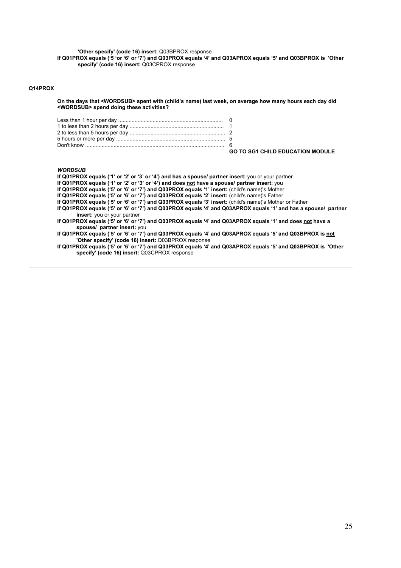**'Other specify' (code 16) insert:** Q03BPROX response **If Q01PROX equals (ë5 ëor ë6í or ë7í) and Q03PROX equals ë4í and Q03APROX equals ë5í and Q03BPROX is 'Other specify' (code 16) insert:** Q03CPROX response

## **Q14PROX**

**On the days that <WORDSUB> spent with (childís name) last week, on average how many hours each day did <WORDSUB> spend doing these activities?**

| <b>GO TO SG1 CHILD EDUCATION MODULE</b> |
|-----------------------------------------|

## *WORDSUB*

| If Q01PROX equals ('1' or '2' or '3' or '4') and has a spouse/ partner insert: you or your partner                                                              |
|-----------------------------------------------------------------------------------------------------------------------------------------------------------------|
| If Q01PROX equals ('1' or '2' or '3' or '4') and does not have a spouse/ partner insert: you                                                                    |
| If Q01PROX equals ('5' or '6' or '7') and Q03PROX equals '1' insert: (child's name)'s Mother                                                                    |
| If Q01PROX equals ('5' or '6' or '7') and Q03PROX equals '2' insert: (child's name)'s Father                                                                    |
| If Q01PROX equals ('5' or '6' or '7') and Q03PROX equals '3' insert: (child's name)'s Mother or Father                                                          |
| If Q01PROX equals ('5' or '6' or '7') and Q03PROX equals '4' and Q03APROX equals '1' and has a spouse/ partner<br>insert: you or your partner                   |
| If Q01PROX equals ('5' or '6' or '7') and Q03PROX equals '4' and Q03APROX equals '1' and does not have a<br>spouse/ partner insert: you                         |
| If Q01PROX equals ('5' or '6' or '7') and Q03PROX equals '4' and Q03APROX equals '5' and Q03BPROX is not<br>'Other specify' (code 16) insert: Q03BPROX response |
| If Q01PROX equals ('5' or '6' or '7') and Q03PROX equals '4' and Q03APROX equals '5' and Q03BPROX is l'Other<br>specify' (code 16) insert: Q03CPROX response    |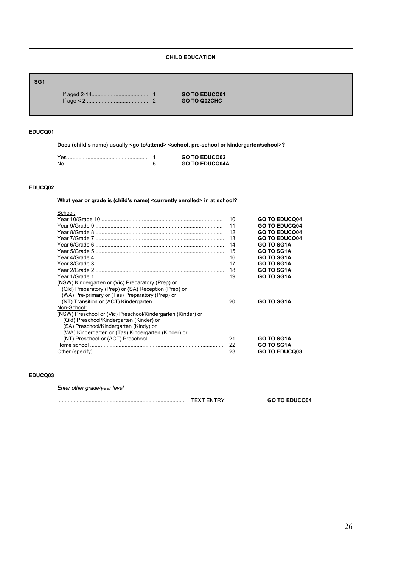# **CHILD EDUCATION**

# **SG1**

If aged 2-14....................................... 1 **GO TO EDUCQ01** If age < 2 .......................................... 2 **GO TO Q02CHC**

## **EDUCQ01**

Does (child's name) usually <go to/attend> <school, pre-school or kindergarten/school>?

| Yes | <b>GO TO EDUCQ02</b>  |
|-----|-----------------------|
| No  | <b>GO TO EDUCQ04A</b> |

#### **EDUCQ02**

What year or grade is (child's name) <currently enrolled> in at school?

|                                                             | 10  | <b>GO TO EDUCQ04</b> |
|-------------------------------------------------------------|-----|----------------------|
|                                                             | 11  | <b>GO TO EDUCQ04</b> |
|                                                             | 12  | <b>GO TO EDUCQ04</b> |
|                                                             | 13  | <b>GO TO EDUCQ04</b> |
|                                                             | 14  | <b>GO TO SG1A</b>    |
|                                                             | 15  | <b>GO TO SG1A</b>    |
|                                                             | 16  | <b>GO TO SG1A</b>    |
|                                                             | 17  | <b>GO TO SG1A</b>    |
|                                                             | 18  | <b>GO TO SG1A</b>    |
|                                                             | 19  | <b>GO TO SG1A</b>    |
| (NSW) Kindergarten or (Vic) Preparatory (Prep) or           |     |                      |
| (Qld) Preparatory (Prep) or (SA) Reception (Prep) or        |     |                      |
| (WA) Pre-primary or (Tas) Preparatory (Prep) or             |     |                      |
|                                                             |     | <b>GO TO SG1A</b>    |
| Non-School:                                                 |     |                      |
| (NSW) Preschool or (Vic) Preschool/Kindergarten (Kinder) or |     |                      |
| (Qld) Preschool/Kindergarten (Kinder) or                    |     |                      |
| (SA) Preschool/Kindergarten (Kindy) or                      |     |                      |
| (WA) Kindergarten or (Tas) Kindergarten (Kinder) or         |     |                      |
|                                                             |     | <b>GO TO SG1A</b>    |
|                                                             | -22 | <b>GO TO SG1A</b>    |
|                                                             | 23  | <b>GO TO EDUCQ03</b> |

## **EDUCQ03**

*Enter other grade/year level*

| ∼<br>`IN. | <b>GO TO EDUCQ04</b> |
|-----------|----------------------|
|           |                      |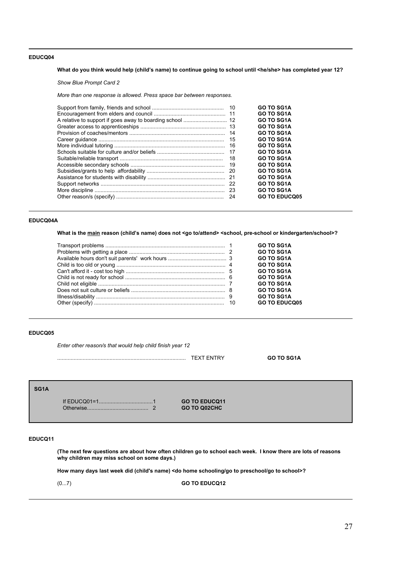What do you think would help (child's name) to continue going to school until <he/she> has completed year 12?

*Show Blue Prompt Card 2*

*More than one response is allowed. Press space bar between responses.*

| 15<br>18 | <b>GO TO SG1A</b><br><b>GO TO SG1A</b><br><b>GO TO SG1A</b><br><b>GO TO SG1A</b><br><b>GO TO SG1A</b><br><b>GO TO SG1A</b><br><b>GO TO SG1A</b><br><b>GO TO SG1A</b><br><b>GO TO SG1A</b><br><b>GO TO SG1A</b><br><b>GO TO SG1A</b> |
|----------|-------------------------------------------------------------------------------------------------------------------------------------------------------------------------------------------------------------------------------------|
| -24      | <b>GO TO SG1A</b><br><b>GO TO SG1A</b><br><b>GO TO SG1A</b><br><b>GO TO EDUCQ05</b>                                                                                                                                                 |

## **EDUCQ04A**

What is the main reason (child's name) does not <go to/attend> <school, pre-school or kindergarten/school>?

|  | <b>GO TO SG1A</b>    |
|--|----------------------|
|  | <b>GO TO SG1A</b>    |
|  | <b>GO TO SG1A</b>    |
|  | <b>GO TO SG1A</b>    |
|  | <b>GO TO SG1A</b>    |
|  | <b>GO TO SG1A</b>    |
|  | <b>GO TO SG1A</b>    |
|  | <b>GO TO SG1A</b>    |
|  | <b>GO TO SG1A</b>    |
|  | <b>GO TO EDUCO05</b> |

## **EDUCQ05**

*Enter other reason/s that would help child finish year 12*

...................................................................................... TEXT ENTRY **GO TO SG1A**

# **SG1A**

If EDUCQ01=1....................................1 **GO TO EDUCQ11** Otherwise......................................... 2 **GO TO Q02CHC**

## **EDUCQ11**

**(The next few questions are about how often children go to school each week. I know there are lots of reasons why children may miss school on some days.)**

**How many days last week did (child's name) <do home schooling/go to preschool/go to school>?** 

(0...7) **GO TO EDUCQ12**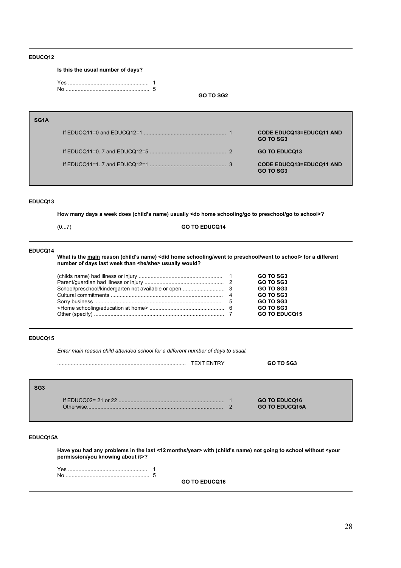# **Is this the usual number of days?**

| Yes |  |
|-----|--|
|     |  |

**GO TO SG2**

| SG <sub>1</sub> A |                                                     |
|-------------------|-----------------------------------------------------|
|                   | <b>CODE EDUCQ13=EDUCQ11 AND</b><br><b>GO TO SG3</b> |
|                   | <b>GO TO EDUCQ13</b>                                |
|                   | <b>CODE EDUCQ13=EDUCQ11 AND</b><br>GO TO SG3        |

## **EDUCQ13**

How many days a week does (child's name) usually <do home schooling/go to preschool/go to school>?

(0...7) **GO TO EDUCQ14**

#### **EDUCQ14**

What is the main reason (child's name) <did home schooling/went to preschool/went to school> for a different **number of days last week than <he/she> usually would?**

|  | GO TO SG3            |
|--|----------------------|
|  |                      |
|  | <b>GO TO SG3</b>     |
|  | <b>GO TO SG3</b>     |
|  | GO TO SG3            |
|  | GO TO SG3            |
|  | GO TO SG3            |
|  | <b>GO TO EDUCO15</b> |
|  |                      |

# **EDUCQ15**

*Enter main reason child attended school for a different number of days to usual.*

|                 |           | <b>TEXT ENTRY</b> |          | GO TO SG3                                     |  |
|-----------------|-----------|-------------------|----------|-----------------------------------------------|--|
| SG <sub>3</sub> | ∩thenwise |                   | $\Omega$ | <b>GO TO EDUCQ16</b><br><b>GO TO EDUCQ15A</b> |  |

#### **EDUCQ15A**

**Have you had any problems in the last <12 months/year> with (childís name) not going to school without <your permission/you knowing about it>?**

Yes ..................................................... 1 No ........................................................ 5

**GO TO EDUCQ16**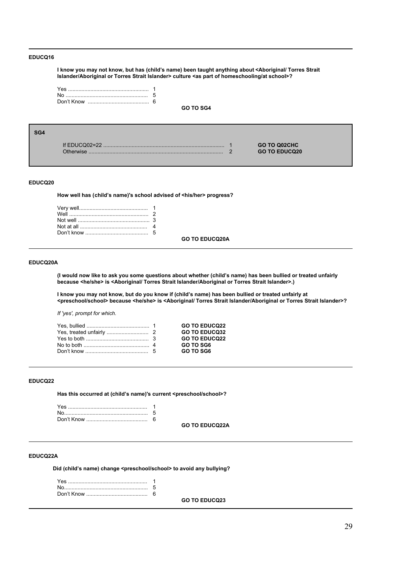**I know you may not know, but has (childís name) been taught anything about <Aboriginal/ Torres Strait Islander/Aboriginal or Torres Strait Islander> culture <as part of homeschooling/at school>?**

**GO TO SG4**

| SG <sub>4</sub> |           |                                             |  |
|-----------------|-----------|---------------------------------------------|--|
|                 | Otherwise | <b>GO TO Q02CHC</b><br><b>GO TO EDUCQ20</b> |  |

## **EDUCQ20**

How well has (child's name)'s school advised of <his/her> progress?

**GO TO EDUCQ20A**

## **EDUCQ20A**

**(I would now like to ask you some questions about whether (childís name) has been bullied or treated unfairly because <he/she> is <Aboriginal/ Torres Strait Islander/Aboriginal or Torres Strait Islander>.)**

I know you may not know, but do you know if (child's name) has been bullied or treated unfairly at **<preschool/school> because <he/she> is <Aboriginal/ Torres Strait Islander/Aboriginal or Torres Strait Islander>?**

*If 'yes', prompt for which.* 

|  | <b>GO TO EDUCQ22</b> |
|--|----------------------|
|  | <b>GO TO EDUCO32</b> |
|  | <b>GO TO EDUCQ22</b> |
|  | GO TO SG6            |
|  | GO TO SG6            |

## **EDUCQ22**

Has this occurred at (child's name)'s current <preschool/school>?

**GO TO EDUCQ22A**

#### **EDUCQ22A**

Did (child's name) change <preschool/school> to avoid any bullying?

| 6 |
|---|
|   |

**GO TO EDUCQ23**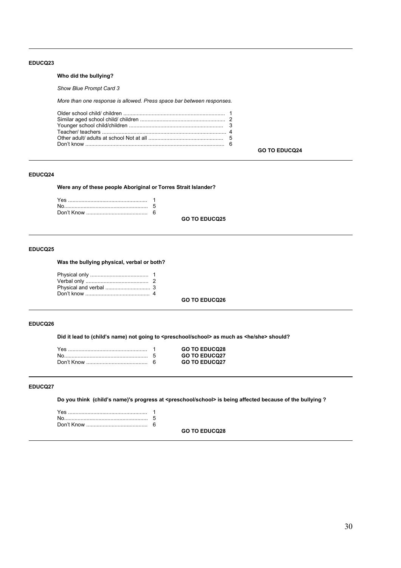## **Who did the bullying?**

*Show Blue Prompt Card 3*

*More than one response is allowed. Press space bar between responses.*

|--|

## **GO TO EDUCQ24**

## **EDUCQ24**

**Were any of these people Aboriginal or Torres Strait Islander?**

| 6 |
|---|
|   |

**GO TO EDUCQ25**

## **EDUCQ25**

## **Was the bullying physical, verbal or both?**

# **GO TO EDUCQ26**

## **EDUCQ26**

Did it lead to (child's name) not going to <preschool/school> as much as <he/she> should?

|  | <b>GO TO EDUCQ28</b> |
|--|----------------------|
|  | <b>GO TO EDUCQ27</b> |
|  | <b>GO TO EDUCQ27</b> |

## **EDUCQ27**

**Do you think (childís name)'s progress at <preschool/school> is being affected because of the bullying ?**

**GO TO EDUCQ28**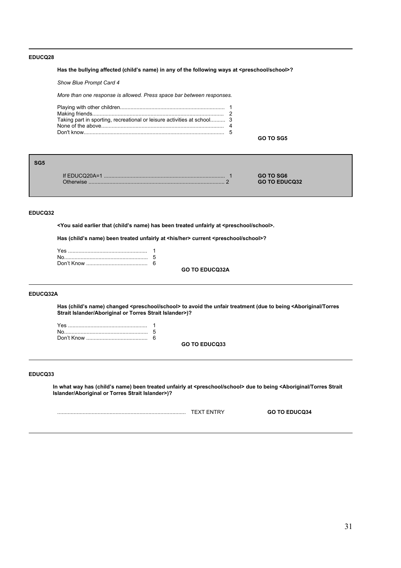## Has the bullying affected (child's name) in any of the following ways at <preschool/school>?

*Show Blue Prompt Card 4*

*More than one response is allowed. Press space bar between responses.*

| Taking part in sporting, recreational or leisure activities at school 3 |  |
|-------------------------------------------------------------------------|--|
|                                                                         |  |
|                                                                         |  |

**GO TO SG5**

| SG5 |                              |                                   |  |
|-----|------------------------------|-----------------------------------|--|
|     | If $EDUCQ20A=1$<br>Otherwise | GO TO SG6<br><b>GO TO EDUCQ32</b> |  |

## **EDUCQ32**

<You said earlier that (child's name) has been treated unfairly at <preschool/school>.

Has (child's name) been treated unfairly at <his/her> current <preschool/school>?

**GO TO EDUCQ32A**

## **EDUCQ32A**

**Has (childís name) changed <preschool/school> to avoid the unfair treatment (due to being <Aboriginal/Torres Strait Islander/Aboriginal or Torres Strait Islander>)?**

| 6 |
|---|

**GO TO EDUCQ33**

## **EDUCQ33**

In what way has (child's name) been treated unfairly at <preschool/school> due to being <Aboriginal/Torres Strait **Islander/Aboriginal or Torres Strait Islander>)?**

| --- | <b>GO TO EDUCQ34</b><br>34- ي |
|-----|-------------------------------|
|     |                               |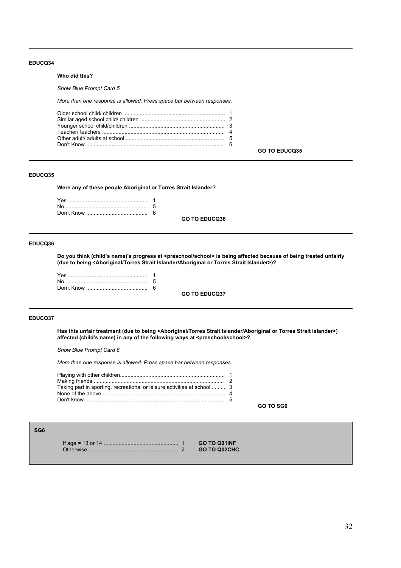#### **Who did this?**

*Show Blue Prompt Card 5*

*More than one response is allowed. Press space bar between responses.*

## **EDUCQ35**

**Were any of these people Aboriginal or Torres Strait Islander?**

**GO TO EDUCQ36**

# **EDUCQ36**

Do you think (child's name)'s progress at <preschool/school> is being affected because of being treated unfairly **(due to being <Aboriginal/Torres Strait Islander/Aboriginal or Torres Strait Islander>)?**

**GO TO EDUCQ37**

#### **EDUCQ37**

**Has this unfair treatment (due to being <Aboriginal/Torres Strait Islander/Aboriginal or Torres Strait Islander>)** affected (child's name) in any of the following ways at <preschool/school>?

*Show Blue Prompt Card 6*

*More than one response is allowed. Press space bar between responses.*

| Taking part in sporting, recreational or leisure activities at school 3 |  |
|-------------------------------------------------------------------------|--|
|                                                                         |  |
|                                                                         |  |

**GO TO SG6**

**GO TO EDUCQ35**

## **SG6**

If age = 13 or 14 .................................................. 1 **GO TO Q01INF** Otherwise ............................................................ 2 **GO TO Q02CHC**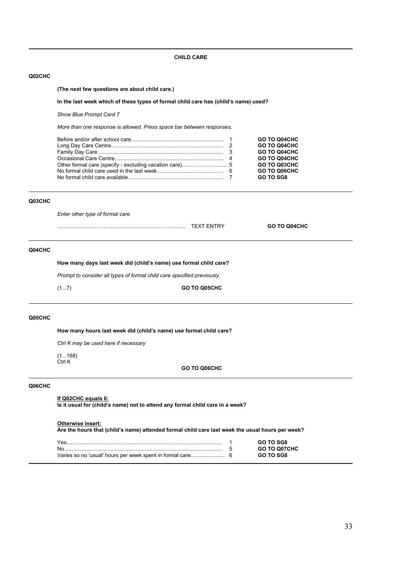## **Q02CHC**

**(The next few questions are about child care.)**

#### In the last week which of these types of formal child care has (child's name) used?

*Show Blue Prompt Card 7*

*More than one response is allowed. Press space bar between responses.*

|  | GO TO Q04CHC<br>GO TO Q04CHC |
|--|------------------------------|
|  | GO TO Q04CHC                 |
|  | GO TO Q04CHC                 |
|  | <b>GO TO Q03CHC</b>          |
|  | GO TO Q06CHC                 |
|  | <b>GO TO SG8</b>             |

### **Q03CHC**

*Enter other type of formal care*

| <br>. | - | GO.<br>CHC<br>14 L ' |
|-------|---|----------------------|
|       |   |                      |

## **Q04CHC**

How many days last week did (child's name) use formal child care?

*Prompt to consider all types of formal child care specified previously.*

(1...7) **GO TO Q05CHC**

#### **Q05CHC**

How many hours last week did (child's name) use formal child care?

*Ctrl K may be used here if necessary*

(1...168) Ctrl K

**GO TO Q06CHC**

#### **Q06CHC**

#### **If Q02CHC equals 6:**

**Is it usual for (child's name) not to attend any formal child care in a week?** 

## **Otherwise insert:**

**Are the hours that (childís name) attended formal child care last week the usual hours per week?**

|    | GO TO SG8           |
|----|---------------------|
| Nο | <b>GO TO Q07CHC</b> |
|    | GO TO SG8           |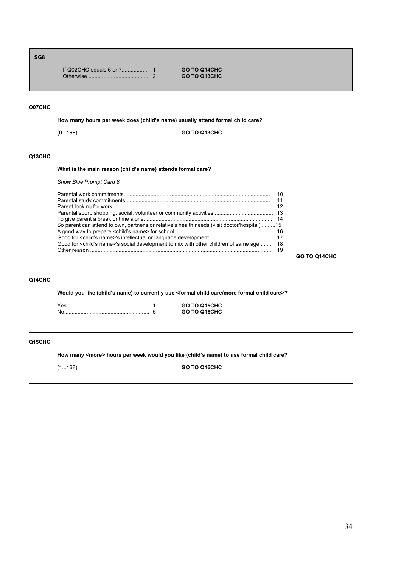# **SG8**

|  | <b>GO TO Q14CHC</b> |
|--|---------------------|
|  | <b>GO TO Q13CHC</b> |

# **Q07CHC**

How many hours per week does (child's name) usually attend formal child care?

(0...168) **GO TO Q13CHC**

## **Q13CHC**

## What is the main reason (child's name) attends formal care?

## *Show Blue Prompt Card 8*

| So parent can attend to own, partner's or relative's health needs (visit doctor/hospital)15         |  |
|-----------------------------------------------------------------------------------------------------|--|
|                                                                                                     |  |
|                                                                                                     |  |
| Good for <child's name="">'s social development to mix with other children of same age 18</child's> |  |
|                                                                                                     |  |

**GO TO Q14CHC**

# **Q14CHC**

Would you like (child's name) to currently use <formal child care/more formal child care>?

|  | <b>GO TO Q15CHC</b> |
|--|---------------------|
|  | <b>GO TO Q16CHC</b> |

## **Q15CHC**

**How many <more> hours per week would you like (childís name) to use formal child care?**

(1...168) **GO TO Q16CHC**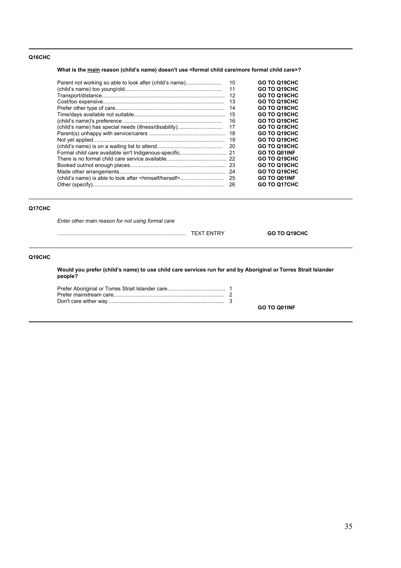## **Q16CHC**

What is the main reason (child's name) doesn't use <formal child care/more formal child care>?

| 10<br>GO TO Q19CHC<br>Parent not working so able to look after (child's name)<br>GO TO Q19CHC<br>11<br>GO TO Q19CHC<br>12<br>GO TO Q19CHC<br>13<br>GO TO Q19CHC<br>14<br>GO TO Q19CHC<br>15<br>GO TO Q19CHC<br>16<br>GO TO Q19CHC<br>(child's name) has special needs (illness/disability)<br>17<br>GO TO Q19CHC<br>18<br>GO TO Q19CHC<br>19<br>GO TO Q19CHC<br>20<br><b>GO TO Q01INF</b><br>-21<br>GO TO Q19CHC<br>GO TO Q19CHC<br>-23<br>GO TO Q19CHC |  |  |
|---------------------------------------------------------------------------------------------------------------------------------------------------------------------------------------------------------------------------------------------------------------------------------------------------------------------------------------------------------------------------------------------------------------------------------------------------------|--|--|
|                                                                                                                                                                                                                                                                                                                                                                                                                                                         |  |  |
|                                                                                                                                                                                                                                                                                                                                                                                                                                                         |  |  |
|                                                                                                                                                                                                                                                                                                                                                                                                                                                         |  |  |
|                                                                                                                                                                                                                                                                                                                                                                                                                                                         |  |  |
|                                                                                                                                                                                                                                                                                                                                                                                                                                                         |  |  |
|                                                                                                                                                                                                                                                                                                                                                                                                                                                         |  |  |
|                                                                                                                                                                                                                                                                                                                                                                                                                                                         |  |  |
|                                                                                                                                                                                                                                                                                                                                                                                                                                                         |  |  |
|                                                                                                                                                                                                                                                                                                                                                                                                                                                         |  |  |
|                                                                                                                                                                                                                                                                                                                                                                                                                                                         |  |  |
|                                                                                                                                                                                                                                                                                                                                                                                                                                                         |  |  |
|                                                                                                                                                                                                                                                                                                                                                                                                                                                         |  |  |
|                                                                                                                                                                                                                                                                                                                                                                                                                                                         |  |  |
|                                                                                                                                                                                                                                                                                                                                                                                                                                                         |  |  |
|                                                                                                                                                                                                                                                                                                                                                                                                                                                         |  |  |
|                                                                                                                                                                                                                                                                                                                                                                                                                                                         |  |  |
| <b>GO TO Q01INF</b><br>25                                                                                                                                                                                                                                                                                                                                                                                                                               |  |  |
| <b>GO TO Q17CHC</b><br>26                                                                                                                                                                                                                                                                                                                                                                                                                               |  |  |

## **Q17CHC**

*Enter other main reason for not using formal care*

...................................................................................... TEXT ENTRY **GO TO Q19CHC**

# **Q19CHC**

Would you prefer (child's name) to use child care services run for and by Aboriginal or Torres Strait Islander **people?**

**GO TO Q01INF**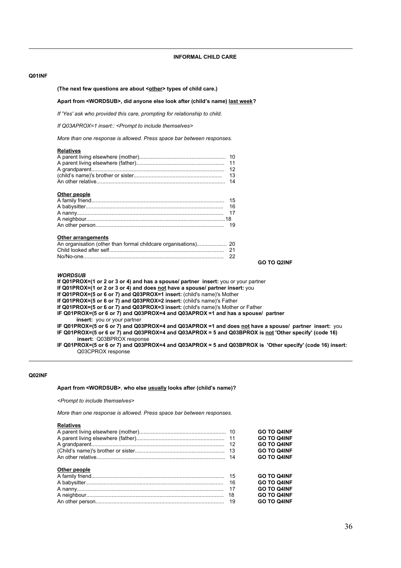#### **Q01INF**

#### (The next few questions are about <other> types of child care.)

#### Apart from <WORDSUB>, did anyone else look after (child's name) last week?

*If 'Yes' ask who provided this care, prompting for relationship to child.*

*If Q03APROX=1 insert:: <Prompt to include themselves>*

*More than one response is allowed. Press space bar between responses.*

#### **Relatives**

|              | 13 |
|--------------|----|
|              |    |
|              |    |
| Other people |    |
|              |    |
|              | 16 |
|              |    |
|              |    |
|              |    |

#### **Other arrangements**

An other person...................................................................................... 19

## **GO TO Q2INF**

## *WORDSUB*

**If Q01PROX=(1 or 2 or 3 or 4) and has a spouse/ partner insert:** you or your partner

**If Q01PROX=(1 or 2 or 3 or 4) and does not have a spouse/ partner insert:** you

**If Q01PROX=(5 or 6 or 7) and Q03PROX=1 insert:** (child's name)'s Mother

**If Q01PROX=(5 or 6 or 7) and Q03PROX=2 insert:** (child's name)'s Father

**If Q01PROX=(5 or 6 or 7) and Q03PROX=3 insert:** (child's name)'s Mother or Father

**IF Q01PROX=(5 or 6 or 7) and Q03PROX=4 and Q03APROX =1 and has a spouse/ partner**

**insert:** you or your partner

**IF Q01PROX=(5 or 6 or 7) and Q03PROX=4 and Q03APROX =1 and does not have a spouse/ partner insert:** you **IF Q01PROX=(5 or 6 or 7) and Q03PROX=4 and Q03APROX = 5 and Q03BPROX is not 'Other specify' (code 16) insert:** Q03BPROX response

**IF Q01PROX=(5 or 6 or 7) and Q03PROX=4 and Q03APROX = 5 and Q03BPROX is 'Other specify' (code 16) insert:**  Q03CPROX response

## **Q02INF**

#### Apart from <WORDSUB>, who else usually looks after (child's name)?

*<Prompt to include themselves>*

*More than one response is allowed. Press space bar between responses.*

#### **Relatives**

|    | <b>GO TO Q4INF</b> |
|----|--------------------|
|    | <b>GO TO Q4INF</b> |
|    | <b>GO TO Q4INF</b> |
|    | <b>GO TO Q4INF</b> |
|    | <b>GO TO Q4INF</b> |
|    |                    |
|    | <b>GO TO Q4INF</b> |
| 16 | <b>GO TO Q4INF</b> |
|    | <b>GO TO Q4INF</b> |
| 18 | <b>GO TO Q4INF</b> |
| 19 | <b>GO TO Q4INF</b> |
|    |                    |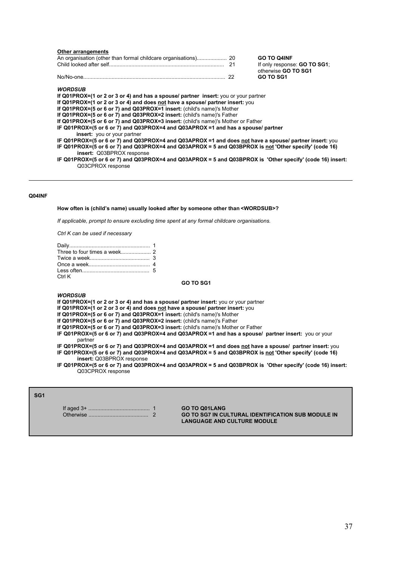#### **Other arrangements**

| An organisation (other than formal childcare organisations) 20 | <b>GO TO Q4INF</b>                  |
|----------------------------------------------------------------|-------------------------------------|
|                                                                | If only response: <b>GO TO SG1:</b> |
|                                                                | otherwise <b>GO TO SG1</b>          |
|                                                                | <b>GO TO SG1</b>                    |

#### *WORDSUB*

**If Q01PROX=(1 or 2 or 3 or 4) and has a spouse/ partner insert:** you or your partner

**If Q01PROX=(1 or 2 or 3 or 4) and does not have a spouse/ partner insert:** you

**If Q01PROX=(5 or 6 or 7) and Q03PROX=1 insert:** (child's name)'s Mother

**If Q01PROX=(5 or 6 or 7) and Q03PROX=2 insert:** (child's name)'s Father

**If Q01PROX=(5 or 6 or 7) and Q03PROX=3 insert:** (child's name)'s Mother or Father

**IF Q01PROX=(5 or 6 or 7) and Q03PROX=4 and Q03APROX =1 and has a spouse/ partner insert:** you or your partner

- **IF Q01PROX=(5 or 6 or 7) and Q03PROX=4 and Q03APROX =1 and does not have a spouse/ partner insert:** you **IF Q01PROX=(5 or 6 or 7) and Q03PROX=4 and Q03APROX = 5 and Q03BPROX is not 'Other specify' (code 16) insert:** Q03BPROX response
- **IF Q01PROX=(5 or 6 or 7) and Q03PROX=4 and Q03APROX = 5 and Q03BPROX is 'Other specify' (code 16) insert:**  Q03CPROX response

### **Q04INF**

#### **How often is (childís name) usually looked after by someone other than <WORDSUB>?**

*If applicable, prompt to ensure excluding time spent at any formal childcare organisations.*

*Ctrl K can be used if necessary*

| Ctrl K |  |
|--------|--|

## **GO TO SG1**

*WORDSUB*

**If Q01PROX=(1 or 2 or 3 or 4) and has a spouse/ partner insert:** you or your partner

**If Q01PROX=(1 or 2 or 3 or 4) and does not have a spouse/ partner insert:** you

**If Q01PROX=(5 or 6 or 7) and Q03PROX=1 insert:** (child's name)'s Mother

**If Q01PROX=(5 or 6 or 7) and Q03PROX=2 insert:** (child's name)'s Father

**If Q01PROX=(5 or 6 or 7) and Q03PROX=3 insert:** (child's name)'s Mother or Father

**IF Q01PROX=(5 or 6 or 7) and Q03PROX=4 and Q03APROX =1 and has a spouse/ partner insert:** you or your partner

**IF Q01PROX=(5 or 6 or 7) and Q03PROX=4 and Q03APROX =1 and does not have a spouse/ partner insert:** you **IF Q01PROX=(5 or 6 or 7) and Q03PROX=4 and Q03APROX = 5 and Q03BPROX is not 'Other specify' (code 16) insert:** Q03BPROX response

**IF Q01PROX=(5 or 6 or 7) and Q03PROX=4 and Q03APROX = 5 and Q03BPROX is 'Other specify' (code 16) insert:**  Q03CPROX response

**SG1**

If aged 3+ ......................................... 1 **GO TO Q01LANG**

Otherwise ........................................ 2 **GO TO SG7 IN CULTURAL IDENTIFICATION SUB MODULE IN LANGUAGE AND CULTURE MODULE**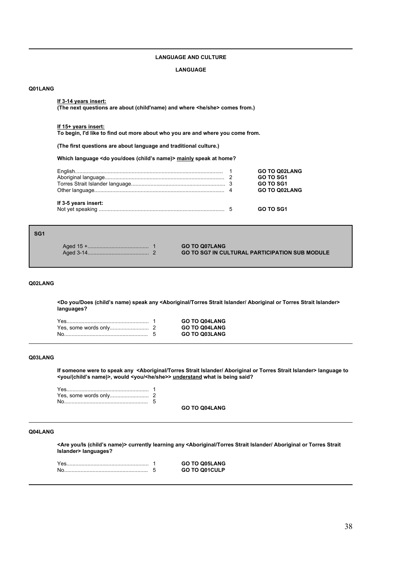## **LANGUAGE AND CULTURE**

#### **LANGUAGE**

### **Q01LANG**

### **If 3-14 years insert:**

**(The next questions are about (child'name) and where <he/she> comes from.)** 

#### **If 15+ years insert:**

**To begin, I'd like to find out more about who you are and where you come from.**

**(The first questions are about language and traditional culture.)**

Which language <do you/does (child's name)> mainly speak at home?

|                      | <b>GO TO Q02LANG</b> |
|----------------------|----------------------|
|                      | <b>GO TO SG1</b>     |
|                      | GO TO SG1            |
|                      | <b>GO TO Q02LANG</b> |
| If 3-5 years insert: |                      |
|                      | <b>GO TO SG1</b>     |

## **SG1**

|  |  | <b>GO TO Q07LANG</b><br><b>GO TO SG7 IN CULTURAL PARTICIPATION SUB MODULE</b> |
|--|--|-------------------------------------------------------------------------------|
|--|--|-------------------------------------------------------------------------------|

## **Q02LANG**

**<Do you/Does (childís name) speak any <Aboriginal/Torres Strait Islander/ Aboriginal or Torres Strait Islander> languages?**

|  | <b>GO TO Q04LANG</b> |
|--|----------------------|
|  | <b>GO TO Q04LANG</b> |
|  | <b>GO TO Q03LANG</b> |

### **Q03LANG**

**If someone were to speak any <Aboriginal/Torres Strait Islander/ Aboriginal or Torres Strait Islander> language to <you/(childís name)>, would <you/<he/she>> understand what is being said?**

**GO TO Q04LANG**

# **Q04LANG**

**<Are you/Is (childís name)> currently learning any <Aboriginal/Torres Strait Islander/ Aboriginal or Torres Strait Islander> languages?**

Yes....................................................... 1 **GO TO Q05LANG** No........................................................ 5 **GO TO Q01CULP**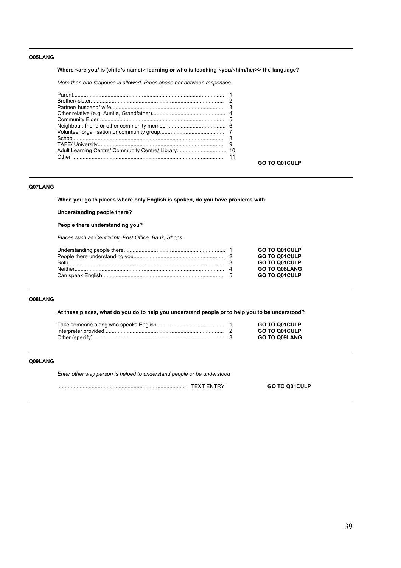## **Q05LANG**

Where <are you/ is (child's name)> learning or who is teaching <you/<him/her>> the language?

*More than one response is allowed. Press space bar between responses.*

**GO TO Q01CULP**

## **Q07LANG**

**When you go to places where only English is spoken, do you have problems with:**

**Understanding people there?**

# **People there understanding you?**

*Places such as Centrelink, Post Office, Bank, Shops.*

|  | GO TO Q01CULP        |
|--|----------------------|
|  | GO TO Q01CULP        |
|  | GO TO Q01CULP        |
|  | <b>GO TO Q08LANG</b> |
|  | GO TO Q01CULP        |

## **Q08LANG**

**At these places, what do you do to help you understand people or to help you to be understood?**

|  | <b>GO TO Q01CULP</b> |
|--|----------------------|
|  | <b>GO TO Q01CULP</b> |
|  | <b>GO TO Q09LANG</b> |

## **Q09LANG**

*Enter other way person is helped to understand people or be understood*

...................................................................................... TEXT ENTRY **GO TO Q01CULP**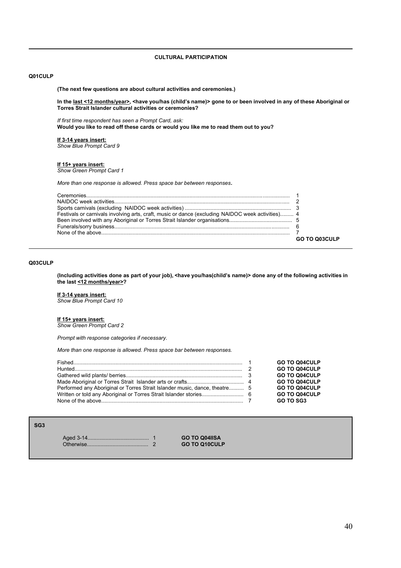**CULTURAL PARTICIPATION**

## **Q01CULP**

**(The next few questions are about cultural activities and ceremonies.)**

In the <u>last <12 months/year>,</u> <have you/has (child's name)> gone to or been involved in any of these Aboriginal or **Torres Strait Islander cultural activities or ceremonies?**

*If first time respondent has seen a Prompt Card, ask:* **Would you like to read off these cards or would you like me to read them out to you?**

**If 3-14 years insert:** *Show Blue Prompt Card 9*

**If 15+ years insert:** *Show Green Prompt Card 1*

*More than one response is allowed. Press space bar between responses.*

| Festivals or carnivals involving arts, craft, music or dance (excluding NAIDOC week activities) 4 |               |
|---------------------------------------------------------------------------------------------------|---------------|
|                                                                                                   |               |
|                                                                                                   |               |
|                                                                                                   |               |
|                                                                                                   | GO TO O03CULP |

# **Q03CULP**

**(Including activities done as part of your job), <have you/has(childís name)> done any of the following activities in the last <12 months/year>?**

**If 3-14 years insert:** *Show Blue Prompt Card 10*

#### **If 15+ years insert:**

*Show Green Prompt Card 2*

*Prompt with response categories if necessary.*

*More than one response is allowed. Press space bar between responses.*

|  | <b>GO TO Q04CULP</b> |
|--|----------------------|
|  | <b>GO TO Q04CULP</b> |
|  | <b>GO TO Q04CULP</b> |
|  | <b>GO TO Q04CULP</b> |
|  | GO TO Q04CULP        |
|  | <b>GO TO Q04CULP</b> |
|  | GO TO SG3            |

**SG3**

|  | <b>GO TO Q04IISA</b> |
|--|----------------------|
|  | <b>GO TO Q10CULP</b> |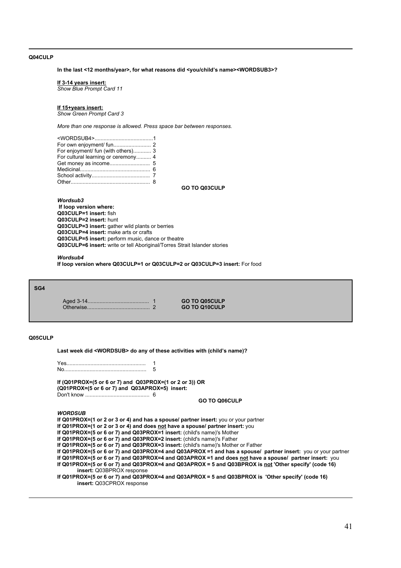### **Q04CULP**

In the last <12 months/year>, for what reasons did <you/child's name><WORDSUB3>?

#### **If 3-14 years insert:**

*Show Blue Prompt Card 11*

## **If 15+years insert:**

*Show Green Prompt Card 3*

*More than one response is allowed. Press space bar between responses.*

| For enjoyment/ fun (with others) 3  |  |
|-------------------------------------|--|
| For cultural learning or ceremony 4 |  |
|                                     |  |
|                                     |  |
|                                     |  |
|                                     |  |

**GO TO Q03CULP**

*Wordsub3* **If loop version where: Q03CULP=1 insert:** fish **Q03CULP=2 insert:** hunt **Q03CULP=3 insert:** gather wild plants or berries **Q03CULP=4 insert:** make arts or crafts **Q03CULP=5 insert:** perform music, dance or theatre **Q03CULP=6 insert:** write or tell Aboriginal/Torres Strait Islander stories

#### *Wordsub4*

**If loop version where Q03CULP=1 or Q03CULP=2 or Q03CULP=3 insert:** For food

#### **SG4**

Aged 3-14......................................... 1 **GO TO Q05CULP** Otherwise.......................................... 2 **GO TO Q10CULP**

# **Q05CULP**

Last week did <WORDSUB> do any of these activities with (child's name)?

Yes..................................................... 1 No....................................................... 5

**If (Q01PROX=(5 or 6 or 7) and Q03PROX=(1 or 2 or 3)) OR (Q01PROX=(5 or 6 or 7) and Q03APROX=5) insert:**  Don't know ........................................... 6

## **GO TO Q06CULP**

*WORDSUB*

**If Q01PROX=(1 or 2 or 3 or 4) and has a spouse/ partner insert:** you or your partner **If Q01PROX=(1 or 2 or 3 or 4) and does not have a spouse/ partner insert:** you **If Q01PROX=(5 or 6 or 7) and Q03PROX=1 insert:** (child's name)'s Mother **If Q01PROX=(5 or 6 or 7) and Q03PROX=2 insert:** (child's name)'s Father **If Q01PROX=(5 or 6 or 7) and Q03PROX=3 insert:** (child's name)'s Mother or Father **If Q01PROX=(5 or 6 or 7) and Q03PROX=4 and Q03APROX =1 and has a spouse/ partner insert:** you or your partner **If Q01PROX=(5 or 6 or 7) and Q03PROX=4 and Q03APROX =1 and does not have a spouse/ partner insert:** you **If Q01PROX=(5 or 6 or 7) and Q03PROX=4 and Q03APROX = 5 and Q03BPROX is not 'Other specify' (code 16) insert:** Q03BPROX response **If Q01PROX=(5 or 6 or 7) and Q03PROX=4 and Q03APROX = 5 and Q03BPROX is 'Other specify' (code 16) insert:** Q03CPROX response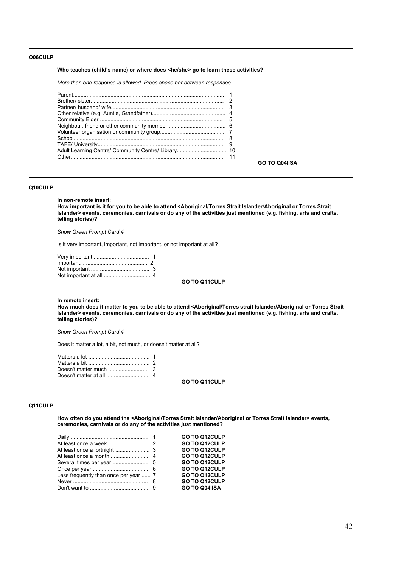### **Q06CULP**

#### Who teaches (child's name) or where does <he/she> go to learn these activities?

*More than one response is allowed. Press space bar between responses.*

| Other than the contract of the contract of the contract of the contract of the contract of the contract of the |  |
|----------------------------------------------------------------------------------------------------------------|--|

#### **GO TO Q04IISA**

### **Q10CULP**

**In non-remote insert:**

**How important is it for you to be able to attend <Aboriginal/Torres Strait Islander**/**Aboriginal or Torres Strait Islander> events, ceremonies, carnivals or do any of the activities just mentioned (e.g. fishing, arts and crafts, telling stories)?** 

*Show Green Prompt Card 4*

Is it very important, important, not important, or not important at all**?**

#### **GO TO Q11CULP**

#### **In remote insert:**

**How much does it matter to you to be able to attend <Aboriginal/Torres strait Islander/Aboriginal or Torres Strait Islander> events, ceremonies, carnivals or do any of the activities just mentioned (e.g. fishing, arts and crafts, telling stories)?** 

*Show Green Prompt Card 4*

Does it matter a lot, a bit, not much, or doesn't matter at all?

**GO TO Q11CULP**

### **Q11CULP**

**How often do you attend the <Aboriginal/Torres Strait Islander/Aboriginal or Torres Strait Islander> events, ceremonies, carnivals or do any of the activities just mentioned?**

|                                       | <b>GO TO Q12CULP</b> |
|---------------------------------------|----------------------|
|                                       | <b>GO TO Q12CULP</b> |
|                                       | <b>GO TO Q12CULP</b> |
|                                       | <b>GO TO Q12CULP</b> |
|                                       | <b>GO TO Q12CULP</b> |
|                                       | <b>GO TO Q12CULP</b> |
| Less frequently than once per year  7 | <b>GO TO Q12CULP</b> |
|                                       | <b>GO TO Q12CULP</b> |
|                                       | <b>GO TO Q04IISA</b> |
|                                       |                      |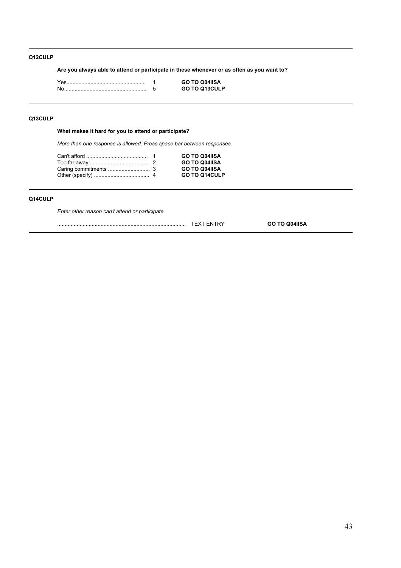# **Q12CULP**

**Are you always able to attend or participate in these whenever or as often as you want to?**

| Yes | <b>GO TO Q04IISA</b> |
|-----|----------------------|
| No  | <b>GO TO Q13CULP</b> |

# **Q13CULP**

**What makes it hard for you to attend or participate?**

*More than one response is allowed. Press space bar between responses.*

|  | <b>GO TO Q04IISA</b> |
|--|----------------------|
|  | <b>GO TO Q04IISA</b> |
|  | <b>GO TO Q04IISA</b> |
|  | <b>GO TO Q14CULP</b> |

## **Q14CULP**

*Enter other reason can't attend or participate*

...................................................................................... TEXT ENTRY **GO TO Q04IISA**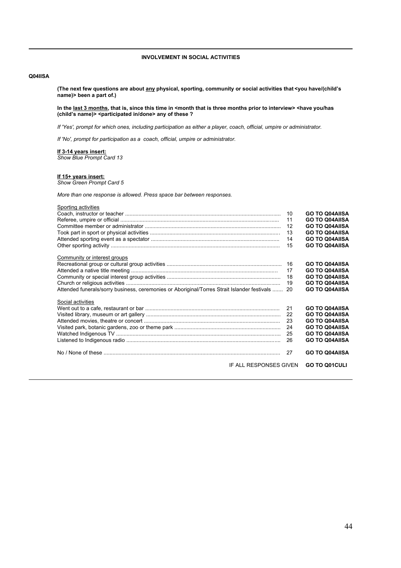## **INVOLVEMENT IN SOCIAL ACTIVITIES**

## **Q04IISA**

**(The next few questions are about any physical, sporting, community or social activities that <you have/(childís name)> been a part of.)**

In the last 3 months, that is, since this time in <month that is three months prior to interview> <have you/has **(childís name)> <participated in/done> any of these ?**

*If 'Yes', prompt for which ones, including participation as either a player, coach, official, umpire or administrator.*

*If 'No', prompt for participation as a coach, official, umpire or administrator.*

## **If 3-14 years insert:**

*Show Blue Prompt Card 13*

### **If 15+ years insert:**

*Show Green Prompt Card 5*

*More than one response is allowed. Press space bar between responses.*

| Sporting activities                                                                         |    |                       |  |
|---------------------------------------------------------------------------------------------|----|-----------------------|--|
|                                                                                             | 10 | <b>GO TO Q04AIISA</b> |  |
|                                                                                             | 11 | <b>GO TO Q04AIISA</b> |  |
|                                                                                             | 12 | <b>GO TO Q04AIISA</b> |  |
|                                                                                             | 13 | <b>GO TO Q04AIISA</b> |  |
|                                                                                             | 14 | <b>GO TO Q04AIISA</b> |  |
|                                                                                             | 15 | <b>GO TO Q04AIISA</b> |  |
|                                                                                             |    |                       |  |
| Community or interest groups                                                                |    |                       |  |
|                                                                                             | 16 | <b>GO TO Q04AIISA</b> |  |
|                                                                                             | 17 | <b>GO TO Q04AIISA</b> |  |
|                                                                                             | 18 | <b>GO TO Q04AIISA</b> |  |
|                                                                                             | 19 | <b>GO TO Q04AIISA</b> |  |
| Attended funerals/sorry business, ceremonies or Aboriginal/Torres Strait Islander festivals | 20 | <b>GO TO Q04AIISA</b> |  |
|                                                                                             |    |                       |  |
| Social activities                                                                           |    |                       |  |
|                                                                                             | 21 | <b>GO TO Q04AIISA</b> |  |
|                                                                                             | 22 | <b>GO TO Q04AIISA</b> |  |
|                                                                                             | 23 | <b>GO TO Q04AIISA</b> |  |
|                                                                                             | 24 | <b>GO TO Q04AIISA</b> |  |
|                                                                                             | 25 | <b>GO TO Q04AIISA</b> |  |
|                                                                                             | 26 |                       |  |
|                                                                                             |    | <b>GO TO Q04AIISA</b> |  |
|                                                                                             | 27 | <b>GO TO Q04AIISA</b> |  |
|                                                                                             |    |                       |  |
| IF ALL RESPONSES GIVEN                                                                      |    | <b>GO TO Q01CULI</b>  |  |
|                                                                                             |    |                       |  |
|                                                                                             |    |                       |  |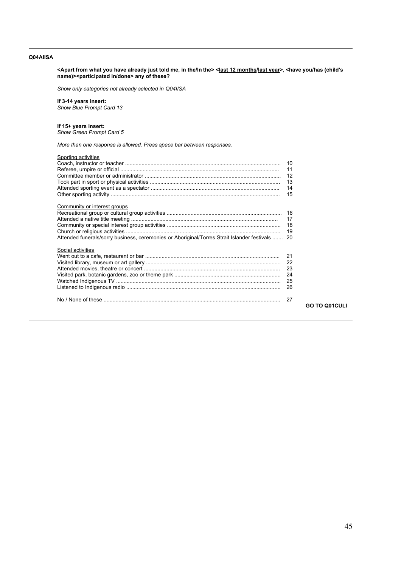### **Q04AIISA**

**<Apart from what you have already just told me, in the/In the> <last 12 months/last year>, <have you/has (child's name)><participated in/done> any of these?**

*Show only categories not already selected in Q04IISA*

#### **If 3-14 years insert:**

*Show Blue Prompt Card 13*

## **If 15+ years insert:**

*Show Green Prompt Card 5*

*More than one response is allowed. Press space bar between responses.*

| Sporting activities                                                                             |    |                      |
|-------------------------------------------------------------------------------------------------|----|----------------------|
|                                                                                                 |    |                      |
|                                                                                                 |    |                      |
|                                                                                                 |    |                      |
|                                                                                                 |    |                      |
|                                                                                                 |    |                      |
|                                                                                                 |    |                      |
| Community or interest groups                                                                    |    |                      |
|                                                                                                 |    |                      |
|                                                                                                 |    |                      |
|                                                                                                 |    |                      |
|                                                                                                 |    |                      |
| Attended funerals/sorry business, ceremonies or Aboriginal/Torres Strait Islander festivals  20 |    |                      |
| Social activities                                                                               |    |                      |
|                                                                                                 |    |                      |
|                                                                                                 |    |                      |
|                                                                                                 |    |                      |
|                                                                                                 |    |                      |
|                                                                                                 |    |                      |
|                                                                                                 |    |                      |
|                                                                                                 | 27 |                      |
|                                                                                                 |    | <b>GO TO Q01CULI</b> |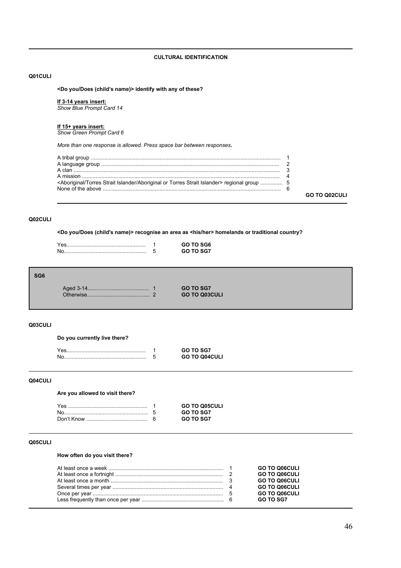## **CULTURAL IDENTIFICATION**

## **Q01CULI**

**<Do you/Does (childís name)> identify with any of these?**

#### **If 3-14 years insert:**

*Show Blue Prompt Card 14*

#### **If 15+ years insert:**

*Show Green Prompt Card 6*

*More than one response is allowed. Press space bar between responses.*

| <aboriginal aboriginal="" islander="" or="" strait="" torres=""> regional group  5</aboriginal> |  |
|-------------------------------------------------------------------------------------------------|--|

**GO TO Q02CULI**

# **Q02CULI**

**<Do you/Does (child's name)> recognise an area as <his/her> homelands or traditional country?**

| N | GO TO SGZ |
|---|-----------|

| ۰.<br>٠<br>۰. |  |  |  |
|---------------|--|--|--|
|---------------|--|--|--|

| Aged 3-14.                                                  | <b>GO TO SG7</b>     |  |
|-------------------------------------------------------------|----------------------|--|
| Otherwise<br><u> 1986 - Johann Stoff, Amerikaansk konst</u> | <b>GO TO Q03CULI</b> |  |

# **Q03CULI**

# **Do you currently live there?**

|  | GO TO SGZ            |
|--|----------------------|
|  | <b>GO TO Q04CULI</b> |

## **Q04CULI**

**Are you allowed to visit there?**

| Yes. | <b>GO TO Q05CULI</b> |
|------|----------------------|
|      | <b>GO TO SG7</b>     |
|      | GO TO SG7            |

# **Q05CULI**

# **How often do you visit there?**

|  | <b>GO TO Q06CULI</b><br><b>GO TO Q06CULI</b> |
|--|----------------------------------------------|
|  | <b>GO TO Q06CULI</b>                         |
|  | <b>GO TO Q06CULI</b><br><b>GO TO Q06CULI</b> |
|  | <b>GO TO SG7</b>                             |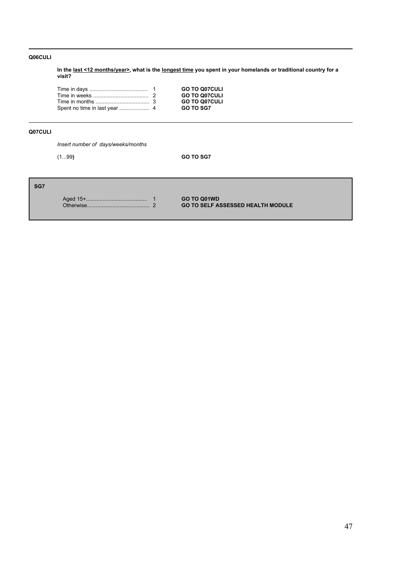# **Q06CULI**

**In the last <12 months/year>, what is the longest time you spent in your homelands or traditional country for a visit?**

|  | <b>GO TO Q07CULI</b> |
|--|----------------------|
|  | <b>GO TO Q07CULI</b> |
|  | <b>GO TO Q07CULI</b> |
|  | <b>GO TO SG7</b>     |

# **Q07CULI**

*Insert number of days/weeks/months*

(1...99**) GO TO SG7**

# **SG7**

Aged 15+......................................... 1 **GO TO Q01WD**

**GO TO SELF ASSESSED HEALTH MODULE**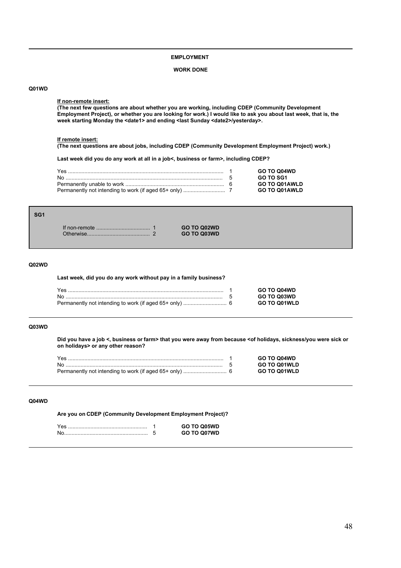## **EMPLOYMENT**

## **WORK DONE**

### **Q01WD**

### **If non-remote insert:**

**(The next few questions are about whether you are working, including CDEP (Community Development Employment Project), or whether you are looking for work.) I would like to ask you about last week, that is, the** week starting Monday the <date1> and ending <last Sunday <date2>/yesterday>.

#### **If remote insert:**

**(The next questions are about jobs, including CDEP (Community Development Employment Project) work.)**

If non-remote .................................... 1 **GO TO Q02WD** Otherwise.......................................... 2 **GO TO Q03WD**

**Last week did you do any work at all in a job<, business or farm>, including CDEP?**

|  | <b>GO TO Q04WD</b>   |
|--|----------------------|
|  | GO TO SG1            |
|  | <b>GO TO Q01AWLD</b> |
|  | <b>GO TO Q01AWLD</b> |

## **SG1**

#### **Q02WD**

#### **Last week, did you do any work without pay in a family business?**

|  | <b>GO TO Q04WD</b>  |
|--|---------------------|
|  | <b>GO TO Q03WD</b>  |
|  | <b>GO TO Q01WLD</b> |

## **Q03WD**

**Did you have a job <, business or farm> that you were away from because <of holidays, sickness/you were sick or on holidays> or any other reason?**

|  | <b>GO TO Q04WD</b>  |
|--|---------------------|
|  | <b>GO TO Q01WLD</b> |
|  | <b>GO TO Q01WLD</b> |

### **Q04WD**

**Are you on CDEP (Community Development Employment Project)?**

|  | GO TO O05WD |
|--|-------------|
|  | GO TO O07WD |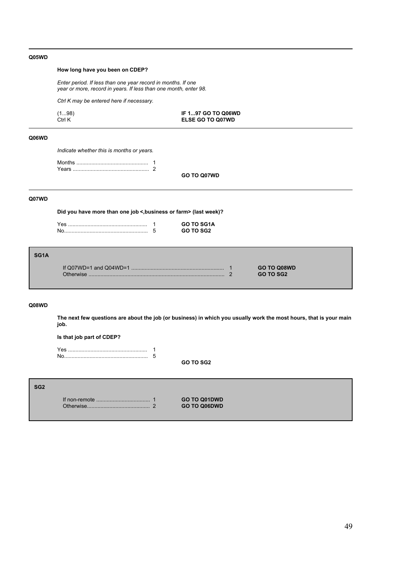## **Q05WD**

# **How long have you been on CDEP?**

*Enter period. If less than one year record in months. If one year or more, record in years. If less than one month, enter 98.*

*Ctrl K may be entered here if necessary.*

| (198)  | IF 197 GO TO Q06WD      |
|--------|-------------------------|
| Ctrl K | <b>ELSE GO TO Q07WD</b> |

## **Q06WD**

*Indicate whether this is months or years.*

**GO TO Q07WD**

## **Q07WD**

**Did you have more than one job <,business or farm> (last week)?**

|  | <b>GO TO SG1A</b> |
|--|-------------------|
|  | GO TO SG2         |

| SG <sub>1</sub> A |           |                                 |  |
|-------------------|-----------|---------------------------------|--|
|                   | Otherwise | GO TO Q08WD<br><b>GO TO SG2</b> |  |
|                   |           |                                 |  |

#### **Q08WD**

**The next few questions are about the job (or business) in which you usually work the most hours, that is your main job.**

**Is that job part of CDEP?**

Yes ..................................................... 1 No........................................................ 5

**GO TO SG2**

#### **SG2**

If non-remote .................................... 1 **GO TO Q01DWD** Otherwise.......................................... 2 **GO TO Q06DWD**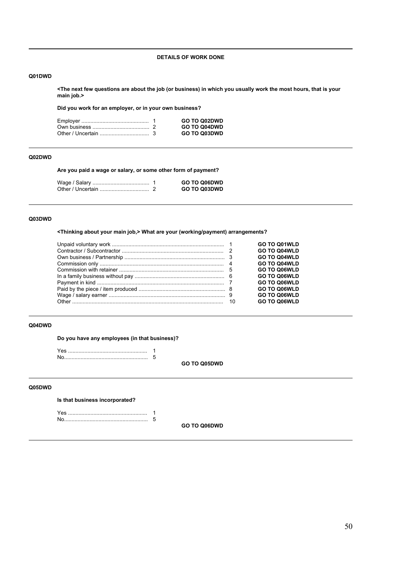## **DETAILS OF WORK DONE**

## **Q01DWD**

**<The next few questions are about the job (or business) in which you usually work the most hours, that is your main job.>**

**Did you work for an employer, or in your own business?**

|  | <b>GO TO Q02DWD</b> |
|--|---------------------|
|  | <b>GO TO Q04DWD</b> |
|  | <b>GO TO Q03DWD</b> |

### **Q02DWD**

**Are you paid a wage or salary, or some other form of payment?**

|  | <b>GO TO Q06DWD</b> |
|--|---------------------|
|  | <b>GO TO Q03DWD</b> |

# **Q03DWD**

**<Thinking about your main job,> What are your (working/payment) arrangements?**

|  | <b>GO TO Q01WLD</b> |
|--|---------------------|
|  | <b>GO TO Q04WLD</b> |
|  | <b>GO TO Q04WLD</b> |
|  | <b>GO TO Q04WLD</b> |
|  | <b>GO TO Q06WLD</b> |
|  | <b>GO TO Q06WLD</b> |
|  | <b>GO TO Q06WLD</b> |
|  | <b>GO TO Q06WLD</b> |
|  | <b>GO TO Q06WLD</b> |
|  | <b>GO TO Q06WLD</b> |

# **Q04DWD**

**Do you have any employees (in that business)?**

Yes ..................................................... 1 No........................................................ 5

**GO TO Q05DWD**

# **Q05DWD**

**Is that business incorporated?**

Yes ..................................................... 1 No........................................................ 5

**GO TO Q06DWD**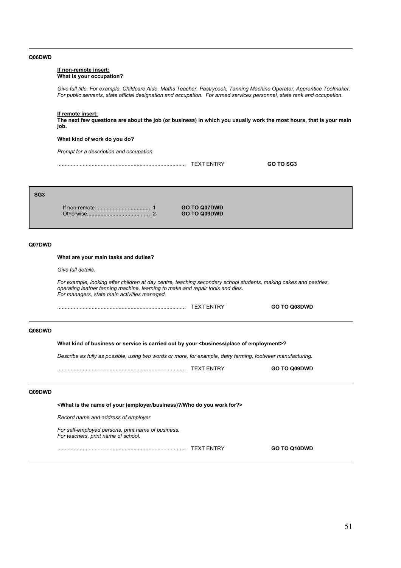### **Q06DWD**

### **If non-remote insert: What is your occupation?**

*Give full title. For example, Childcare Aide, Maths Teacher, Pastrycook, Tanning Machine Operator, Apprentice Toolmaker. For public servants, state official designation and occupation. For armed services personnel, state rank and occupation.*

### **If remote insert:**

**The next few questions are about the job (or business) in which you usually work the most hours, that is your main job.**

### **What kind of work do you do?**

*Prompt for a description and occupation.*

| ד /<br>۰N<br>$\lambda$ | <b>con</b><br>OO TO<br>GU |
|------------------------|---------------------------|
|                        |                           |

#### **SG3**

If non-remote .................................... 1 **GO TO Q07DWD** Otherwise.......................................... 2 **GO TO Q09DWD**

## **Q07DWD**

## **What are your main tasks and duties?**

*Give full details.*

*For example, looking after children at day centre, teaching secondary school students, making cakes and pastries, operating leather tanning machine, learning to make and repair tools and dies. For managers, state main activities managed.*

|        |                                                                                                                 | <b>TEXT ENTRY</b> | GO TO Q08DWD |  |  |
|--------|-----------------------------------------------------------------------------------------------------------------|-------------------|--------------|--|--|
| Q08DWD |                                                                                                                 |                   |              |  |  |
|        | What kind of business or service is carried out by your<br>business/place of employment>?                       |                   |              |  |  |
|        | Describe as fully as possible, using two words or more, for example, dairy farming, footwear manufacturing.     |                   |              |  |  |
|        |                                                                                                                 | <b>TEXT ENTRY</b> | GO TO Q09DWD |  |  |
| Q09DWD |                                                                                                                 |                   |              |  |  |
|        | <what (employer="" business)?="" do="" for?="" is="" name="" of="" the="" who="" work="" you="" your=""></what> |                   |              |  |  |
|        | Record name and address of employer                                                                             |                   |              |  |  |
|        | For self-employed persons, print name of business.<br>For teachers, print name of school.                       |                   |              |  |  |

...................................................................................... TEXT ENTRY **GO TO Q10DWD**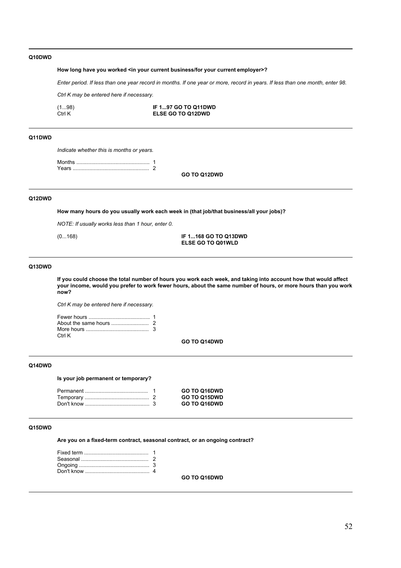## **Q10DWD**

## **How long have you worked <in your current business/for your current employer>?**

*Enter period. If less than one year record in months. If one year or more, record in years. If less than one month, enter 98.*

*Ctrl K may be entered here if necessary.*

| (1…98) | IF 197 GO TO Q11DWD      |
|--------|--------------------------|
| Ctrl K | <b>ELSE GO TO Q12DWD</b> |

# **Q11DWD**

*Indicate whether this is months or years.*

Months ................................................. 1 Years ................................................... 2

**GO TO Q12DWD**

### **Q12DWD**

**How many hours do you usually work each week in (that job/that business/all your jobs)?**

*NOTE: If usually works less than 1 hour, enter 0.*

(0...168) **IF 1...168 GO TO Q13DWD ELSE GO TO Q01WLD**

### **Q13DWD**

**If you could choose the total number of hours you work each week, and taking into account how that would affect your income, would you prefer to work fewer hours, about the same number of hours, or more hours than you work now?**

*Ctrl K may be entered here if necessary.*

| Ctrl K |  |
|--------|--|

**GO TO Q14DWD**

## **Q14DWD**

**Is your job permanent or temporary?**

|  | GO TO Q16DWD        |
|--|---------------------|
|  | <b>GO TO Q15DWD</b> |
|  | <b>GO TO Q16DWD</b> |

#### **Q15DWD**

**Are you on a fixed-term contract, seasonal contract, or an ongoing contract?**

**GO TO Q16DWD**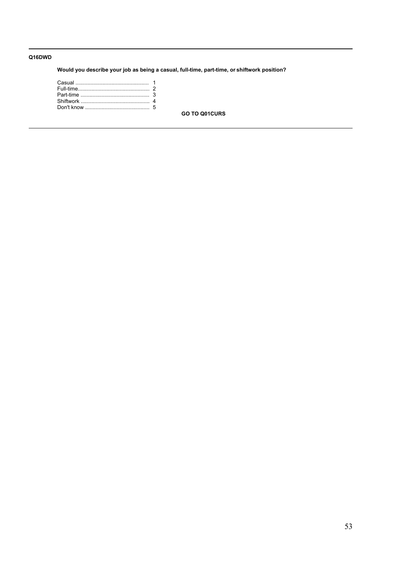# **Q16DWD**

**Would you describe your job as being a casual, full-time, part-time, or shiftwork position?**

**GO TO Q01CURS**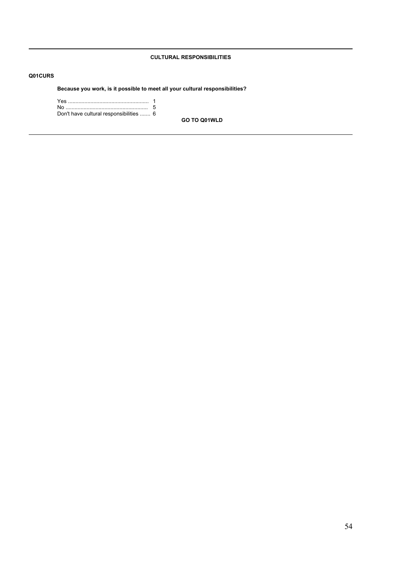# **CULTURAL RESPONSIBILITIES**

# **Q01CURS**

**Because you work, is it possible to meet all your cultural responsibilities?**

| Don't have cultural responsibilities  6 |  |
|-----------------------------------------|--|

**GO TO Q01WLD**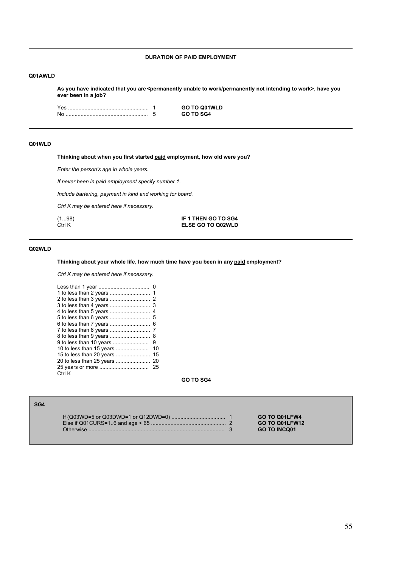## **DURATION OF PAID EMPLOYMENT**

### **Q01AWLD**

As you have indicated that you are <permanently unable to work/permanently not intending to work>, have you **ever been in a job?**

|  | <b>GO TO Q01WLD</b> |
|--|---------------------|
|  | GO TO SG4           |

## **Q01WLD**

**Thinking about when you first started paid employment, how old were you?**

*Enter the person's age in whole years.*

*If never been in paid employment specify number 1.* 

*Include bartering, payment in kind and working for board.*

*Ctrl K may be entered here if necessary.*

(1...98) **IF 1 THEN GO TO SG4 ELSE GO TO Q02WLD** 

## **Q02WLD**

**SG4**

# **Thinking about your whole life, how much time have you been in any paid employment?**

*Ctrl K may be entered here if necessary.*

|                          | 8  |
|--------------------------|----|
| 9 to less than 10 years  | 9  |
| 10 to less than 15 years | 10 |
|                          | 15 |
|                          |    |
|                          | 25 |
| Ctrl K                   |    |

**GO TO SG4**

|  | GO TO Q01LFW4       |
|--|---------------------|
|  | GO TO Q01LFW12      |
|  | <b>GO TO INCQ01</b> |
|  |                     |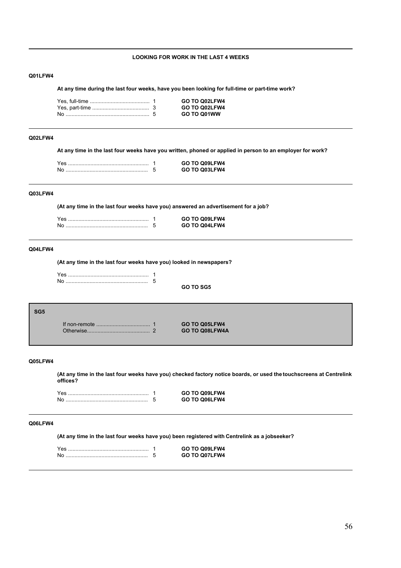## **LOOKING FOR WORK IN THE LAST 4 WEEKS**

#### **Q01LFW4**

**At any time during the last four weeks, have you been looking for full-time or part-time work?**

|  | GO TO Q02LFW4        |
|--|----------------------|
|  | <b>GO TO Q02LFW4</b> |
|  | GO TO Q01WW          |

## **Q02LFW4**

**At any time in the last four weeks have you written, phoned or applied in person to an employer for work?**

|  | GO TO Q09LFW4 |
|--|---------------|
|  | GO TO Q03LFW4 |

## **Q03LFW4**

**(At any time in the last four weeks have you) answered an advertisement for a job?**

|  | GO TO Q09LFW4 |
|--|---------------|
|  | GO TO Q04LFW4 |

## **Q04LFW4**

**(At any time in the last four weeks have you) looked in newspapers?**

### **SG5**

If non-remote .................................... 1 **GO TO Q05LFW4** Otherwise.......................................... 2 **GO TO Q08LFW4A**

**GO TO SG5**

#### **Q05LFW4**

**(At any time in the last four weeks have you) checked factory notice boards, or used the touchscreens at Centrelink offices?**

|  | GO TO Q09LFW4 |
|--|---------------|
|  | GO TO Q06LFW4 |

# **Q06LFW4**

**(At any time in the last four weeks have you) been registered with Centrelink as a jobseeker?**

|  | GO TO Q09LFW4 |
|--|---------------|
|  | GO TO Q07LFW4 |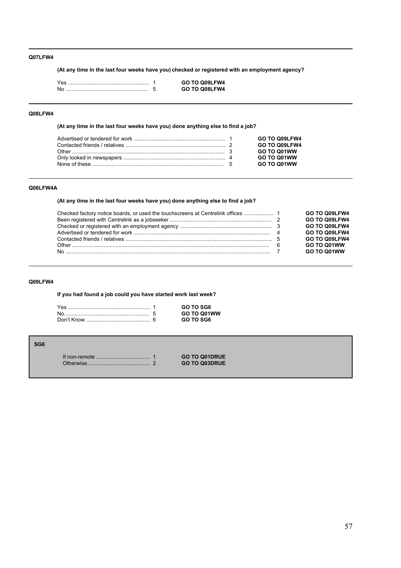## **Q07LFW4**

**(At any time in the last four weeks have you) checked or registered with an employment agency?**

|    | GO TO Q09LFW4 |
|----|---------------|
| N0 | GO TO Q08LFW4 |

## **Q08LFW4**

**(At any time in the last four weeks have you) done anything else to find a job?**

|  | GO TO Q09LFW4 |
|--|---------------|
|  | GO TO Q09LFW4 |
|  | GO TO Q01WW   |
|  | GO TO Q01WW   |
|  | GO TO Q01WW   |

# **Q08LFW4A**

# **(At any time in the last four weeks have you) done anything else to find a job?**

|                                                                                                                                                  | GO TO Q09LFW4 |
|--------------------------------------------------------------------------------------------------------------------------------------------------|---------------|
| Been registered with Centrelink as a jobseeker manufactured manufactured with Centrelink as a jobseeker manufactured manufactured manufactured 2 | GO TO Q09LFW4 |
|                                                                                                                                                  | GO TO Q09LFW4 |
|                                                                                                                                                  | GO TO Q09LFW4 |
|                                                                                                                                                  | GO TO Q09LFW4 |
|                                                                                                                                                  | GO TO Q01WW   |
|                                                                                                                                                  | GO TO Q01WW   |

## **Q09LFW4**

**If you had found a job could you have started work last week?**

|  | GO TO SG6   |
|--|-------------|
|  | GO TO Q01WW |
|  | GO TO SG6   |

| SG6 |  |                      |
|-----|--|----------------------|
|     |  | <b>GO TO Q01DRUE</b> |
|     |  | <b>GO TO Q03DRUE</b> |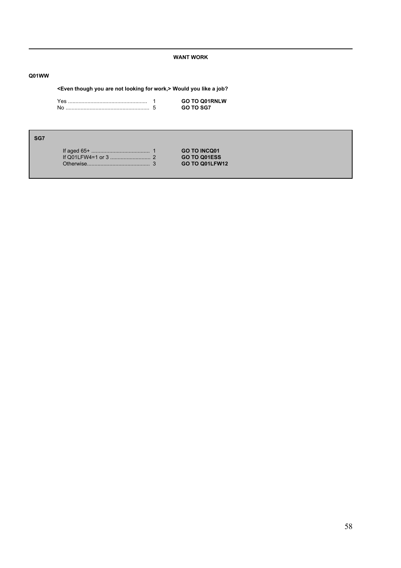## **WANT WORK**

# **Q01WW**

# **<Even though you are not looking for work,> Would you like a job?**

|  | GO TO O01RNLW    |
|--|------------------|
|  | <b>GO TO SG7</b> |

| ۰. | ٠ |  |
|----|---|--|

|  | <b>GO TO INCQ01</b> |
|--|---------------------|
|  | GO TO Q01ESS        |
|  | GO TO Q01LFW12      |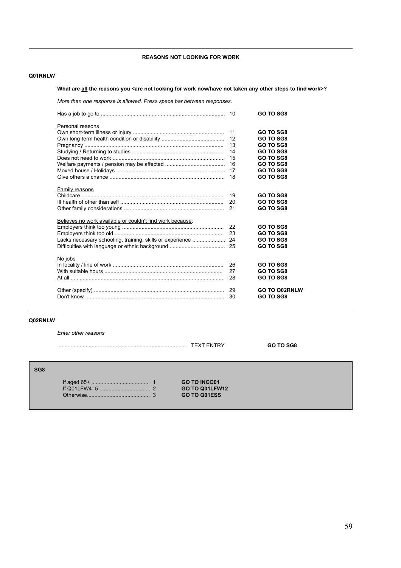# **REASONS NOT LOOKING FOR WORK**

## **Q01RNLW**

# What are **all** the reasons you <are not looking for work now/have not taken any other steps to find work>?

*More than one response is allowed. Press space bar between responses.*

|                                                           |    | GO TO SG8            |
|-----------------------------------------------------------|----|----------------------|
| Personal reasons                                          |    |                      |
|                                                           | 11 | GO TO SG8            |
|                                                           | 12 | GO TO SG8            |
|                                                           | 13 | GO TO SG8            |
|                                                           |    | GO TO SG8            |
|                                                           | 15 | <b>GO TO SG8</b>     |
|                                                           | 16 | GO TO SG8            |
|                                                           |    | GO TO SG8            |
|                                                           | 18 | GO TO SG8            |
| Family reasons                                            |    |                      |
|                                                           | 19 | GO TO SG8            |
|                                                           | 20 | GO TO SG8            |
|                                                           | 21 | GO TO SG8            |
| Believes no work available or couldn't find work because: |    |                      |
|                                                           | 22 | GO TO SG8            |
|                                                           | 23 | GO TO SG8            |
| Lacks necessary schooling, training, skills or experience | 24 | GO TO SG8            |
|                                                           | 25 | GO TO SG8            |
| No jobs                                                   |    |                      |
|                                                           | 26 | GO TO SG8            |
|                                                           | 27 | GO TO SG8            |
|                                                           | 28 | GO TO SG8            |
|                                                           | 29 | <b>GO TO Q02RNLW</b> |
|                                                           | 30 | <b>GO TO SG8</b>     |
|                                                           |    |                      |

## **Q02RNLW**

**S** 

*Enter other reasons*

|    |                  | <b>TEXT ENTRY</b>   | <b>GO TO SG8</b> |
|----|------------------|---------------------|------------------|
|    |                  |                     |                  |
| G8 |                  |                     |                  |
|    |                  | <b>GO TO INCQ01</b> |                  |
|    |                  | GO TO Q01LFW12      |                  |
|    | <b>Othenwise</b> | GO TO Q01ESS        |                  |
|    |                  |                     |                  |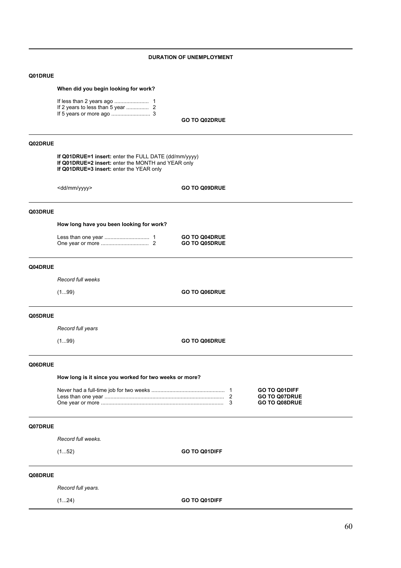## **DURATION OF UNEMPLOYMENT**

### **Q01DRUE**

### **When did you begin looking for work?**

| If less than 2 years ago | 1 |
|--------------------------|---|
|                          |   |
|                          |   |

**GO TO Q02DRUE**

## **Q02DRUE**

**If Q01DRUE=1 insert:** enter the FULL DATE (dd/mm/yyyy) **If Q01DRUE=2 insert:** enter the MONTH and YEAR only **If Q01DRUE=3 insert:** enter the YEAR only

<dd/mm/yyyy> **GO TO Q09DRUE**

Less than one year .............................. 1 **GO TO Q04DRUE** One year or more ................................ 2 **GO TO Q05DRUE**

# **Q03DRUE**

**How long have you been looking for work?**

### **Q04DRUE**

*Record full weeks*

(1...99) **GO TO Q06DRUE**

### **Q05DRUE**

*Record full years*

(1...99) **GO TO Q06DRUE**

### **Q06DRUE**

**How long is it since you worked for two weeks or more?**

|  | <b>GO TO Q01DIFF</b> |
|--|----------------------|
|  | <b>GO TO Q07DRUE</b> |
|  | <b>GO TO Q08DRUE</b> |

### **Q07DRUE**

*Record full weeks.*

(1...52) **GO TO Q01DIFF**

## **Q08DRUE**

*Record full years.*

(1...24) **GO TO Q01DIFF**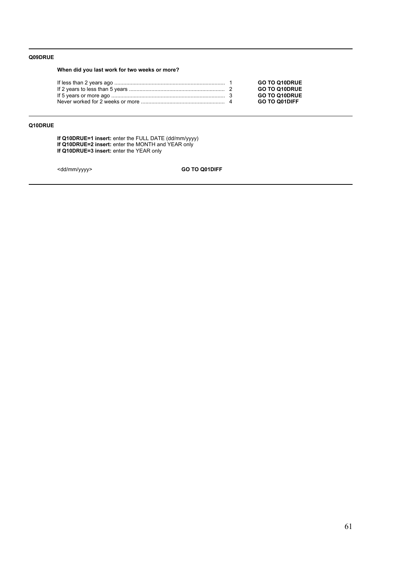# **Q09DRUE**

**When did you last work for two weeks or more?**

|  | <b>GO TO Q10DRUE</b> |
|--|----------------------|
|  | <b>GO TO Q10DRUE</b> |
|  | <b>GO TO Q10DRUE</b> |
|  | <b>GO TO Q01DIFF</b> |

# **Q10DRUE**

**If Q10DRUE=1 insert:** enter the FULL DATE (dd/mm/yyyy) **If Q10DRUE=2 insert:** enter the MONTH and YEAR only **If Q10DRUE=3 insert:** enter the YEAR only

<dd/mm/yyyy> **GO TO Q01DIFF**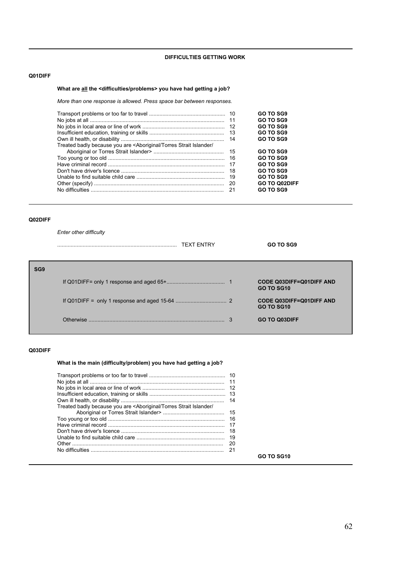# **DIFFICULTIES GETTING WORK**

## **Q01DIFF**

# **What are all the <difficulties/problems> you have had getting a job?**

*More than one response is allowed. Press space bar between responses.*

|                                                                                                                      |     | GO TO SG9            |
|----------------------------------------------------------------------------------------------------------------------|-----|----------------------|
|                                                                                                                      | 11  | GO TO SG9            |
|                                                                                                                      | -12 | <b>GO TO SG9</b>     |
|                                                                                                                      |     | GO TO SG9            |
|                                                                                                                      |     | GO TO SG9            |
| Treated badly because you are <aboriginal <="" islander="" strait="" td="" torres=""><td></td><td></td></aboriginal> |     |                      |
|                                                                                                                      |     | GO TO SG9            |
|                                                                                                                      | 16  | GO TO SG9            |
|                                                                                                                      | 17  | GO TO SG9            |
|                                                                                                                      | 18  | <b>GO TO SG9</b>     |
|                                                                                                                      | -19 | GO TO SG9            |
|                                                                                                                      | -20 | <b>GO TO Q02DIFF</b> |
|                                                                                                                      | 21  | GO TO SG9            |
|                                                                                                                      |     |                      |

## **Q02DIFF**

*Enter other difficulty*

|                 | <b>TEXT ENTRY</b> | GO TO SG9                                            |
|-----------------|-------------------|------------------------------------------------------|
| SG <sub>9</sub> |                   |                                                      |
|                 |                   | <b>CODE Q03DIFF=Q01DIFF AND</b><br><b>GO TO SG10</b> |
|                 |                   | <b>CODE Q03DIFF=Q01DIFF AND</b><br><b>GO TO SG10</b> |
|                 | Otherwise         | <b>GO TO Q03DIFF</b>                                 |

## **Q03DIFF**

**What is the main (difficulty/problem) you have had getting a job?**

# **GO TO SG10**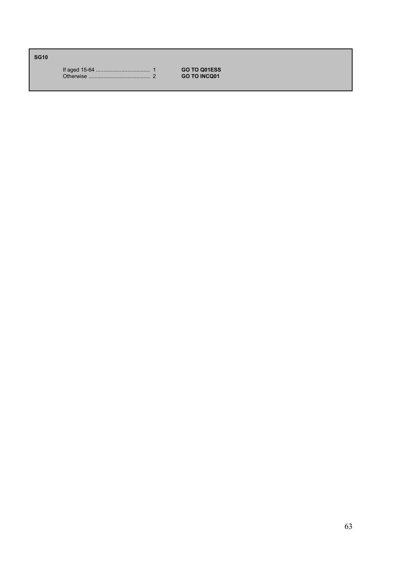**SG10**

If aged 15-64 .................................... 1 **GO TO Q01ESS** Otherwise ......................................... 2 **GO TO INCQ01**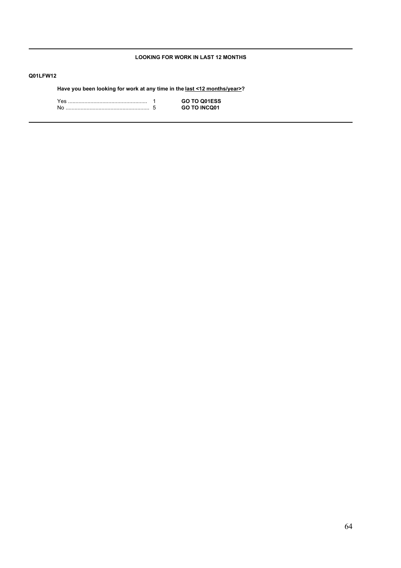# **LOOKING FOR WORK IN LAST 12 MONTHS**

# **Q01LFW12**

**Have you been looking for work at any time in the last <12 months/year>?**

|  | GO TO Q01ESS        |
|--|---------------------|
|  | <b>GO TO INCO01</b> |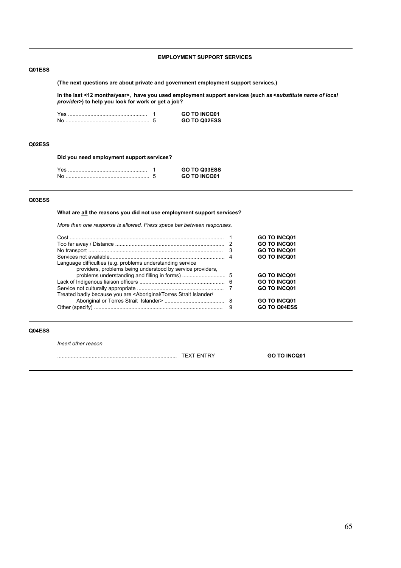## **EMPLOYMENT SUPPORT SERVICES**

## **Q01ESS**

**(The next questions are about private and government employment support services.)**

**In the last <12 months/year>, have you used employment support services (such as <***substitute name of local provider***>) to help you look for work or get a job?**

|    | <b>GO TO INCQ01</b> |
|----|---------------------|
| No | GO TO Q02ESS        |

## **Q02ESS**

**Did you need employment support services?**

|  | <b>GO TO Q03ESS</b> |
|--|---------------------|
|  | <b>GO TO INCQ01</b> |

## **Q03ESS**

**What are all the reasons you did not use employment support services?**

*More than one response is allowed. Press space bar between responses.*

| Language difficulties (e.g. problems understanding service<br>providers, problems being understood by service providers,                | -3 | <b>GO TO INCQ01</b><br><b>GO TO INCQ01</b><br><b>GO TO INCQ01</b><br><b>GO TO INCQ01</b> |
|-----------------------------------------------------------------------------------------------------------------------------------------|----|------------------------------------------------------------------------------------------|
|                                                                                                                                         |    | <b>GO TO INCQ01</b>                                                                      |
|                                                                                                                                         |    | <b>GO TO INCQ01</b>                                                                      |
| Treated badly because you are <aboriginal <="" islander="" strait="" td="" torres=""><td></td><td><b>GO TO INCQ01</b></td></aboriginal> |    | <b>GO TO INCQ01</b>                                                                      |
|                                                                                                                                         |    | <b>GO TO INCQ01</b>                                                                      |
|                                                                                                                                         |    | GO TO Q04ESS                                                                             |

## **Q04ESS**

*Insert other reason*

................................................................................ TEXT ENTRY **GO TO INCQ01**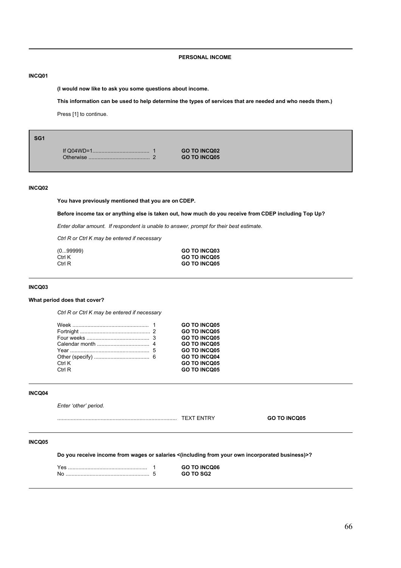## **PERSONAL INCOME**

### **INCQ01**

**(I would now like to ask you some questions about income.**

**This information can be used to help determine the types of services that are needed and who needs them.)**

Press [1] to continue.

|             | <b>GO TO INCQ02</b> |
|-------------|---------------------|
| Otherwise . | <b>GO TO INCQ05</b> |

## **INCQ02**

**You have previously mentioned that you are on CDEP.**

**Before income tax or anything else is taken out, how much do you receive from CDEP including Top Up?**

*Enter dollar amount. If respondent is unable to answer, prompt for their best estimate.*

*Ctrl R or Ctrl K may be entered if necessary*

| (0…99999) | <b>GO TO INCQ03</b> |
|-----------|---------------------|
| Ctrl K    | <b>GO TO INCO05</b> |
| Ctrl R    | <b>GO TO INCQ05</b> |

### **INCQ03**

## **What period does that cover?**

*Ctrl R or Ctrl K may be entered if necessary*

|        | <b>GO TO INCQ05</b> |
|--------|---------------------|
|        | <b>GO TO INCQ05</b> |
|        | <b>GO TO INCQ05</b> |
|        | <b>GO TO INCQ05</b> |
|        | <b>GO TO INCO05</b> |
|        | <b>GO TO INCO04</b> |
| Ctrl K | <b>GO TO INCQ05</b> |
| Ctrl R | <b>GO TO INCQ05</b> |

## **INCQ04**

Enter 'other' period.

................................................................................ TEXT ENTRY **GO TO INCQ05**

### **INCQ05**

**Do you receive income from wages or salaries <(including from your own incorporated business)>?**

Yes ..................................................... 1 **GO TO INCQ06** No ........................................................ 5 **GO TO SG2**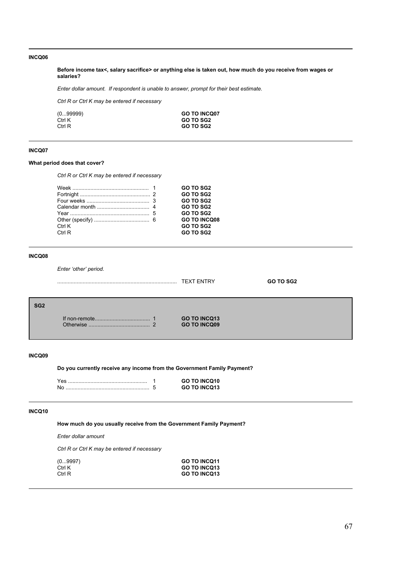**Before income tax<, salary sacrifice> or anything else is taken out, how much do you receive from wages or salaries?**

*Enter dollar amount. If respondent is unable to answer, prompt for their best estimate.*

*Ctrl R or Ctrl K may be entered if necessary*

| (099999) | <b>GO TO INCQ07</b> |
|----------|---------------------|
| Ctrl K   | <b>GO TO SG2</b>    |
| Ctrl R   | <b>GO TO SG2</b>    |

# **INCQ07**

## **What period does that cover?**

*Ctrl R or Ctrl K may be entered if necessary*

|        | <b>GO TO SG2</b>    |  |
|--------|---------------------|--|
|        | <b>GO TO SG2</b>    |  |
|        | <b>GO TO SG2</b>    |  |
|        | <b>GO TO SG2</b>    |  |
|        | <b>GO TO SG2</b>    |  |
|        | <b>GO TO INCQ08</b> |  |
| Ctrl K | <b>GO TO SG2</b>    |  |
| Ctrl R | <b>GO TO SG2</b>    |  |
|        |                     |  |

# **INCQ08**

Enter 'other' period.

|                 |                      | <b>TEXT ENTRY</b>                          | <b>GO TO SG2</b> |
|-----------------|----------------------|--------------------------------------------|------------------|
| SG <sub>2</sub> | <b>Othenwise</b><br> | <b>GO TO INCQ13</b><br><b>GO TO INCQ09</b> |                  |

## **INCQ09**

**Do you currently receive any income from the Government Family Payment?**

|  | <b>GO TO INCQ10</b> |
|--|---------------------|
|  | <b>GO TO INCQ13</b> |

# **INCQ10**

**How much do you usually receive from the Government Family Payment?**

*Enter dollar amount*

*Ctrl R or Ctrl K may be entered if necessary*

| (09997) | <b>GO TO INCQ11</b> |
|---------|---------------------|
| Ctrl K  | GO TO INCO13        |
| Ctrl R  | <b>GO TO INCQ13</b> |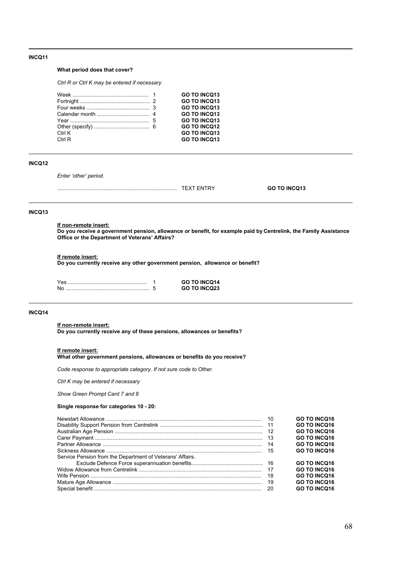### **What period does that cover?**

*Ctrl R or Ctrl K may be entered if necessary*

|        | <b>GO TO INCQ13</b> |
|--------|---------------------|
|        | <b>GO TO INCQ13</b> |
|        | <b>GO TO INCQ13</b> |
|        | <b>GO TO INCO13</b> |
|        | <b>GO TO INCO13</b> |
|        | <b>GO TO INCO12</b> |
| Ctrl K | <b>GO TO INCQ13</b> |
| Ctrl R | <b>GO TO INCQ13</b> |
|        |                     |

## **INCQ12**

Enter 'other' period.

| . | w<br>$\overline{\phantom{a}}$ | - |
|---|-------------------------------|---|
|   |                               |   |

## **INCQ13**

**If non-remote insert:**

**Do you receive a government pension, allowance or benefit, for example paid by Centrelink, the Family Assistance Office or the Department of Veterans' Affairs?** 

#### **If remote insert:**

**Do you currently receive any other government pension, allowance or benefit?**

|  | <b>GO TO INCQ14</b> |
|--|---------------------|
|  | <b>GO TO INCQ23</b> |

### **INCQ14**

**If non-remote insert:**

**Do you currently receive any of these pensions, allowances or benefits?**

#### **If remote insert:**

**What other government pensions, allowances or benefits do you receive?**

*Code response to appropriate category. If not sure code to Other.*

*Ctrl K may be entered if necessary*

*Show Green Prompt Card 7 and 8*

## **Single response for categories 10 - 20:**

|                                                           |     | <b>GO TO INCQ16</b> |
|-----------------------------------------------------------|-----|---------------------|
|                                                           |     | <b>GO TO INCQ16</b> |
|                                                           |     | <b>GO TO INCO16</b> |
|                                                           |     | <b>GO TO INCO16</b> |
|                                                           | -14 | <b>GO TO INCQ16</b> |
|                                                           |     | <b>GO TO INCQ16</b> |
| Service Pension from the Department of Veterans' Affairs. |     |                     |
|                                                           |     | <b>GO TO INCQ16</b> |
|                                                           |     | GO TO INCO16        |
|                                                           | 18  | <b>GO TO INCQ16</b> |
|                                                           |     | <b>GO TO INCQ16</b> |
|                                                           |     | <b>GO TO INCQ16</b> |
|                                                           |     |                     |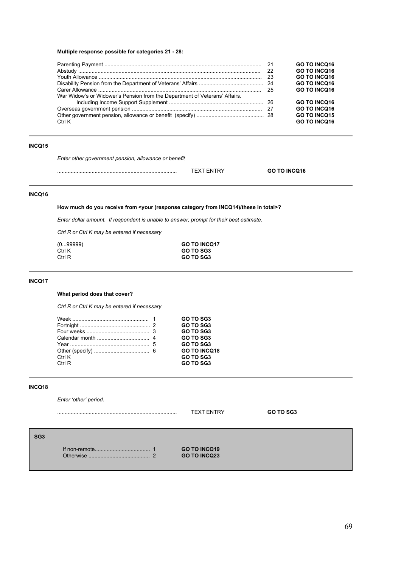# **Multiple response possible for categories 21 - 28:**

|                                                                            | <b>GO TO INCQ16</b> |
|----------------------------------------------------------------------------|---------------------|
|                                                                            | <b>GO TO INCQ16</b> |
|                                                                            | <b>GO TO INCQ16</b> |
|                                                                            | <b>GO TO INCQ16</b> |
|                                                                            | <b>GO TO INCQ16</b> |
| War Widow's or Widower's Pension from the Department of Veterans' Affairs. |                     |
|                                                                            | <b>GO TO INCQ16</b> |
|                                                                            | <b>GO TO INCQ16</b> |
|                                                                            | <b>GO TO INCQ15</b> |
| Ctrl K                                                                     | <b>GO TO INCQ16</b> |

# **INCQ15**

*Enter other government pension, allowance or benefit*

................................................................................ TEXT ENTRY **GO TO INCQ16**

# **INCQ16**

# **How much do you receive from <your (response category from INCQ14)/these in total>?**

*Enter dollar amount. If respondent is unable to answer, prompt for their best estimate.*

*Ctrl R or Ctrl K may be entered if necessary*

| (0…99999) | <b>GO TO INCQ17</b> |
|-----------|---------------------|
| Ctrl K    | GO TO SG3           |
| Ctrl R    | GO TO SG3           |

## **INCQ17**

# **What period does that cover?**

*Ctrl R or Ctrl K may be entered if necessary*

|                  | GO TO SG3<br>GO TO SG3                        |
|------------------|-----------------------------------------------|
|                  | GO TO SG3<br>GO TO SG3                        |
|                  | GO TO SG3                                     |
| Ctrl K<br>Ctrl R | <b>GO TO INCQ18</b><br>GO TO SG3<br>GO TO SG3 |

## **INCQ18**

Enter 'other' period.

|                 |                | <b>TEXT ENTRY</b>                          | GO TO SG3 |
|-----------------|----------------|--------------------------------------------|-----------|
| SG <sub>3</sub> | Otherwise<br>c | <b>GO TO INCQ19</b><br><b>GO TO INCQ23</b> |           |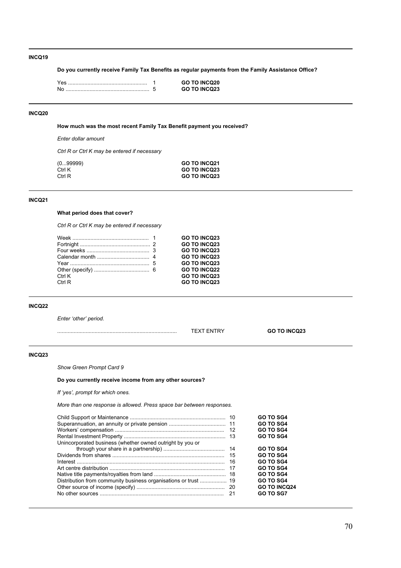**Do you currently receive Family Tax Benefits as regular payments from the Family Assistance Office?**

|  | <b>GO TO INCQ20</b> |
|--|---------------------|
|  | <b>GO TO INCQ23</b> |

## **INCQ20**

**How much was the most recent Family Tax Benefit payment you received?**

*Enter dollar amount*

*Ctrl R or Ctrl K may be entered if necessary*

| (099999) | <b>GO TO INCO21</b> |
|----------|---------------------|
| Ctrl K   | <b>GO TO INCQ23</b> |
| Ctrl R   | <b>GO TO INCQ23</b> |

## **INCQ21**

# **What period does that cover?**

*Ctrl R or Ctrl K may be entered if necessary*

|        | <b>GO TO INCQ23</b> |
|--------|---------------------|
|        | <b>GO TO INCQ23</b> |
|        | <b>GO TO INCQ23</b> |
|        | <b>GO TO INCQ23</b> |
|        | <b>GO TO INCQ23</b> |
|        | <b>GO TO INCQ22</b> |
| Ctrl K | <b>GO TO INCQ23</b> |
| Ctrl R | <b>GO TO INCQ23</b> |
|        |                     |

# **INCQ22**

Enter 'other' period.

| <br>_ | <b>000</b><br>INI |
|-------|-------------------|
|       |                   |

## **INCQ23**

*Show Green Prompt Card 9*

# **Do you currently receive income from any other sources?**

*If ëyesí, prompt for which ones.*

*More than one response is allowed. Press space bar between responses.*

|                                                           |    | <b>GO TO SG4</b>    |
|-----------------------------------------------------------|----|---------------------|
|                                                           |    | <b>GO TO SG4</b>    |
|                                                           |    | <b>GO TO SG4</b>    |
|                                                           |    | <b>GO TO SG4</b>    |
| Unincorporated business (whether owned outright by you or |    |                     |
|                                                           |    | <b>GO TO SG4</b>    |
|                                                           |    | <b>GO TO SG4</b>    |
|                                                           | 16 | <b>GO TO SG4</b>    |
|                                                           |    | <b>GO TO SG4</b>    |
|                                                           |    | <b>GO TO SG4</b>    |
|                                                           |    | <b>GO TO SG4</b>    |
|                                                           |    | <b>GO TO INCQ24</b> |
|                                                           |    | <b>GO TO SG7</b>    |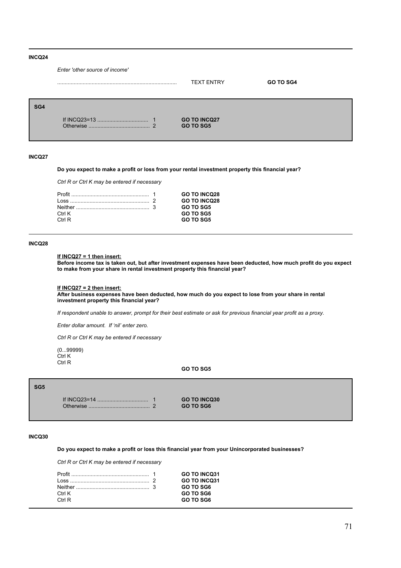|     | Enter 'other source of income' |                                         |                  |
|-----|--------------------------------|-----------------------------------------|------------------|
|     |                                | <b>TEXT ENTRY</b>                       | <b>GO TO SG4</b> |
| SG4 | Otherwise                      | <b>GO TO INCQ27</b><br><b>GO TO SG5</b> |                  |

#### **INCQ27**

# **Do you expect to make a profit or loss from your rental investment property this financial year?**

*Ctrl R or Ctrl K may be entered if necessary*

|           | <b>GO TO INCO28</b> |
|-----------|---------------------|
|           | <b>GO TO INCO28</b> |
|           | <b>GO TO SG5</b>    |
| $C$ trl K | <b>GO TO SG5</b>    |
| Ctrl R    | <b>GO TO SG5</b>    |
|           |                     |

### **INCQ28**

## **If INCQ27 = 1 then insert:**

**Before income tax is taken out, but after investment expenses have been deducted, how much profit do you expect to make from your share in rental investment property this financial year?**

#### **If INCQ27 = 2 then insert:**

**After business expenses have been deducted, how much do you expect to lose from your share in rental investment property this financial year?**

*If respondent unable to answer, prompt for their best estimate or ask for previous financial year profit as a proxy.*

*Enter dollar amount. If ënilí enter zero.*

*Ctrl R or Ctrl K may be entered if necessary*

(0...99999) Ctrl K Ctrl R

**GO TO SG5**

### **SG5**

If INCQ23=14 .................................. 1 **GO TO INCQ30** Otherwise ......................................... 2 **GO TO SG6**

#### **INCQ30**

**Do you expect to make a profit or loss this financial year from your Unincorporated businesses?**

*Ctrl R or Ctrl K may be entered if necessary*

|        | <b>GO TO INCO31</b> |
|--------|---------------------|
|        | <b>GO TO INCO31</b> |
|        | GO TO SG6           |
| Ctrl K | GO TO SG6           |
| Ctrl R | GO TO SG6           |
|        |                     |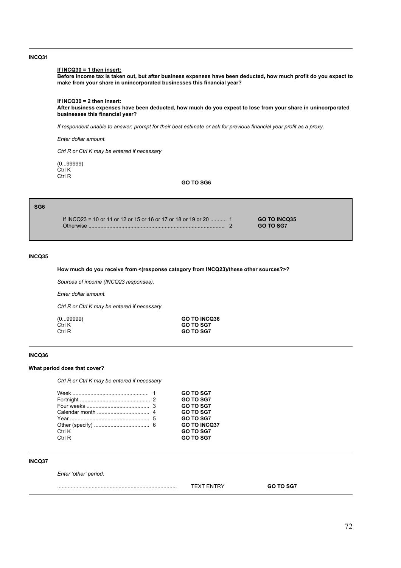### **If INCQ30 = 1 then insert:**

**Before income tax is taken out, but after business expenses have been deducted, how much profit do you expect to make from your share in unincorporated businesses this financial year?**

## **If INCQ30 = 2 then insert:**

**After business expenses have been deducted, how much do you expect to lose from your share in unincorporated businesses this financial year?**

*If respondent unable to answer, prompt for their best estimate or ask for previous financial year profit as a proxy.*

*Enter dollar amount.* 

*Ctrl R or Ctrl K may be entered if necessary*

(0...99999) Ctrl K Ctrl R

**GO TO SG6**

| SG6 |                                                                                |                                         |  |
|-----|--------------------------------------------------------------------------------|-----------------------------------------|--|
|     | If INCQ23 = 10 or 11 or 12 or 15 or 16 or 17 or 18 or 19 or 20  1<br>Otherwise | <b>GO TO INCQ35</b><br><b>GO TO SG7</b> |  |

# **INCQ35**

## **How much do you receive from <(response category from INCQ23)/these other sources?>?**

*Sources of income (INCQ23 responses).*

*Enter dollar amount.*

*Ctrl R or Ctrl K may be entered if necessary*

| (099999) |  |
|----------|--|
| Ctrl K   |  |
| Ctrl R   |  |

(0...99999) **GO TO INCQ36** GO TO SG7 GO TO SG7

#### **INCQ36**

## **What period does that cover?**

*Ctrl R or Ctrl K may be entered if necessary*

|        | <b>GO TO SG7</b>    |
|--------|---------------------|
|        |                     |
|        | <b>GO TO SG7</b>    |
|        | <b>GO TO SG7</b>    |
|        | <b>GO TO SG7</b>    |
|        | <b>GO TO SG7</b>    |
|        | <b>GO TO INCQ37</b> |
| Ctrl K | <b>GO TO SG7</b>    |
| Ctrl R | <b>GO TO SG7</b>    |
|        |                     |

## **INCQ37**

Enter 'other' period.

| . |  |  |
|---|--|--|
|   |  |  |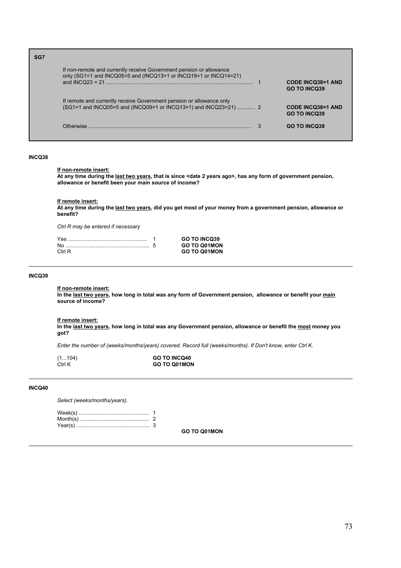| SG7 |                                                                                                                                          |                                                 |
|-----|------------------------------------------------------------------------------------------------------------------------------------------|-------------------------------------------------|
|     | If non-remote and currently receive Government pension or allowance<br>only (SG1=1 and INCQ05=5 and (INCQ13=1 or INCQ19=1 or INCQ14=21)  | <b>CODE INCQ38=1 AND</b><br><b>GO TO INCO39</b> |
|     | If remote and currently receive Government pension or allowance only<br>(SG1=1 and INCQ05=5 and (INCQ09=1 or INCQ13=1) and INCQ23=21)  2 | <b>CODE INCQ38=1 AND</b><br><b>GO TO INCO39</b> |
|     | Otherwise                                                                                                                                | <b>GO TO INCO38</b>                             |

#### **INCQ38**

#### **If non-remote insert:**

**At any time during the last two years, that is since <date 2 years ago>, has any form of government pension, allowance or benefit been your main source of income?**

**If remote insert:**

**At any time during the last two years, did you get most of your money from a government pension, allowance or benefit?**

*Ctrl R may be entered if necessary*

|        | <b>GO TO INCQ39</b> |
|--------|---------------------|
|        | <b>GO TO Q01MON</b> |
| Ctrl R | <b>GO TO Q01MON</b> |

### **INCQ39**

#### **If non-remote insert:**

**In the last two years, how long in total was any form of Government pension, allowance or benefit your main source of income?**

# **If remote insert:**

**In the last two years, how long in total was any Government pension, allowance or benefit the most money you got?**

*Enter the number of (weeks/months/years) covered. Record full (weeks/months). If Don't know, enter Ctrl K.*

| (1104) | <b>GO TO INCQ40</b> |
|--------|---------------------|
| Ctrl K | <b>GO TO Q01MON</b> |

#### **INCQ40**

*Select (weeks/months/years).*

**GO TO Q01MON**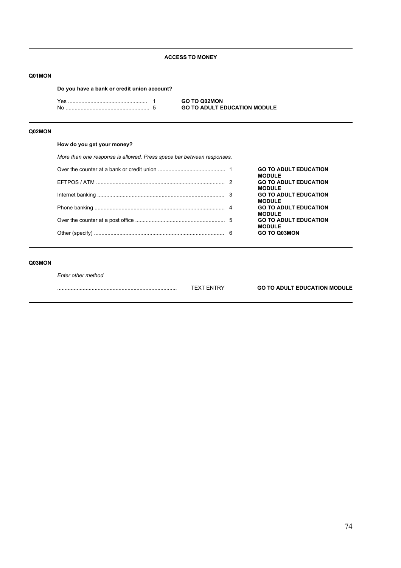# **ACCESS TO MONEY**

### **Q01MON**

**Do you have a bank or credit union account?**

Yes ..................................................... 1 **GO TO Q02MON** No ........................................................ 5 **GO TO ADULT EDUCATION MODULE**

### **Q02MON**

# **How do you get your money?**

*More than one response is allowed. Press space bar between responses.*

|  | <b>GO TO ADULT EDUCATION</b><br><b>MODULE</b> |
|--|-----------------------------------------------|
|  | <b>GO TO ADULT EDUCATION</b><br><b>MODULE</b> |
|  | <b>GO TO ADULT EDUCATION</b><br><b>MODULE</b> |
|  | <b>GO TO ADULT EDUCATION</b><br><b>MODULE</b> |
|  | <b>GO TO ADULT EDUCATION</b><br><b>MODULE</b> |
|  | <b>GO TO Q03MON</b>                           |

# **Q03MON**

*Enter other method*

|  | <b>FDUCATION</b><br>GO<br>ד וווח.<br>וותמש |
|--|--------------------------------------------|
|  |                                            |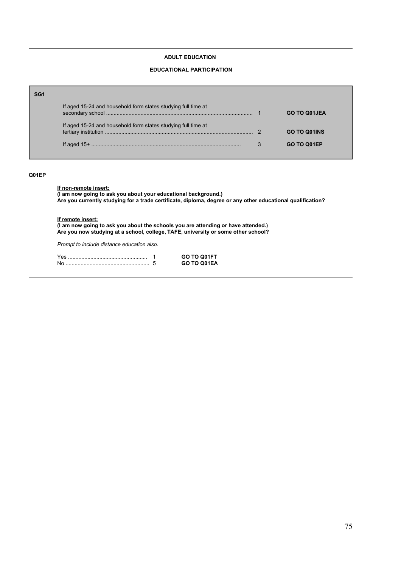### **ADULT EDUCATION**

### **EDUCATIONAL PARTICIPATION**

| SG1 |                                                               |                     |
|-----|---------------------------------------------------------------|---------------------|
|     | If aged 15-24 and household form states studying full time at | GO TO Q01JEA        |
|     | If aged 15-24 and household form states studying full time at | <b>GO TO Q01INS</b> |
|     |                                                               | GO TO Q01EP         |

### **Q01EP**

# **If non-remote insert:**

**(I am now going to ask you about your educational background.) Are you currently studying for a trade certificate, diploma, degree or any other educational qualification?**

### **If remote insert:**

**(I am now going to ask you about the schools you are attending or have attended.) Are you now studying at a school, college, TAFE, university or some other school?**

*Prompt to include distance education also.*

| Yes | GO TO Q01FT |
|-----|-------------|
| No  | GO TO Q01EA |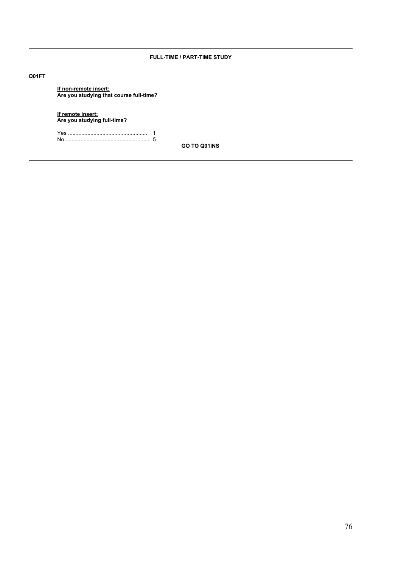# **FULL-TIME / PART-TIME STUDY**

### **Q01FT**

**If non-remote insert: Are you studying that course full-time?**

**If remote insert: Are you studying full-time?**

Yes ..................................................... 1 No ........................................................ 5

**GO TO Q01INS**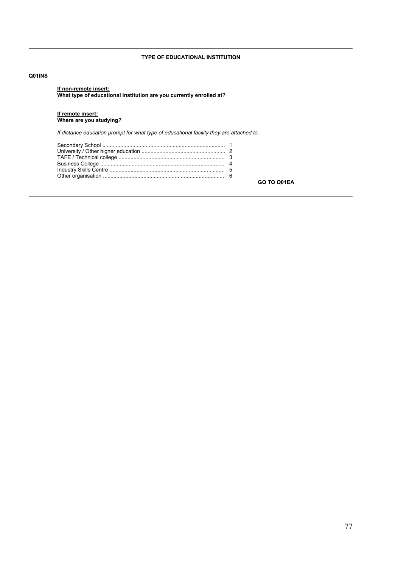# **TYPE OF EDUCATIONAL INSTITUTION**

### **Q01INS**

**If non-remote insert: What type of educational institution are you currently enrolled at?**

#### **If remote insert: Where are you studying?**

*If distance education prompt for what type of educational facility they are attached to.* 

**GO TO Q01EA**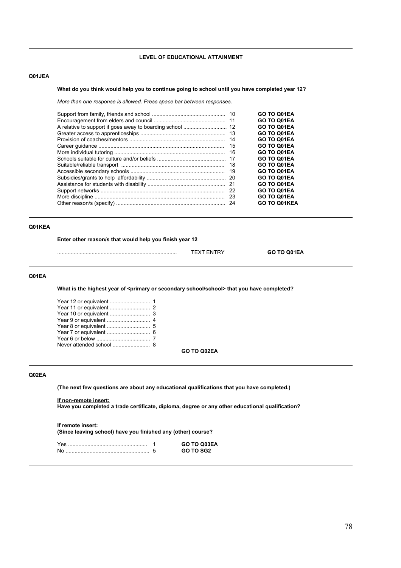### **LEVEL OF EDUCATIONAL ATTAINMENT**

# **Q01JEA**

### **What do you think would help you to continue going to school until you have completed year 12?**

*More than one response is allowed. Press space bar between responses.*

|     | GO TO Q01EA         |
|-----|---------------------|
|     | GO TO Q01EA         |
|     | GO TO Q01EA         |
|     | GO TO Q01EA         |
| -14 | GO TO Q01EA         |
| 15  | GO TO Q01EA         |
|     | GO TO Q01EA         |
|     | GO TO Q01EA         |
| -18 | GO TO Q01EA         |
| 19  | GO TO Q01EA         |
|     | GO TO Q01EA         |
|     | GO TO Q01EA         |
|     | GO TO Q01EA         |
|     | GO TO Q01EA         |
|     | <b>GO TO Q01KEA</b> |

# **Q01KEA**

**Enter other reason/s that would help you finish year 12**

................................................................................ TEXT ENTRY **GO TO Q01EA**

### **Q01EA**

What is the highest year of <primary or secondary school/school> that you have completed?

**GO TO Q02EA**

# **Q02EA**

**(The next few questions are about any educational qualifications that you have completed.)**

**If non-remote insert:**

**Have you completed a trade certificate, diploma, degree or any other educational qualification?**

#### **If remote insert:**

**(Since leaving school) have you finished any (other) course?**

| Yes | GO TO Q03EA |
|-----|-------------|
| Nc  | GO TO SG2   |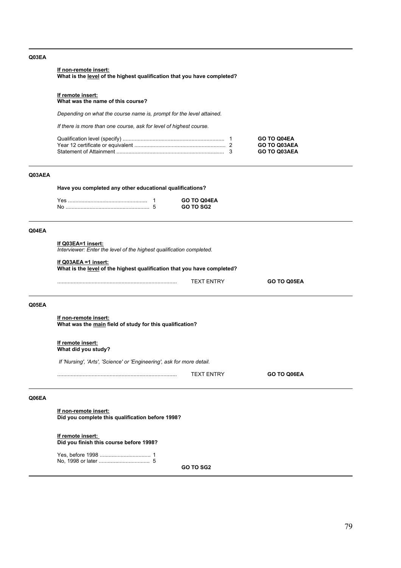#### **Q03EA**

### **If non-remote insert:**

**What is the level of the highest qualification that you have completed?**

#### **If remote insert:**

**What was the name of this course?**

*Depending on what the course name is, prompt for the level attained.* 

*If there is more than one course, ask for level of highest course.*

|  | <b>GO TO Q04EA</b>  |
|--|---------------------|
|  | <b>GO TO Q03AEA</b> |
|  | <b>GO TO Q03AEA</b> |

# **Q03AEA**

**Have you completed any other educational qualifications?**

|  | <b>GO TO Q04EA</b> |
|--|--------------------|
|  | GO TO SG2          |

#### **Q04EA**

#### **If Q03EA=1 insert:**

*Interviewer: Enter the level of the highest qualification completed.*

### **If Q03AEA =1 insert:**

**What is the level of the highest qualification that you have completed?**

................................................................................ TEXT ENTRY **GO TO Q05EA**

#### **Q05EA**

**If non-remote insert: What was the main field of study for this qualification?**

**If remote insert: What did you study?**

 *If 'Nursing', 'Arts', 'Science' or 'Engineering', ask for more detail.*

................................................................................ TEXT ENTRY **GO TO Q06EA**

### **Q06EA**

**If non-remote insert: Did you complete this qualification before 1998?**

**If remote insert: Did you finish this course before 1998?**

**GO TO SG2**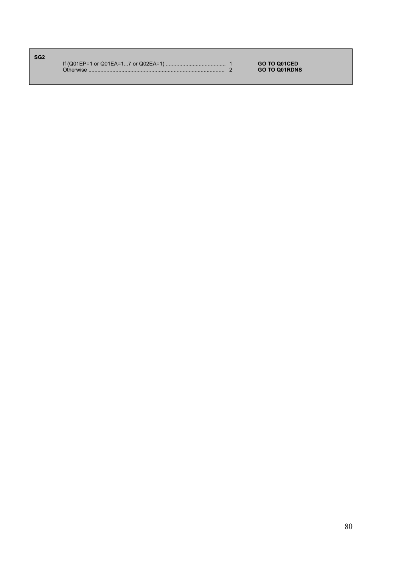| SG <sub>2</sub> |           |                      |
|-----------------|-----------|----------------------|
|                 |           | <b>GO TO Q01CED</b>  |
|                 | Otherwise | <b>GO TO Q01RDNS</b> |
|                 |           |                      |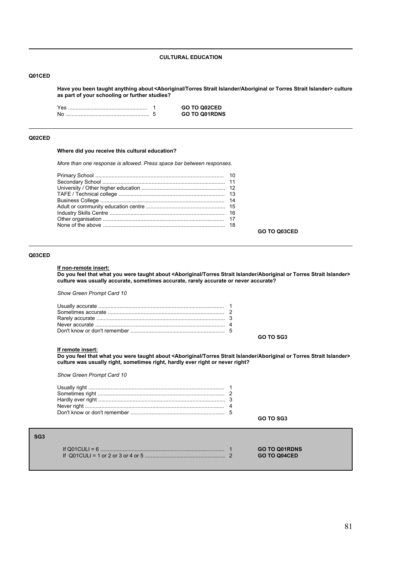### **CULTURAL EDUCATION**

#### **Q01CED**

**Have you been taught anything about <Aboriginal/Torres Strait Islander/Aboriginal or Torres Strait Islander> culture as part of your schooling or further studies?**

|  | GO TO Q02CED         |
|--|----------------------|
|  | <b>GO TO Q01RDNS</b> |

#### **Q02CED**

### **Where did you receive this cultural education?**

*More than one response is allowed. Press space bar between responses.*

# **GO TO Q03CED**

#### **Q03CED**

#### **If non-remote insert:**

**Do you feel that what you were taught about <Aboriginal/Torres Strait Islander/Aboriginal or Torres Strait Islander> culture was usually accurate, sometimes accurate, rarely accurate or never accurate?**

*Show Green Prompt Card 10*

**GO TO SG3**

#### **If remote insert:**

**Do you feel that what you were taught about <Aboriginal/Torres Strait Islander/Aboriginal or Torres Strait Islander> culture was usually right, sometimes right, hardly ever right or never right?**

*Show Green Prompt Card 10*

**GO TO SG3**

| SG <sub>3</sub> |  |                                             |
|-----------------|--|---------------------------------------------|
|                 |  | <b>GO TO Q01RDNS</b><br><b>GO TO Q04CED</b> |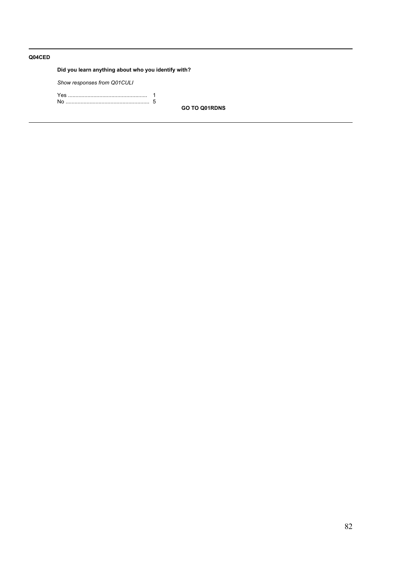# **Q04CED**

# **Did you learn anything about who you identify with?**

*Show responses from Q01CULI*

**GO TO Q01RDNS**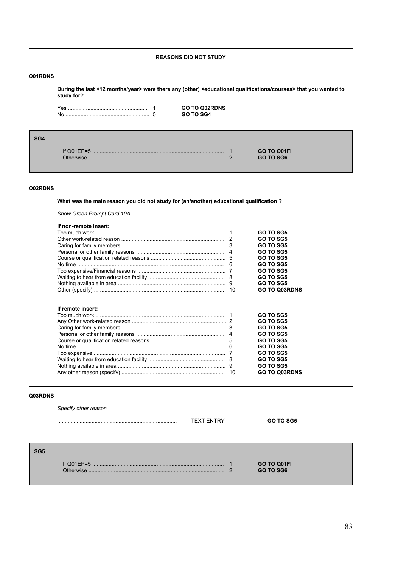# **REASONS DID NOT STUDY**

### **Q01RDNS**

**During the last <12 months/year> were there any (other) <educational qualifications/courses> that you wanted to study for?**

|  | <b>GO TO Q02RDNS</b> |
|--|----------------------|
|  | GO TO SG4            |

| If Q01 $E$ P=5  | GO TO Q01FI |
|-----------------|-------------|
| <b>Therwise</b> | GO TO SG6   |

# **Q02RDNS**

**SG4**

# **What was the main reason you did not study for (an/another) educational qualification ?**

*Show Green Prompt Card 10A*

| If non-remote insert: |    |                      |
|-----------------------|----|----------------------|
|                       |    | <b>GO TO SG5</b>     |
|                       |    | <b>GO TO SG5</b>     |
|                       |    | <b>GO TO SG5</b>     |
|                       |    | <b>GO TO SG5</b>     |
|                       |    | <b>GO TO SG5</b>     |
|                       |    | <b>GO TO SG5</b>     |
|                       |    | <b>GO TO SG5</b>     |
|                       |    | <b>GO TO SG5</b>     |
|                       |    | <b>GO TO SG5</b>     |
|                       | 10 | <b>GO TO Q03RDNS</b> |
| If remote insert:     |    | <b>GO TO SG5</b>     |
|                       |    | GO TO SG5            |
|                       |    | <b>GO TO SG5</b>     |
|                       |    | GO TO SG5            |
|                       |    | <b>GO TO SG5</b>     |
|                       |    | <b>GO TO SG5</b>     |
|                       |    | GO TO SG5            |
|                       |    | GO TO SG5            |
|                       |    | <b>GO TO SG5</b>     |
|                       |    | <b>GO TO Q03RDNS</b> |

#### **Q03RDNS**

|                 | Specify other reason | <b>TEXT ENTRY</b> |   | <b>GO TO SG5</b>         |  |
|-----------------|----------------------|-------------------|---|--------------------------|--|
| SG <sub>5</sub> | Otherwise            |                   | ົ | GO TO Q01FI<br>GO TO SG6 |  |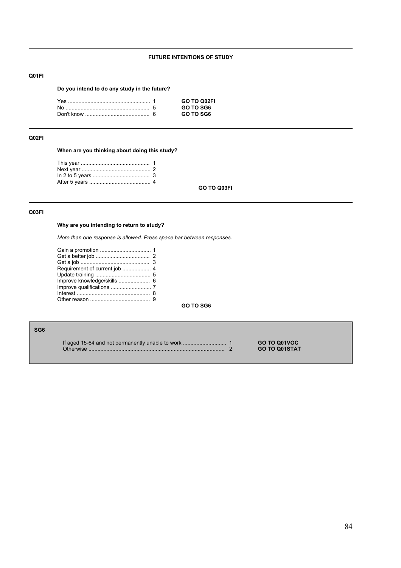# **FUTURE INTENTIONS OF STUDY**

# **Q01FI**

# **Do you intend to do any study in the future?**

|  | GO TO 002FI |
|--|-------------|
|  | GO TO SG6   |
|  | GO TO SG6   |

# **Q02FI**

**When are you thinking about doing this study?**

**GO TO Q03FI**

### **Q03FI**

# **Why are you intending to return to study?**

*More than one response is allowed. Press space bar between responses.*

| Requirement of current job  4 |  |
|-------------------------------|--|
|                               |  |
| Improve knowledge/skills  6   |  |
|                               |  |
|                               |  |
|                               |  |
|                               |  |

**GO TO SG6**

| ٠ | ٠ |
|---|---|

If aged 15-64 and not permanently unable to work ............................. 1 **GO TO Q01VOC** Otherwise ........................................................................................... 2 **GO TO Q01STAT**

84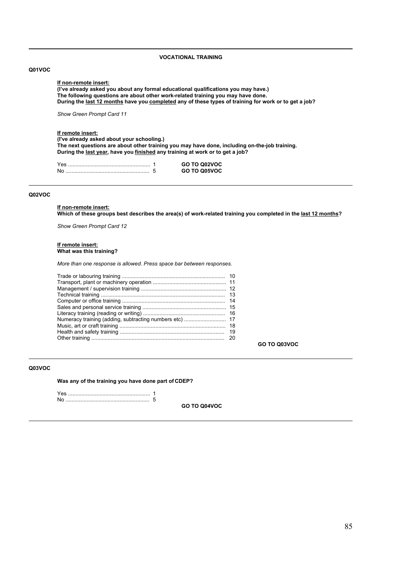### **VOCATIONAL TRAINING**

### **Q01VOC**

#### **If non-remote insert: (Iíve already asked you about any formal educational qualifications you may have.) The following questions are about other work-related training you may have done. During the last 12 months have you completed any of these types of training for work or to get a job?**

*Show Green Prompt Card 11*

# **If remote insert:**

**(I've already asked about your schooling.) The next questions are about other training you may have done, including on-the-job training. During the last year, have you finished any training at work or to get a job?**

|      | GO TO Q02VOC |
|------|--------------|
| . No | GO TO Q05VOC |

#### **Q02VOC**

**If non-remote insert: Which of these groups best describes the area(s) of work-related training you completed in the last 12 months?**

*Show Green Prompt Card 12*

#### **If remote insert: What was this training?**

*More than one response is allowed. Press space bar between responses.*

| 20 |
|----|

**GO TO Q03VOC**

### **Q03VOC**

**Was any of the training you have done part of CDEP?**

Yes ....................................................... 1 No ........................................................ 5

**GO TO Q04VOC**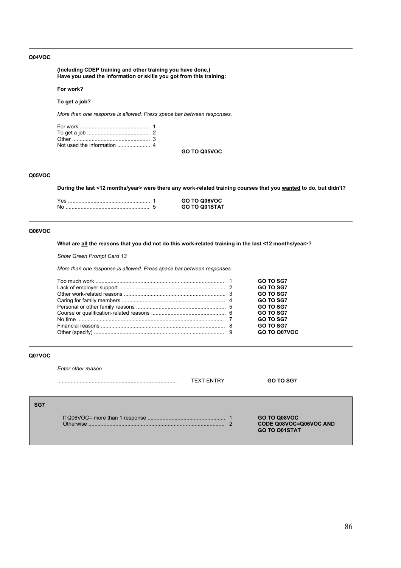### **Q04VOC**

**(Including CDEP training and other training you have done,) Have you used the information or skills you got from this training:**

#### **For work?**

**To get a job?**

*More than one response is allowed. Press space bar between responses.*

**GO TO Q05VOC**

# **Q05VOC**

**During the last <12 months/year> were there any work-related training courses that you wanted to do, but didn't?**

|  | GO TO Q06VOC         |
|--|----------------------|
|  | <b>GO TO Q01STAT</b> |

#### **Q06VOC**

**What are all the reasons that you did not do this work-related training in the last <12 months/year**>**?**

*Show Green Prompt Card 13*

*More than one response is allowed. Press space bar between responses.*

|  | <b>GO TO SG7</b> |
|--|------------------|
|  | <b>GO TO SG7</b> |
|  | <b>GO TO SG7</b> |
|  | <b>GO TO SG7</b> |
|  | <b>GO TO SG7</b> |
|  | <b>GO TO SG7</b> |
|  | <b>GO TO SG7</b> |
|  | <b>GO TO SG7</b> |
|  | GO TO Q07VOC     |

### **Q07VOC**

*Enter other reason*

|     |           | <b>TEXT ENTRY</b> | <b>GO TO SG7</b>                                               |
|-----|-----------|-------------------|----------------------------------------------------------------|
| SG7 | Otherwise |                   | GO TO Q08VOC<br>CODE Q08VOC=Q06VOC AND<br><b>GO TO Q01STAT</b> |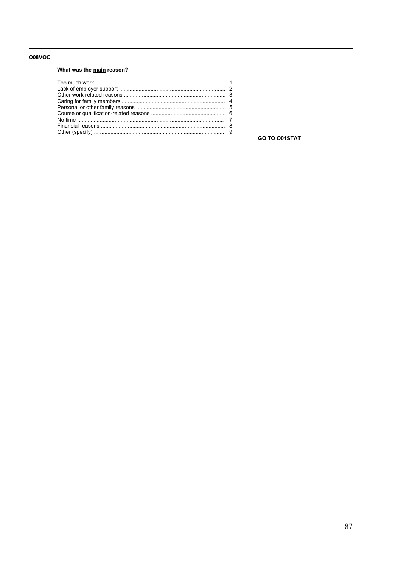### Q08VOC

# What was the main reason?

**GO TO Q01STAT**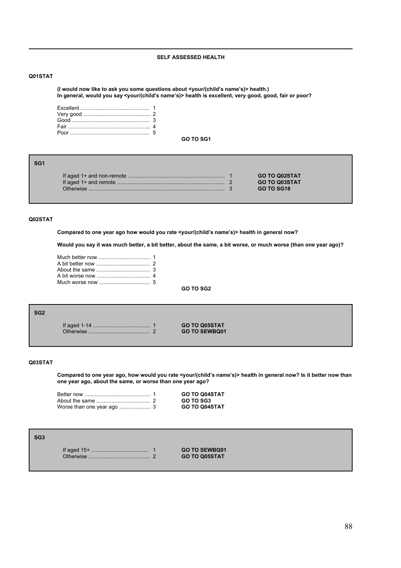### **SELF ASSESSED HEALTH**

### **Q01STAT**

(I would now like to ask you some questions about <your/(child's name's)> health.) **In general, would you say <your/(childís nameís)> health is excellent, very good, good, fair or poor?**

**GO TO SG1**

|           | <b>GO TO Q02STAT</b> |
|-----------|----------------------|
|           | <b>GO TO Q03STAT</b> |
| ∩therwise | GO TO SG18           |

### **Q02STAT**

**SG1**

Compared to one year ago how would you rate <your/(child's name's)> health in general now?

**Would you say it was much better, a bit better, about the same, a bit worse, or much worse (than one year ago)?**

**GO TO SG2**

**SG2**

If aged 1-14 ...................................... 1 **GO TO Q05STAT** Otherwise ......................................... 2 **GO TO SEWBQ01**

### **Q03STAT**

**Compared to one year ago, how would you rate <your/(childís nameís)> health in general now? Is it better now than one year ago, about the same, or worse than one year ago?**

|  | <b>GO TO Q04STAT</b> |
|--|----------------------|
|  | <b>GO TO SG3</b>     |
|  | <b>GO TO Q04STAT</b> |

### **SG3**

If aged 15+ ...................................... 1 **GO TO SEWBQ01**  $GO TO Q05STAT$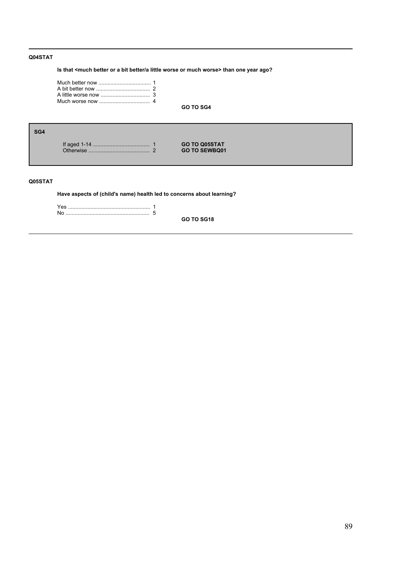# **Q04STAT**

**Is that <much better or a bit better/a little worse or much worse> than one year ago?**

**GO TO SG4**

| SG4 |          |                      |  |
|-----|----------|----------------------|--|
|     |          | <b>GO TO Q05STAT</b> |  |
|     | $\Omega$ | <b>GO TO SEWBQ01</b> |  |

# **Q05STAT**

**Have aspects of (child's name) health led to concerns about learning?**

Yes ....................................................... 1 No ........................................................ 5

**GO TO SG18**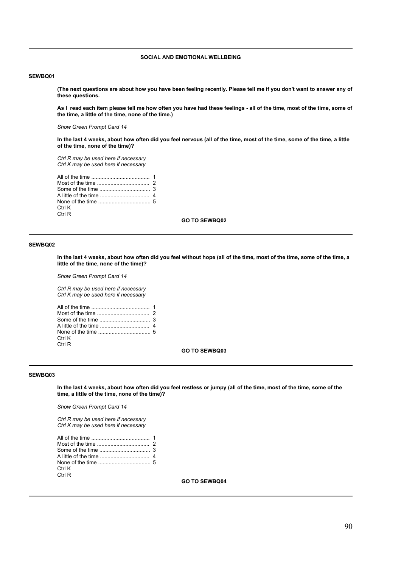### **SOCIAL AND EMOTIONAL WELLBEING**

#### **SEWBQ01**

**(The next questions are about how you have been feeling recently. Please tell me if you don't want to answer any of these questions.**

**As I read each item please tell me how often you have had these feelings - all of the time, most of the time, some of the time, a little of the time, none of the time.)**

*Show Green Prompt Card 14*

**In the last 4 weeks, about how often did you feel nervous (all of the time, most of the time, some of the time, a little of the time, none of the time)?**

*Ctrl R may be used here if necessary Ctrl K may be used here if necessary*

| Ctrl K |  |
|--------|--|
| Ctrl R |  |

**GO TO SEWBQ02**

#### **SEWBQ02**

**In the last 4 weeks, about how often did you feel without hope (all of the time, most of the time, some of the time, a little of the time, none of the time)?**

*Show Green Prompt Card 14*

*Ctrl R may be used here if necessary Ctrl K may be used here if necessary*

| Ctrl K |  |
|--------|--|
| Ctrl R |  |

**GO TO SEWBQ03**

### **SEWBQ03**

**In the last 4 weeks, about how often did you feel restless or jumpy (all of the time, most of the time, some of the time, a little of the time, none of the time)?**

*Show Green Prompt Card 14*

*Ctrl R may be used here if necessary Ctrl K may be used here if necessary*

| Ctrl K |  |
|--------|--|
| Ctrl R |  |
|        |  |

**GO TO SEWBQ04**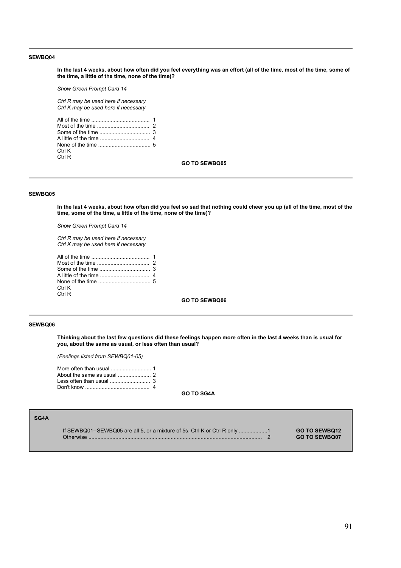**In the last 4 weeks, about how often did you feel everything was an effort (all of the time, most of the time, some of the time, a little of the time, none of the time)?**

*Show Green Prompt Card 14*

*Ctrl R may be used here if necessary Ctrl K may be used here if necessary*

| Ctrl K |  |
|--------|--|
| Ctrl R |  |

**GO TO SEWBQ05**

### **SEWBQ05**

**In the last 4 weeks, about how often did you feel so sad that nothing could cheer you up (all of the time, most of the time, some of the time, a little of the time, none of the time)?**

*Show Green Prompt Card 14*

*Ctrl R may be used here if necessary Ctrl K may be used here if necessary*

| Ctrl K |  |
|--------|--|
| Ctrl R |  |

**GO TO SEWBQ06**

### **SEWBQ06**

**Thinking about the last few questions did these feelings happen more often in the last 4 weeks than is usual for you, about the same as usual, or less often than usual?**

*(Feelings listed from SEWBQ01-05)*

| About the same as usual $\ldots$ $\ldots$ $\ldots$ 2 |  |
|------------------------------------------------------|--|
|                                                      |  |
|                                                      |  |

**GO TO SG4A**

| SG4A |                                                                                         |                                              |
|------|-----------------------------------------------------------------------------------------|----------------------------------------------|
|      | If SEWBQ01--SEWBQ05 are all 5, or a mixture of 5s, Ctrl K or Ctrl R only 1<br>Otherwise | <b>GO TO SEWBO12</b><br><b>GO TO SEWBO07</b> |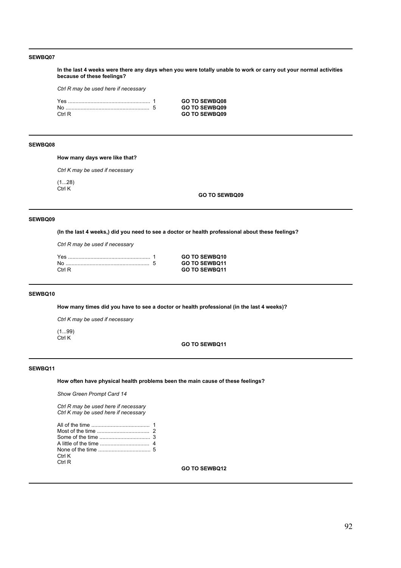**In the last 4 weeks were there any days when you were totally unable to work or carry out your normal activities because of these feelings?**

*Ctrl R may be used here if necessary*

|        | <b>GO TO SEWBQ08</b> |
|--------|----------------------|
|        | <b>GO TO SEWBQ09</b> |
| Ctrl R | <b>GO TO SEWBQ09</b> |

### **SEWBQ08**

**How many days were like that?**

*Ctrl K may be used if necessary*

 $(1...28)$ Ctrl K

**GO TO SEWBQ09**

#### **SEWBQ09**

**(In the last 4 weeks,) did you need to see a doctor or health professional about these feelings?**

*Ctrl R may be used if necessary*

|        | <b>GO TO SEWBQ10</b> |
|--------|----------------------|
|        | <b>GO TO SEWBO11</b> |
| Ctrl R | <b>GO TO SEWBO11</b> |

#### **SEWBQ10**

**How many times did you have to see a doctor or health professional (in the last 4 weeks)?**

*Ctrl K may be used if necessary*

(1...99) Ctrl K

# **GO TO SEWBQ11**

# **SEWBQ11**

**How often have physical health problems been the main cause of these feelings?**

*Show Green Prompt Card 14*

*Ctrl R may be used here if necessary Ctrl K may be used here if necessary*

| Ctrl K |  |
|--------|--|
| Ctrl R |  |

**GO TO SEWBQ12**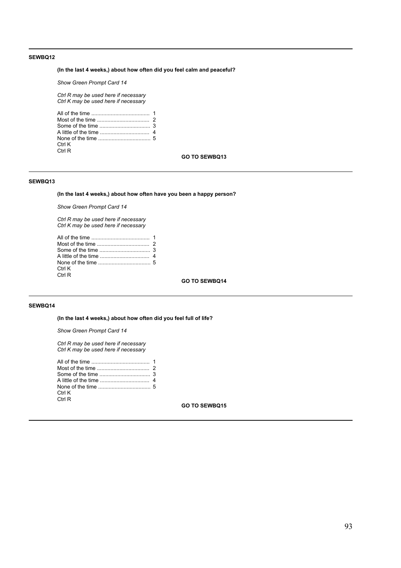**(In the last 4 weeks,) about how often did you feel calm and peaceful?** 

*Show Green Prompt Card 14*

*Ctrl R may be used here if necessary Ctrl K may be used here if necessary*

| Ctrl K |  |
|--------|--|
| Ctrl R |  |

#### **GO TO SEWBQ13**

### **SEWBQ13**

**(In the last 4 weeks,) about how often have you been a happy person?** 

*Show Green Prompt Card 14*

*Ctrl R may be used here if necessary Ctrl K may be used here if necessary*

| Ctrl K |  |
|--------|--|
| Ctrl R |  |
|        |  |

**GO TO SEWBQ14**

### **SEWBQ14**

**(In the last 4 weeks,) about how often did you feel full of life?** 

*Show Green Prompt Card 14*

*Ctrl R may be used here if necessary Ctrl K may be used here if necessary*

| Ctrl K |  |
|--------|--|
| Ctrl R |  |
|        |  |

**GO TO SEWBQ15**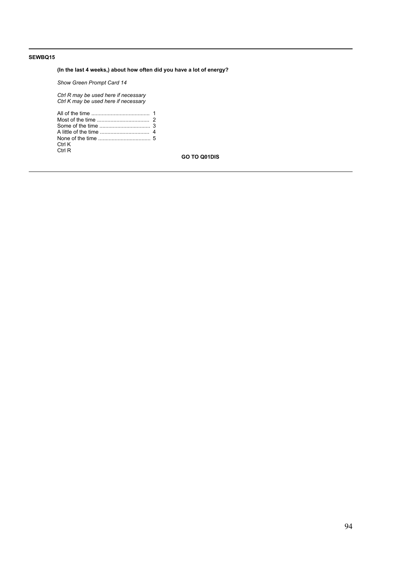# **(In the last 4 weeks,) about how often did you have a lot of energy?**

*Show Green Prompt Card 14*

*Ctrl R may be used here if necessary Ctrl K may be used here if necessary*

| Ctrl K |  |
|--------|--|
| Ctrl R |  |

**GO TO Q01DIS**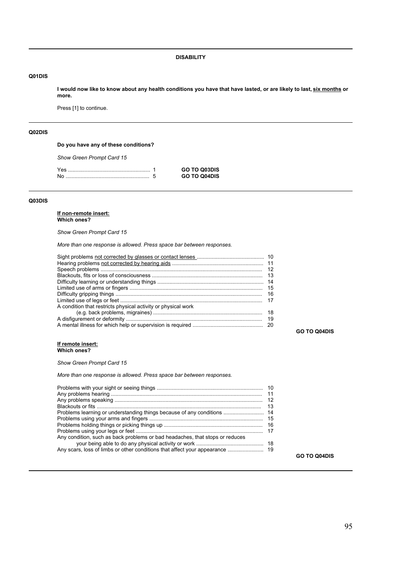**DISABILITY**

### **Q01DIS**

**I would now like to know about any health conditions you have that have lasted, or are likely to last, six months or more.**

Press [1] to continue.

# **Q02DIS**

**Do you have any of these conditions?**

*Show Green Prompt Card 15*

| Yes | <b>GO TO Q03DIS</b> |
|-----|---------------------|
| No  | <b>GO TO Q04DIS</b> |

### **Q03DIS**

#### **If non-remote insert: Which ones?**

*Show Green Prompt Card 15*

*More than one response is allowed. Press space bar between responses.*

| A condition that restricts physical activity or physical work |     |
|---------------------------------------------------------------|-----|
|                                                               |     |
|                                                               | -19 |
|                                                               |     |

**GO TO Q04DIS**

**GO TO Q04DIS**

#### **If remote insert: Which ones?**

*Show Green Prompt Card 15*

*More than one response is allowed. Press space bar between responses.*

| 11<br>12<br>13<br>Problems learning or understanding things because of any conditions  14<br>Any condition, such as back problems or bad headaches, that stops or reduces |
|---------------------------------------------------------------------------------------------------------------------------------------------------------------------------|
|---------------------------------------------------------------------------------------------------------------------------------------------------------------------------|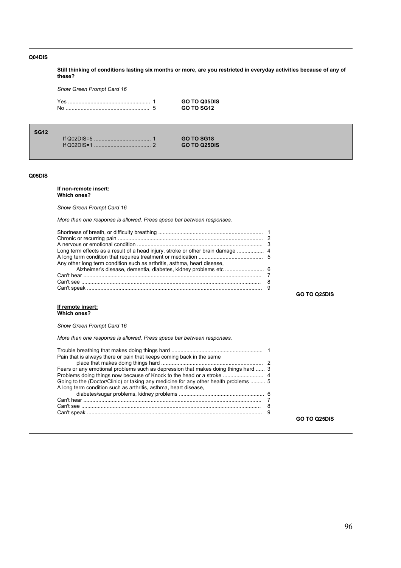### **Q04DIS**

**Still thinking of conditions lasting six months or more, are you restricted in everyday activities because of any of these?**

*Show Green Prompt Card 16*

Yes ....................................................... 1 **GO TO Q05DIS** No ........................................................ 5 **GO TO SG12**

If Q02DIS=5 ...................................... 1 **GO TO SG18** If Q02DIS=1 ...................................... 2 **GO TO Q25DIS**

#### **Q05DIS**

**SG12**

#### **If non-remote insert: Which ones?**

*Show Green Prompt Card 16* 

*More than one response is allowed. Press space bar between responses.*

| Any other long term condition such as arthritis, asthma, heart disease, |  |
|-------------------------------------------------------------------------|--|
|                                                                         |  |
|                                                                         |  |
|                                                                         |  |
|                                                                         |  |

**GO TO Q25DIS**

**GO TO Q25DIS**

#### **If remote insert: Which ones?**

*Show Green Prompt Card 16* 

*More than one response is allowed. Press space bar between responses.*

| Pain that is always there or pain that keeps coming back in the same                 |  |
|--------------------------------------------------------------------------------------|--|
|                                                                                      |  |
| Fears or any emotional problems such as depression that makes doing things hard  3   |  |
|                                                                                      |  |
| Going to the (Doctor/Clinic) or taking any medicine for any other health problems  5 |  |
| A long term condition such as arthritis, asthma, heart disease,                      |  |
|                                                                                      |  |
|                                                                                      |  |
|                                                                                      |  |
|                                                                                      |  |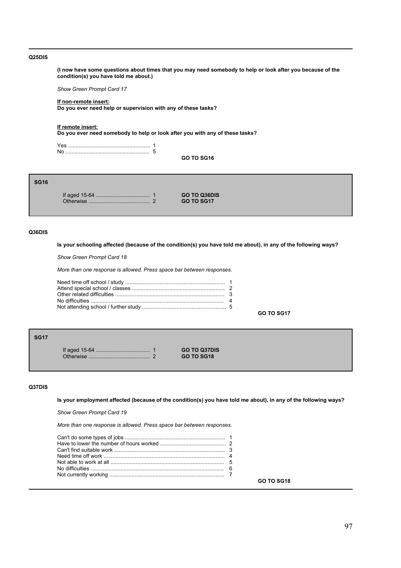#### **Q25DIS**

**(I now have some questions about times that you may need somebody to help or look after you because of the condition(s) you have told me about.)**

*Show Green Prompt Card 17*

#### **If non-remote insert: Do you ever need help or supervision with any of these tasks?**

**If remote insert:**

**Do you ever need somebody to help or look after you with any of these tasks?**

**GO TO SG16**

# **SG16**

If aged 15-64 .................................... 1 **GO TO Q36DIS** Otherwise ......................................... 2 **GO TO SG17**

### **Q36DIS**

**Is your schooling affected (because of the condition(s) you have told me about), in any of the following ways?**

*Show Green Prompt Card 18*

*More than one response is allowed. Press space bar between responses.*

**GO TO SG17**

**SG17**

If aged 15-64 .................................... 1 **GO TO Q37DIS** Otherwise ......................................... 2 **GO TO SG18**

# **Q37DIS**

**Is your employment affected (because of the condition(s) you have told me about), in any of the following ways?**

*Show Green Prompt Card 19*

*More than one response is allowed. Press space bar between responses.*

|  | GO TO SG18 |
|--|------------|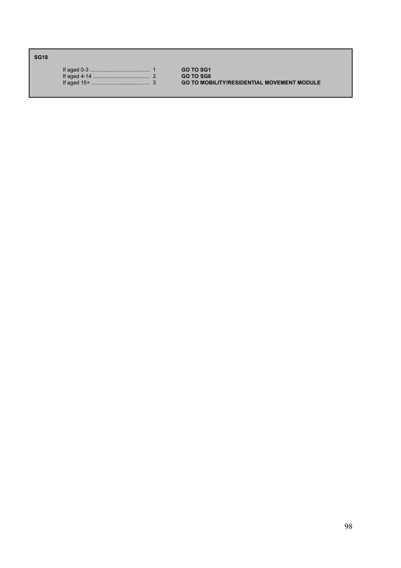**SG18**

|  | <b>GO TO SG1</b> |
|--|------------------|
|  | <b>GO TO SG6</b> |
|  | <b>GO TO MOE</b> |

If aged 15+ ....................................... 3 **GO TO MOBILITY/RESIDENTIAL MOVEMENT MODULE**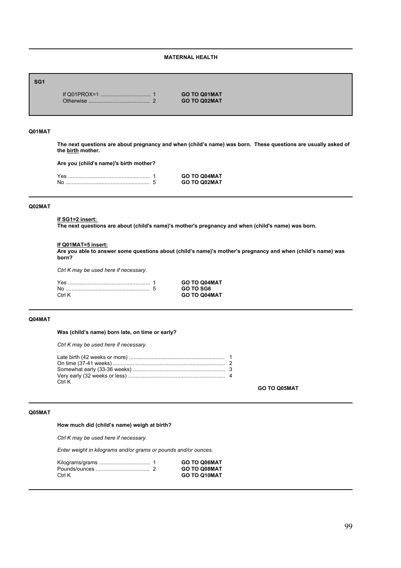### **MATERNAL HEALTH**

# **SG1**

If Q01PROX=1 .................................. 1 **GO TO Q01MAT** Otherwise ......................................... 2 **GO TO Q02MAT**

### **Q01MAT**

The next questions are about pregnancy and when (child's name) was born. These questions are usually asked of **the birth mother.**

Are you (child's name)'s birth mother?

| Yes | <b>GO TO Q04MAT</b> |
|-----|---------------------|
| No  | <b>GO TO Q02MAT</b> |

#### **Q02MAT**

### **If SG1=2 insert:**

**The next questions are about (child's name)'s mother's pregnancy and when (child's name) was born.**

### **If Q01MAT=5 insert:**

Are you able to answer some questions about (child's name)'s mother's pregnancy and when (child's name) was **born?**

*Ctrl K may be used here if necessary.*

|        | <b>GO TO Q04MAT</b> |
|--------|---------------------|
|        | <b>GO TO SG6</b>    |
| Ctrl K | <b>GO TO Q04MAT</b> |

#### **Q04MAT**

### Was (child's name) born late, on time or early?

*Ctrl K may be used here if necessary.*

| Ctrl K |  |
|--------|--|

#### **GO TO Q05MAT**

### **Q05MAT**

# How much did (child's name) weigh at birth?

*Ctrl K may be used here if necessary*

*Enter weight in kilograms and/or grams or pounds and/or ounces.*

|        | GO TO Q06MAT        |
|--------|---------------------|
|        | <b>GO TO Q08MAT</b> |
| Ctrl K | GO TO Q10MAT        |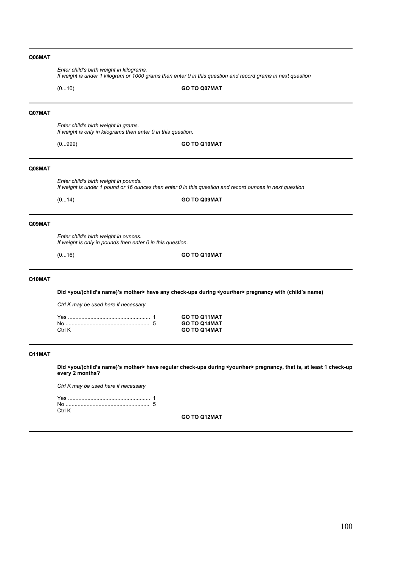|        | Enter child's birth weight in kilograms.<br>If weight is under 1 kilogram or 1000 grams then enter 0 in this question and record grams in next question |                                                                                                                                             |  |  |
|--------|---------------------------------------------------------------------------------------------------------------------------------------------------------|---------------------------------------------------------------------------------------------------------------------------------------------|--|--|
|        | (010)                                                                                                                                                   | GO TO Q07MAT                                                                                                                                |  |  |
| Q07MAT |                                                                                                                                                         |                                                                                                                                             |  |  |
|        | Enter child's birth weight in grams.<br>If weight is only in kilograms then enter 0 in this question.                                                   |                                                                                                                                             |  |  |
|        | (0999)                                                                                                                                                  | GO TO Q10MAT                                                                                                                                |  |  |
| Q08MAT |                                                                                                                                                         |                                                                                                                                             |  |  |
|        | Enter child's birth weight in pounds.                                                                                                                   | If weight is under 1 pound or 16 ounces then enter 0 in this question and record ounces in next question                                    |  |  |
|        | (014)                                                                                                                                                   | GO TO Q09MAT                                                                                                                                |  |  |
| Q09MAT |                                                                                                                                                         |                                                                                                                                             |  |  |
|        | Enter child's birth weight in ounces.<br>If weight is only in pounds then enter 0 in this question.                                                     |                                                                                                                                             |  |  |
|        | (016)                                                                                                                                                   | GO TO Q10MAT                                                                                                                                |  |  |
| Q10MAT |                                                                                                                                                         |                                                                                                                                             |  |  |
|        | Did <you (child's="" mother="" name)'s=""> have any check-ups during <your her=""> pregnancy with (child's name)</your></you>                           |                                                                                                                                             |  |  |
|        | Ctrl K may be used here if necessary                                                                                                                    |                                                                                                                                             |  |  |
|        |                                                                                                                                                         | GO TO Q11MAT                                                                                                                                |  |  |
|        | Ctrl K                                                                                                                                                  | GO TO Q14MAT<br><b>GO TO Q14MAT</b>                                                                                                         |  |  |
| Q11MAT |                                                                                                                                                         |                                                                                                                                             |  |  |
|        | every 2 months?                                                                                                                                         | Did <you (child's="" mother="" name)'s=""> have regular check-ups during <your her=""> pregnancy, that is, at least 1 check-up</your></you> |  |  |
|        | Ctrl K may be used here if necessary                                                                                                                    |                                                                                                                                             |  |  |
|        |                                                                                                                                                         |                                                                                                                                             |  |  |
|        |                                                                                                                                                         |                                                                                                                                             |  |  |

Ctrl K

**GO TO Q12MAT**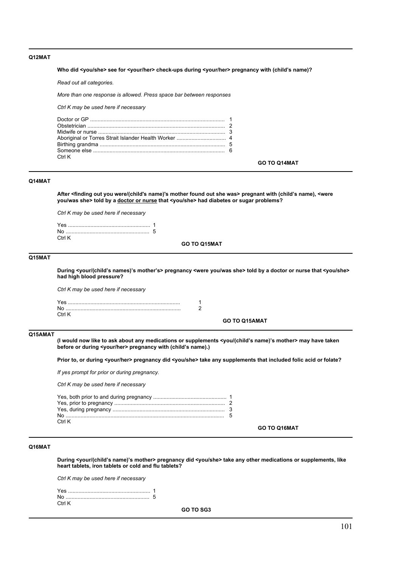### **Q12MAT**

#### Who did <you/she> see for <your/her> check-ups during <your/her> pregnancy with (child's name)?

*Read out all categories.*

*More than one response is allowed. Press space bar between responses*

*Ctrl K may be used here if necessary*

| Ctrl K |  |
|--------|--|

#### **GO TO Q14MAT**

**GO TO Q16MAT**

### **Q14MAT**

**After <finding out you were/(child's name)'s mother found out she was> pregnant with (childís name), <were you/was she> told by a doctor or nurse that <you/she> had diabetes or sugar problems?**

*Ctrl K may be used here if necessary*

| Ctrl K |  |
|--------|--|

**GO TO Q15MAT**

### **Q15MAT**

**During <your/(childís names)ís motherís> pregnancy <were you/was she> told by a doctor or nurse that <you/she> had high blood pressure?**

*Ctrl K may be used here if necessary*

| Nr    |  |
|-------|--|
| ∩ tri |  |
|       |  |

### **GO TO Q15AMAT**

### **Q15AMAT**

**(I would now like to ask about any medications or supplements <you/(childís name)ís mother> may have taken** before or during <your/her> pregnancy with (child's name).)

**Prior to, or during <your/her> pregnancy did <you/she> take any supplements that included folic acid or folate?**

*If yes prompt for prior or during pregnancy.*

*Ctrl K may be used here if necessary*

| Ctrl K |  |
|--------|--|
|        |  |

### **Q16MAT**

**During <your/(childís name)ís mother> pregnancy did <you/she> take any other medications or supplements, like heart tablets, iron tablets or cold and flu tablets?** 

*Ctrl K may be used here if necessary*

| Ctrl K |  |
|--------|--|

**GO TO SG3**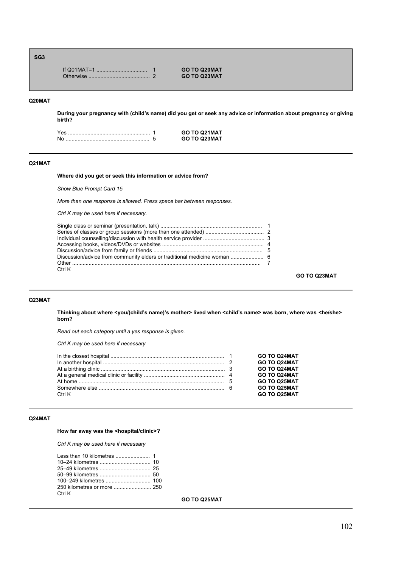### **SG3**

|  | <b>GO TO Q20MAT</b> |
|--|---------------------|
|  | <b>GO TO Q23MAT</b> |

### **Q20MAT**

**During your pregnancy with (childís name) did you get or seek any advice or information about pregnancy or giving birth?**

|  | GO TO Q21MAT |
|--|--------------|
|  | GO TO 023MAT |

#### **Q21MAT**

#### **Where did you get or seek this information or advice from?**

*Show Blue Prompt Card 15*

*More than one response is allowed. Press space bar between responses.*

*Ctrl K may be used here if necessary.*

| Discussion/advice from community elders or traditional medicine woman  6 |  |
|--------------------------------------------------------------------------|--|
|                                                                          |  |
| Ctrl K                                                                   |  |

**GO TO Q23MAT**

### **Q23MAT**

**Thinking about where <you/(childís name)ís mother> lived when <childís name> was born, where was <he/she> born?** 

*Read out each category until a yes response is given.*

*Ctrl K may be used here if necessary*

|        | GO TO Q24MAT        |
|--------|---------------------|
|        | GO TO Q24MAT        |
|        | GO TO Q24MAT        |
|        | GO TO Q24MAT        |
|        | GO TO Q25MAT        |
|        | <b>GO TO Q25MAT</b> |
| Ctrl K | GO TO Q25MAT        |

### **Q24MAT**

# **How far away was the <hospital/clinic>?**

*Ctrl K may be used here if necessary*

| Ctrl K |  |
|--------|--|

**GO TO Q25MAT**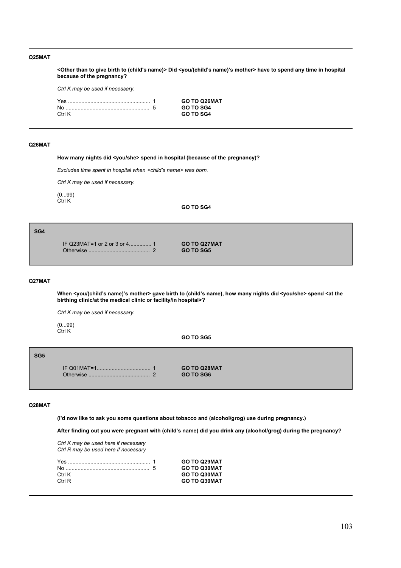### **Q25MAT**

**<Other than to give birth to (child's name)> Did <you/(childís name)ís mother> have to spend any time in hospital because of the pregnancy?**

*Ctrl K may be used if necessary.*

| Yes    | <b>GO TO Q26MAT</b> |
|--------|---------------------|
|        | <b>GO TO SG4</b>    |
| Ctrl K | <b>GO TO SG4</b>    |
|        |                     |

#### **Q26MAT**

**How many nights did <you/she> spend in hospital (because of the pregnancy)?**

*Excludes time spent in hospital when <childís name> was born.*

*Ctrl K may be used if necessary.*

 $(0...99)$ Ctrl K

### **GO TO SG4**

#### **SG4**

IF Q23MAT=1 or 2 or 3 or 4............... 1 **GO TO Q27MAT** Otherwise ......................................... 2 **GO TO SG5**

#### **Q27MAT**

When <you/(child's name)'s mother> gave birth to (child's name), how many nights did <you/she> spend <at the **birthing clinic/at the medical clinic or facility/in hospital>?**

*Ctrl K may be used if necessary.*

(0...99) Ctrl K

**GO TO SG5**

#### **SG5**

IF Q01MAT=1.................................... 1 **GO TO Q28MAT** Otherwise ......................................... 2 **GO TO SG6**

#### **Q28MAT**

**(I'd now like to ask you some questions about tobacco and (alcohol/grog) use during pregnancy.)**

After finding out you were pregnant with (child's name) did you drink any (alcohol/grog) during the pregnancy?

*Ctrl K may be used here if necessary Ctrl R may be used here if necessary*

|        | <b>GO TO Q29MAT</b> |
|--------|---------------------|
|        | <b>GO TO Q30MAT</b> |
| Ctrl K | <b>GO TO Q30MAT</b> |
| Ctrl R | GO TO Q30MAT        |
|        |                     |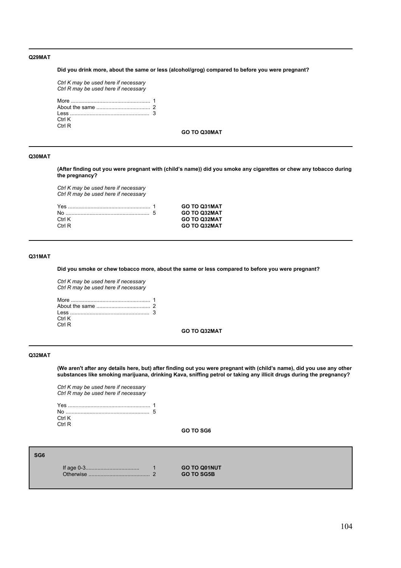### **Q29MAT**

**Did you drink more, about the same or less (alcohol/grog) compared to before you were pregnant?**

*Ctrl K may be used here if necessary Ctrl R may be used here if necessary* More ..................................................... 1 About the same .................................... 2 Less ..................................................... 3 Ctrl K Ctrl R

**GO TO Q30MAT**

#### **Q30MAT**

**(After finding out you were pregnant with (childís name)) did you smoke any cigarettes or chew any tobacco during the pregnancy?**

*Ctrl K may be used here if necessary Ctrl R may be used here if necessary*

|        | <b>GO TO Q31MAT</b> |
|--------|---------------------|
|        | <b>GO TO Q32MAT</b> |
| Ctrl K | <b>GO TO Q32MAT</b> |
| Ctrl R | <b>GO TO Q32MAT</b> |
|        |                     |

### **Q31MAT**

**Did you smoke or chew tobacco more, about the same or less compared to before you were pregnant?**

*Ctrl K may be used here if necessary Ctrl R may be used here if necessary*

| Ctrl K |  |
|--------|--|
| Ctrl R |  |

### **GO TO Q32MAT**

#### **Q32MAT**

(We aren't after any details here, but) after finding out you were pregnant with (child's name), did you use any other **substances like smoking marijuana, drinking Kava, sniffing petrol or taking any illicit drugs during the pregnancy?**

*Ctrl K may be used here if necessary Ctrl R may be used here if necessary*

| Ctrl K |  |
|--------|--|
| Ctrl R |  |

**GO TO SG6**

| SG <sub>6</sub> |           |        |                                          |
|-----------------|-----------|--------|------------------------------------------|
|                 | Otherwise | $\sim$ | <b>GO TO Q01NUT</b><br><b>GO TO SG5B</b> |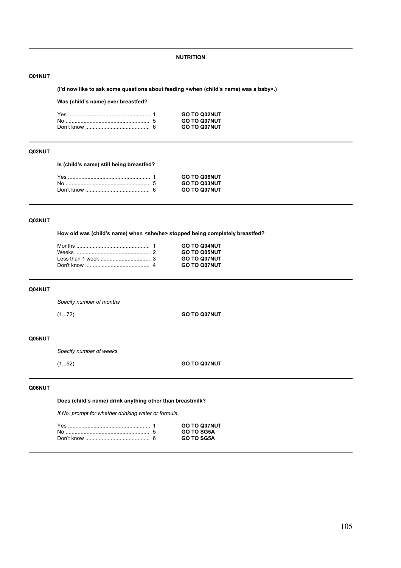**NUTRITION**

### **Q01NUT**

(I'd now like to ask some questions about feeding <when (child's name) was a baby>.)

### Was (child's name) ever breastfed?

|  | <b>GO TO Q02NUT</b> |
|--|---------------------|
|  | <b>GO TO Q07NUT</b> |
|  | <b>GO TO Q07NUT</b> |

# **Q02NUT**

**Is (childís name) still being breastfed?**

|  | <b>GO TO Q06NUT</b> |
|--|---------------------|
|  | <b>GO TO Q03NUT</b> |
|  | <b>GO TO Q07NUT</b> |

# **Q03NUT**

How old was (child's name) when <she/he> stopped being completely breastfed?

|  | <b>GO TO Q04NUT</b> |
|--|---------------------|
|  | <b>GO TO Q05NUT</b> |
|  | <b>GO TO Q07NUT</b> |
|  | <b>GO TO Q07NUT</b> |

#### **Q04NUT**

*Specify number of months*

(1...72) **GO TO Q07NUT**

# **Q05NUT**

*Specify number of weeks*

(1...52) **GO TO Q07NUT**

### **Q06NUT**

Does (child's name) drink anything other than breastmilk?

*If No, prompt for whether drinking water or formula.*

|  | <b>GO TO Q07NUT</b> |
|--|---------------------|
|  | <b>GO TO SG5A</b>   |
|  | <b>GO TO SG5A</b>   |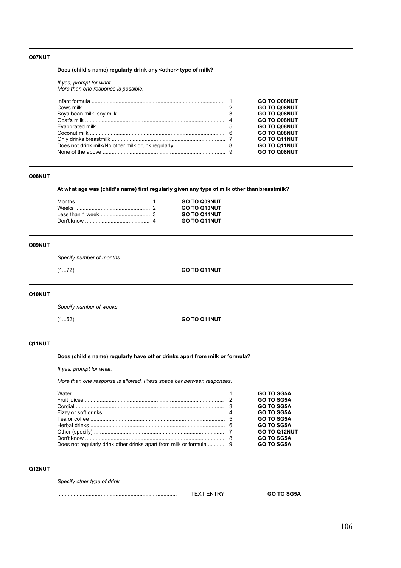### **Q07NUT**

# Does (child's name) regularly drink any <other> type of milk?

*If yes, prompt for what. More than one response is possible.*

|  | <b>GO TO Q08NUT</b> |
|--|---------------------|
|  | <b>GO TO Q08NUT</b> |
|  | <b>GO TO Q08NUT</b> |
|  | <b>GO TO Q08NUT</b> |
|  | <b>GO TO Q08NUT</b> |
|  | <b>GO TO Q08NUT</b> |
|  | <b>GO TO Q11NUT</b> |
|  | <b>GO TO Q11NUT</b> |
|  | <b>GO TO Q08NUT</b> |
|  |                     |

### **Q08NUT**

At what age was (child's name) first regularly given any type of milk other than breastmilk?

|  | <b>GO TO Q09NUT</b> |
|--|---------------------|
|  | <b>GO TO Q10NUT</b> |
|  | <b>GO TO Q11NUT</b> |
|  | <b>GO TO Q11NUT</b> |

### **Q09NUT**

*Specify number of months*

(1...72) **GO TO Q11NUT**

# **Q10NUT**

*Specify number of weeks*

(1...52) **GO TO Q11NUT**

# **Q11NUT**

Does (child's name) regularly have other drinks apart from milk or formula?

*If yes, prompt for what.*

*More than one response is allowed. Press space bar between responses.*

|                                                                     | <b>GO TO SG5A</b>   |
|---------------------------------------------------------------------|---------------------|
|                                                                     | <b>GO TO SG5A</b>   |
|                                                                     | <b>GO TO SG5A</b>   |
|                                                                     | <b>GO TO SG5A</b>   |
|                                                                     | <b>GO TO SG5A</b>   |
|                                                                     | <b>GO TO SG5A</b>   |
|                                                                     | <b>GO TO Q12NUT</b> |
|                                                                     | <b>GO TO SG5A</b>   |
| Does not regularly drink other drinks apart from milk or formula  9 | <b>GO TO SG5A</b>   |

# **Q12NUT**

*Specify other type of drink*

................................................................................ TEXT ENTRY **GO TO SG5A**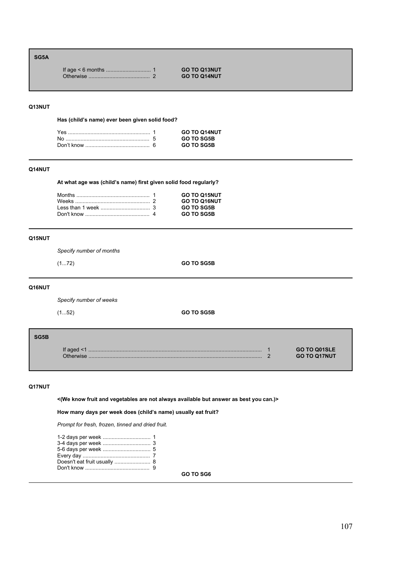# **SG5A**

| <b>GO TO Q13NUT</b> |
|---------------------|
| <b>GO TO Q14NUT</b> |

### **Q13NUT**

Has (child's name) ever been given solid food?

|  | <b>GO TO Q14NUT</b> |
|--|---------------------|
|  | <b>GO TO SG5B</b>   |
|  | GO TO SG5B          |

# **Q14NUT**

At what age was (child's name) first given solid food regularly?

|  | <b>GO TO Q15NUT</b> |
|--|---------------------|
|  | <b>GO TO Q16NUT</b> |
|  | <b>GO TO SG5B</b>   |
|  | <b>GO TO SG5B</b>   |
|  |                     |

### **Q15NUT**

*Specify number of months*

(1...72) **GO TO SG5B**

# **Q16NUT**

*Specify number of weeks*

(1...52) **GO TO SG5B**

| SG5B |                       |                                     |
|------|-----------------------|-------------------------------------|
|      | If aged $\leq$ 1<br>. | GO TO Q01SLE<br><b>GO TO Q17NUT</b> |

### **Q17NUT**

**<(We know fruit and vegetables are not always available but answer as best you can.)>**

How many days per week does (child's name) usually eat fruit?

*Prompt for fresh, frozen, tinned and dried fruit.*

**GO TO SG6**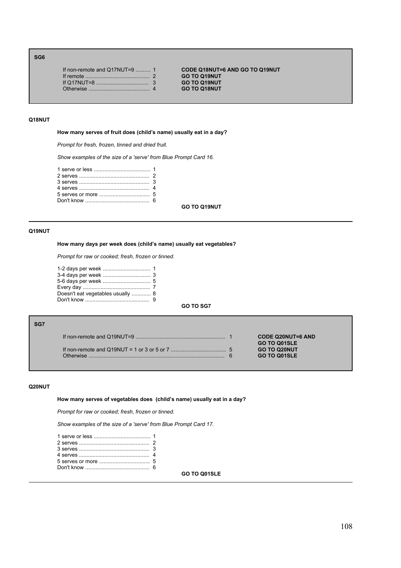### **SG6**

| If non-remote and $Q17NUT=9$ 1 |  |
|--------------------------------|--|
| If remote $\ldots$ 2           |  |
|                                |  |
|                                |  |
|                                |  |

If non-remote and Q17NUT=9 .......... 1 **CODE Q18NUT=6 AND GO TO Q19NUT**  $GO TO Q19NUT$ If Q17NUT=8 ................................... 3 **GO TO Q19NUT**  $GO TO Q18NUT$ 

#### **Q18NUT**

How many serves of fruit does (child's name) usually eat in a day?

*Prompt for fresh, frozen, tinned and dried fruit.*

*Show examples of the size of a 'serve' from Blue Prompt Card 16.*

**GO TO Q19NUT**

#### **Q19NUT**

#### How many days per week does (child's name) usually eat vegetables?

*Prompt for raw or cooked; fresh, frozen or tinned.*

| Doesn't eat vegetables usually  8 |  |
|-----------------------------------|--|
|                                   |  |

# **GO TO SG7**

### **SG7**

If non-remote and Q19NUT=9 ............................................................ 1 **CODE Q20NUT=6 AND** If non-remote and Q19NUT = 1 or 3 or 5 or 7 ..................................... 5 **GO TO Q20NUT** Otherwise ........................................................................................... 6 **GO TO Q01SLE**

**GO TO Q01SLE**

#### **Q20NUT**

How many serves of vegetables does (child's name) usually eat in a day?

*Prompt for raw or cooked; fresh, frozen or tinned.* 

*Show examples of the size of a 'serve' from Blue Prompt Card 17.*

**GO TO Q01SLE**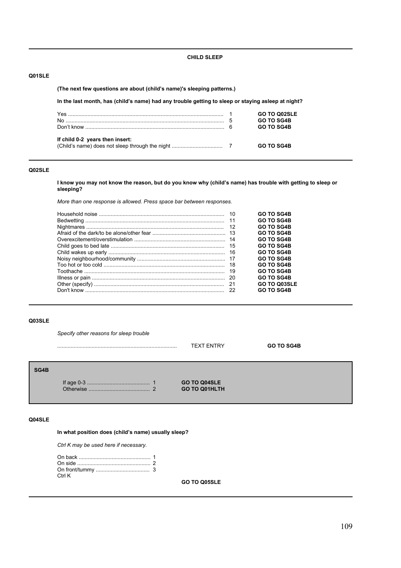### **CHILD SLEEP**

# **Q01SLE**

### **(The next few questions are about (childís name)'s sleeping patterns.)**

In the last month, has (child's name) had any trouble getting to sleep or staying asleep at night?

|                                 | GO TO Q02SLE<br><b>GO TO SG4B</b> |
|---------------------------------|-----------------------------------|
|                                 | <b>GO TO SG4B</b>                 |
| If child 0-2 years then insert: |                                   |
|                                 | <b>GO TO SG4B</b>                 |

# **Q02SLE**

**I know you may not know the reason, but do you know why (childís name) has trouble with getting to sleep or sleeping?**

*More than one response is allowed. Press space bar between responses.*

|      | <b>GO TO SG4B</b> |
|------|-------------------|
|      | <b>GO TO SG4B</b> |
|      | <b>GO TO SG4B</b> |
|      | <b>GO TO SG4B</b> |
|      | <b>GO TO SG4B</b> |
|      | <b>GO TO SG4B</b> |
|      | <b>GO TO SG4B</b> |
|      | <b>GO TO SG4B</b> |
|      | <b>GO TO SG4B</b> |
| - 19 | <b>GO TO SG4B</b> |
|      | <b>GO TO SG4B</b> |
|      | GO TO Q03SLE      |
|      | <b>GO TO SG4B</b> |

### **Q03SLE**

*Specify other reasons for sleep trouble*

|      |           |   | <b>TEXT ENTRY</b>                    | <b>GO TO SG4B</b> |
|------|-----------|---|--------------------------------------|-------------------|
| SG4B | Otherwise | ົ | GO TO Q04SLE<br><b>GO TO Q01HLTH</b> |                   |

# **Q04SLE**

In what position does (child's name) usually sleep?

*Ctrl K may be used here if necessary.*

| Ctrl K |  |
|--------|--|

**GO TO Q05SLE**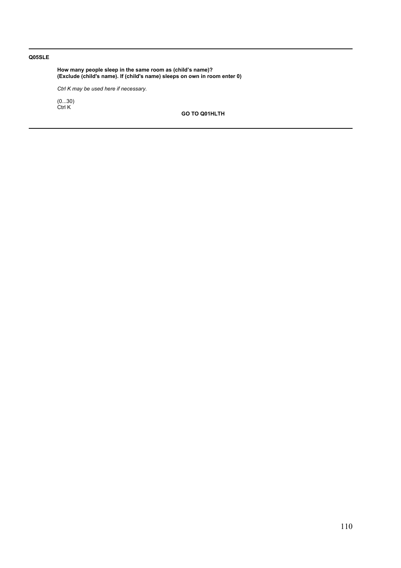# **Q05SLE**

How many people sleep in the same room as (child's name)? **(Exclude (child's name). If (child's name) sleeps on own in room enter 0)**

*Ctrl K may be used here if necessary.*

(0...30) Ctrl K

**GO TO Q01HLTH**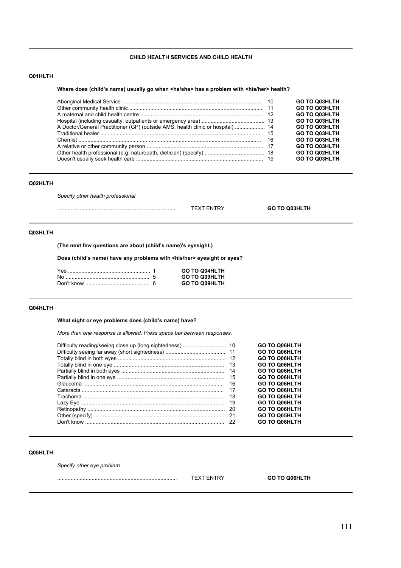# **CHILD HEALTH SERVICES AND CHILD HEALTH**

# **Q01HLTH**

#### Where does (child's name) usually go when <he/she> has a problem with <his/her> health?

|                                                                                 | <b>GO TO Q03HLTH</b> |
|---------------------------------------------------------------------------------|----------------------|
|                                                                                 | <b>GO TO Q03HLTH</b> |
|                                                                                 | <b>GO TO Q03HLTH</b> |
|                                                                                 | <b>GO TO Q03HLTH</b> |
| A Doctor/General Practitioner (GP) (outside AMS, health clinic or hospital)  14 | <b>GO TO Q03HLTH</b> |
|                                                                                 | <b>GO TO Q03HLTH</b> |
|                                                                                 | <b>GO TO Q03HLTH</b> |
|                                                                                 | <b>GO TO Q03HLTH</b> |
|                                                                                 | <b>GO TO Q02HLTH</b> |
|                                                                                 | <b>GO TO Q03HLTH</b> |

# **Q02HLTH**

*Specify other health professional*

................................................................................ TEXT ENTRY **GO TO Q03HLTH**

# **Q03HLTH**

(The next few questions are about (child's name)'s eyesight.)

**Does (childís name) have any problems with <his/her> eyesight or eyes?**

|  | <b>GO TO Q04HLTH</b> |
|--|----------------------|
|  | <b>GO TO Q09HLTH</b> |
|  | <b>GO TO Q09HLTH</b> |

# **Q04HLTH**

What sight or eye problems does (child's name) have?

*More than one response is allowed. Press space bar between responses.*

|     | <b>GO TO Q06HLTH</b> |
|-----|----------------------|
|     | <b>GO TO Q06HLTH</b> |
|     | <b>GO TO Q06HLTH</b> |
|     | <b>GO TO Q06HLTH</b> |
| -14 | <b>GO TO Q06HLTH</b> |
|     | <b>GO TO Q06HLTH</b> |
| 16  | <b>GO TO Q06HLTH</b> |
| 17  | <b>GO TO Q06HLTH</b> |
| 18  | <b>GO TO Q06HLTH</b> |
| 19  | <b>GO TO Q06HLTH</b> |
|     | <b>GO TO Q06HLTH</b> |
| -21 | <b>GO TO Q05HLTH</b> |
| 22  | <b>GO TO Q06HLTH</b> |

### **Q05HLTH**

*Specify other eye problem*

| <br>- | ΤН<br>GO TC<br>ווואחר |  |
|-------|-----------------------|--|
|       |                       |  |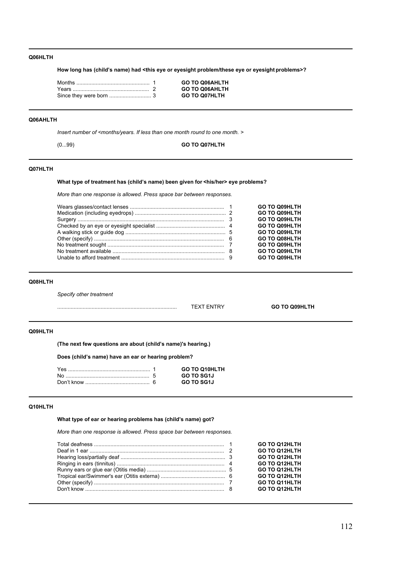# **Q06HLTH**

**How long has (childís name) had <this eye or eyesight problem/these eye or eyesight problems>?**

|  | <b>GO TO Q06AHLTH</b> |
|--|-----------------------|
|  | <b>GO TO Q06AHLTH</b> |
|  | <b>GO TO Q07HLTH</b>  |

#### **Q06AHLTH**

*Insert number of <months/years. If less than one month round to one month. >*

(0...99) **GO TO Q07HLTH**

# **Q07HLTH**

# What type of treatment has (child's name) been given for <his/her> eye problems?

*More than one response is allowed. Press space bar between responses.*

|  | <b>GO TO Q09HLTH</b> |
|--|----------------------|
|  | <b>GO TO Q09HLTH</b> |
|  | <b>GO TO Q09HLTH</b> |
|  | <b>GO TO Q09HLTH</b> |
|  | <b>GO TO Q09HLTH</b> |
|  | <b>GO TO Q08HLTH</b> |
|  | <b>GO TO Q09HLTH</b> |
|  | <b>GO TO Q09HLTH</b> |
|  | <b>GO TO Q09HLTH</b> |
|  |                      |

#### **Q08HLTH**

*Specify other treatment*

| . | - | G.<br>ıп |
|---|---|----------|
|   |   |          |

# **Q09HLTH**

(The next few questions are about (child's name)'s hearing.)

**Does (childís name) have an ear or hearing problem?**

| Yes | GO TO Q10HLTH |
|-----|---------------|
|     | GO TO SG1J    |
|     | GO TO SG1J    |

#### **Q10HLTH**

What type of ear or hearing problems has (child's name) got?

*More than one response is allowed. Press space bar between responses.*

|  | <b>GO TO Q12HLTH</b> |
|--|----------------------|
|  | <b>GO TO Q12HLTH</b> |
|  | <b>GO TO Q12HLTH</b> |
|  | <b>GO TO Q12HLTH</b> |
|  | <b>GO TO Q12HLTH</b> |
|  | <b>GO TO Q12HLTH</b> |
|  | <b>GO TO Q11HLTH</b> |
|  | <b>GO TO Q12HLTH</b> |
|  |                      |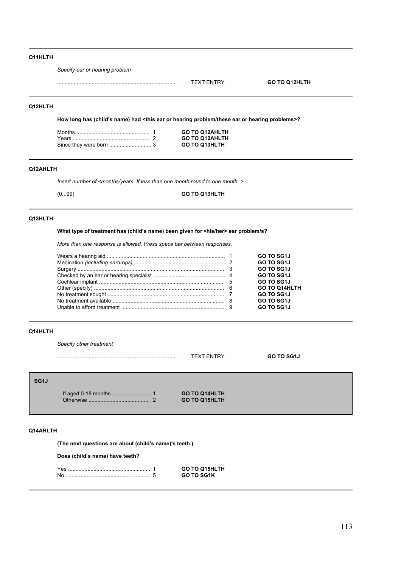# **Q11HLTH**

*Specify ear or hearing problem*

................................................................................ TEXT ENTRY **GO TO Q12HLTH**

# **Q12HLTH**

How long has (child's name) had <this ear or hearing problem/these ear or hearing problems>?

|  | <b>GO TO Q12AHLTH</b> |
|--|-----------------------|
|  | <b>GO TO Q12AHLTH</b> |
|  | <b>GO TO Q13HLTH</b>  |

# **Q12AHLTH**

*Insert number of <months/years. If less than one month round to one month. >*

(0...99) **GO TO Q13HLTH**

# **Q13HLTH**

### What type of treatment has (child's name) been given for <his/her> ear problem/s?

*More than one response is allowed. Press space bar between responses.*

|  | GO TO SG1J           |
|--|----------------------|
|  | <b>GO TO SG1J</b>    |
|  | GO TO SG1J           |
|  | <b>GO TO SG1J</b>    |
|  | GO TO SG1J           |
|  | <b>GO TO Q14HLTH</b> |
|  | GO TO SG1J           |
|  | GO TO SG1J           |
|  | GO TO SG1J           |
|  |                      |

# **Q14HLTH**

*Specify other treatment*

|                   |           |          | <b>TEXT ENTRY</b>    | <b>GO TO SG1J</b> |
|-------------------|-----------|----------|----------------------|-------------------|
| SG <sub>1</sub> J |           |          | <b>GO TO Q14HLTH</b> |                   |
|                   | Otherwise | $\Omega$ | <b>GO TO Q15HLTH</b> |                   |

# **Q14AHLTH**

(The next questions are about (child's name)'s teeth.)

Does (child's name) have teeth?

|  | <b>GO TO O15HLTH</b> |
|--|----------------------|
|  | <b>GO TO SG1K</b>    |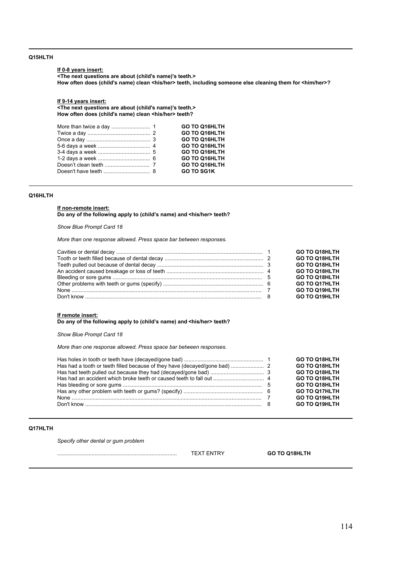# **Q15HLTH**

### **If 0-8 years insert:**

**<The next questions are about (child's name)'s teeth.>** How often does (child's name) clean <his/her> teeth, including someone else cleaning them for <him/her>?

### **If 9-14 years insert:**

**<The next questions are about (child's name)'s teeth.>** How often does (child's name) clean <his/her> teeth?

|  | GO TO Q16HLTH     |
|--|-------------------|
|  | GO TO Q16HLTH     |
|  | GO TO Q16HLTH     |
|  | GO TO Q16HLTH     |
|  | GO TO Q16HLTH     |
|  | GO TO Q16HLTH     |
|  | GO TO Q16HLTH     |
|  | <b>GO TO SG1K</b> |

# **Q16HLTH**

#### **If non-remote insert:**

Do any of the following apply to (child's name) and <his/her> teeth?

*Show Blue Prompt Card 18*

*More than one response allowed. Press space bar between responses.*

|  | <b>GO TO Q18HLTH</b> |
|--|----------------------|
|  | <b>GO TO Q18HLTH</b> |
|  | <b>GO TO Q18HLTH</b> |
|  | <b>GO TO Q18HLTH</b> |
|  | <b>GO TO Q18HLTH</b> |
|  | <b>GO TO Q17HLTH</b> |
|  | <b>GO TO Q19HLTH</b> |
|  | <b>GO TO Q19HLTH</b> |

# **If remote insert:**

Do any of the following apply to (child's name) and <his/her> teeth?

*Show Blue Prompt Card 18*

*More than one response allowed. Press space bar between responses.*

|  | <b>GO TO Q18HLTH</b> |
|--|----------------------|
|  | <b>GO TO Q18HLTH</b> |
|  | <b>GO TO Q18HLTH</b> |
|  | <b>GO TO Q18HLTH</b> |
|  | <b>GO TO Q18HLTH</b> |
|  | <b>GO TO Q17HLTH</b> |
|  | <b>GO TO Q19HLTH</b> |
|  | <b>GO TO Q19HLTH</b> |

# **Q17HLTH**

*Specify other dental or gum problem*

................................................................................ TEXT ENTRY **GO TO Q18HLTH**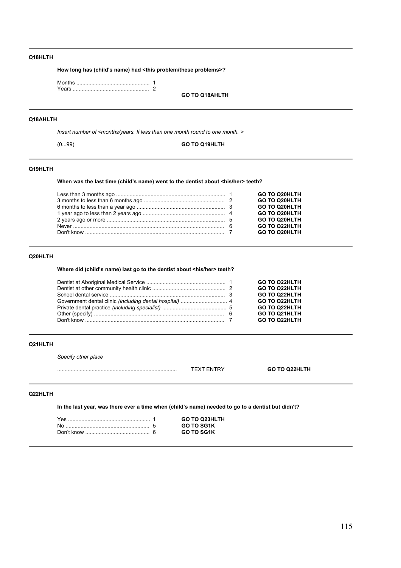# **Q18HLTH**

**How long has (childís name) had <this problem/these problems>?**

|  | GO TO O18AHI TH |
|--|-----------------|
|  |                 |
|  |                 |
|  |                 |

#### **Q18AHLTH**

*Insert number of <months/years. If less than one month round to one month. >*

(0...99) **GO TO Q19HLTH**

# **Q19HLTH**

When was the last time (child's name) went to the dentist about <his/her> teeth?

|  | <b>GO TO Q20HLTH</b> |
|--|----------------------|
|  | <b>GO TO Q20HLTH</b> |
|  | <b>GO TO Q20HLTH</b> |
|  | GO TO Q20HLTH        |
|  | <b>GO TO Q20HLTH</b> |
|  | <b>GO TO Q22HLTH</b> |
|  | <b>GO TO Q20HLTH</b> |

# **Q20HLTH**

Where did (child's name) last go to the dentist about <his/her> teeth?

|  | <b>GO TO Q22HLTH</b> |
|--|----------------------|
|  | <b>GO TO Q22HLTH</b> |
|  | <b>GO TO Q22HLTH</b> |
|  | <b>GO TO Q22HLTH</b> |
|  | <b>GO TO Q22HLTH</b> |
|  | <b>GO TO Q21HLTH</b> |
|  | <b>GO TO Q22HLTH</b> |

### **Q21HLTH**

*Specify other place*

| $\cdot$<br><b>NIT</b><br>г<br>'N<br>$\ddot{\phantom{1}}$ | <b>GO TO Q22HLTH</b> |
|----------------------------------------------------------|----------------------|
|                                                          |                      |

# **Q22HLTH**

In the last year, was there ever a time when (child's name) needed to go to a dentist but didn't?

| YAS | <b>GO TO Q23HLTH</b> |
|-----|----------------------|
|     | <b>GO TO SG1K</b>    |
|     | <b>GO TO SG1K</b>    |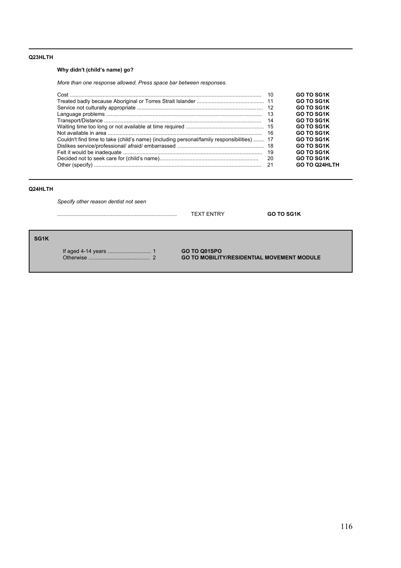# **Q23HLTH**

# **Why didn't (child's name) go?**

*More than one response allowed. Press space bar between responses.*

|                                                                                            | 10  | <b>GO TO SG1K</b>    |
|--------------------------------------------------------------------------------------------|-----|----------------------|
|                                                                                            |     | <b>GO TO SG1K</b>    |
|                                                                                            |     | <b>GO TO SG1K</b>    |
|                                                                                            |     | <b>GO TO SG1K</b>    |
|                                                                                            | 14  | <b>GO TO SG1K</b>    |
|                                                                                            |     | <b>GO TO SG1K</b>    |
|                                                                                            | 16  | <b>GO TO SG1K</b>    |
| Couldn't find time to take (child's name) (including personal/family responsibilities)  17 |     | <b>GO TO SG1K</b>    |
|                                                                                            |     | <b>GO TO SG1K</b>    |
|                                                                                            |     | <b>GO TO SG1K</b>    |
|                                                                                            | 20  | <b>GO TO SG1K</b>    |
|                                                                                            | -21 | <b>GO TO Q24HLTH</b> |

# **Q24HLTH**

**SG1K**

*Specify other reason dentist not seen*

|                    | TEXT ENTRY   | <b>GO TO SG1K</b> |
|--------------------|--------------|-------------------|
| If aged 4-14 years | GO TO Q01SPO |                   |

Otherwise ......................................... 2 **GO TO MOBILITY/RESIDENTIAL MOVEMENT MODULE**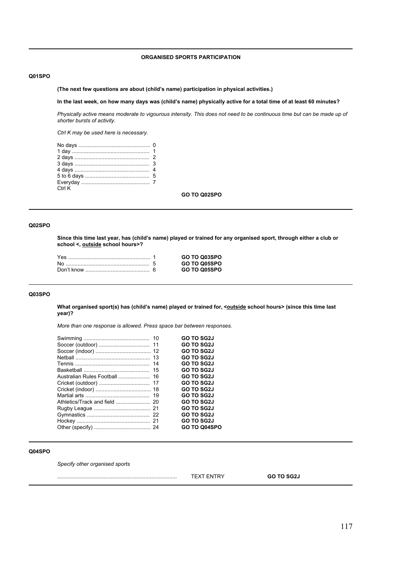# **ORGANISED SPORTS PARTICIPATION**

## **Q01SPO**

(The next few questions are about (child's name) participation in physical activities.)

**In the last week, on how many days was (childís name) physically active for a total time of at least 60 minutes?**

*Physically active means moderate to vigourous intensity. This does not need to be continuous time but can be made up of shorter bursts of activity.*

*Ctrl K may be used here is necessary.*

| Ctrl K |  |
|--------|--|
|        |  |

**GO TO Q02SPO**

### **Q02SPO**

**Since this time last year, has (childís name) played or trained for any organised sport, through either a club or school <, outside school hours>?**

|  | GO TO Q03SPO |
|--|--------------|
|  | GO TO Q05SPO |
|  | GO TO Q05SPO |

# **Q03SPO**

What organised sport(s) has (child's name) played or trained for, <**outside school hours>** (since this time last **year)?**

*More than one response is allowed. Press space bar between responses.*

|    | <b>GO TO SG2J</b> |
|----|-------------------|
|    | <b>GO TO SG2J</b> |
|    | <b>GO TO SG2J</b> |
|    | <b>GO TO SG2J</b> |
|    | <b>GO TO SG2J</b> |
| 15 | <b>GO TO SG2J</b> |
|    | <b>GO TO SG2J</b> |
|    | <b>GO TO SG2J</b> |
|    | <b>GO TO SG2J</b> |
|    | <b>GO TO SG2J</b> |
|    | <b>GO TO SG2J</b> |
|    | <b>GO TO SG2J</b> |
|    | <b>GO TO SG2J</b> |
|    | <b>GO TO SG2J</b> |
|    | GO TO Q04SPO      |
|    |                   |

# **Q04SPO**

*Specify other organised sports*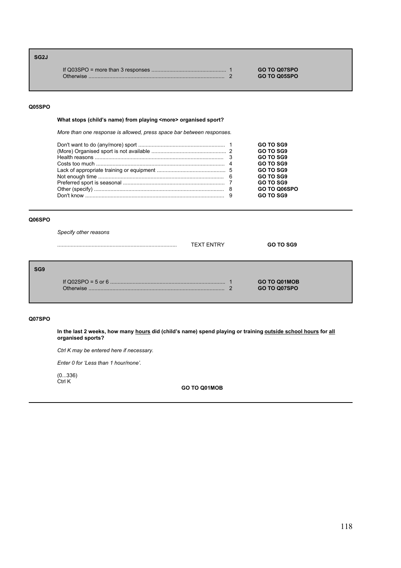# **SG2J** If Q03SPO = more than 3 responses .................................................. 1 **GO TO Q07SPO** Otherwise ........................................................................................... 2 **GO TO Q05SPO**

### **Q05SPO**

### What stops (child's name) from playing <more> organised sport?

*More than one response is allowed, press space bar between responses.*

|  | GO TO SG9    |
|--|--------------|
|  | GO TO SG9    |
|  | GO TO SG9    |
|  | GO TO SG9    |
|  | GO TO SG9    |
|  | GO TO SG9    |
|  | GO TO SG9    |
|  | GO TO Q06SPO |
|  | GO TO SG9    |
|  |              |

# **Q06SPO**

*Specify other reasons*

|                 |           | <b>TEXT ENTRY</b> | GO TO SG9                                  |  |
|-----------------|-----------|-------------------|--------------------------------------------|--|
| SG <sub>9</sub> | Otherwise | r                 | <b>GO TO Q01MOB</b><br><b>GO TO Q07SPO</b> |  |

## **Q07SPO**

In the last 2 weeks, how many <u>hours</u> did (child's name) spend playing or training <u>outside school hours</u> for <u>all</u> **organised sports?**

*Ctrl K may be entered here if necessary.*

*Enter 0 for ëLess than 1 hour/noneí.*

(0...336) Ctrl K

**GO TO Q01MOB**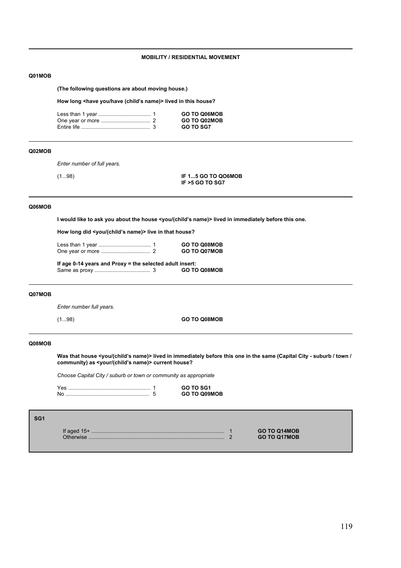# **MOBILITY / RESIDENTIAL MOVEMENT**

#### **Q01MOB**

**(The following questions are about moving house.)**

How long <have you/have (child's name)> lived in this house?

|  | <b>GO TO Q06MOB</b> |
|--|---------------------|
|  | <b>GO TO Q02MOB</b> |
|  | <b>GO TO SG7</b>    |

# **Q02MOB**

*Enter number of full years.*

(1...98) **IF 1...5 GO TO QO6MOB IF >5 GO TO SG7**

# **Q06MOB**

I would like to ask you about the house <you/(child's name)> lived in immediately before this one.

How long did <you/(child's name)> live in that house?

Less than 1 year ................................... 1 **GO TO Q08MOB** One year or more ................................. 2 **GO TO Q07MOB**

**If age 0-14 years and Proxy = the selected adult insert:** Same as proxy ..................................... 3 **GO TO Q08MOB**

# **Q07MOB**

*Enter number full years.*

(1...98) **GO TO Q08MOB**

# **Q08MOB**

Was that house <you/(child's name)> lived in immediately before this one in the same (Capital City - suburb / town / community) as <your/(child's name)> current house?

*Choose Capital City / suburb or town or community as appropriate*

|  | GO TO SG1           |
|--|---------------------|
|  | <b>GO TO Q09MOB</b> |

| SG <sub>1</sub> |                            |                                            |
|-----------------|----------------------------|--------------------------------------------|
|                 | If aged $15+$<br>Otherwise | <b>GO TO Q14MOB</b><br><b>GO TO Q17MOB</b> |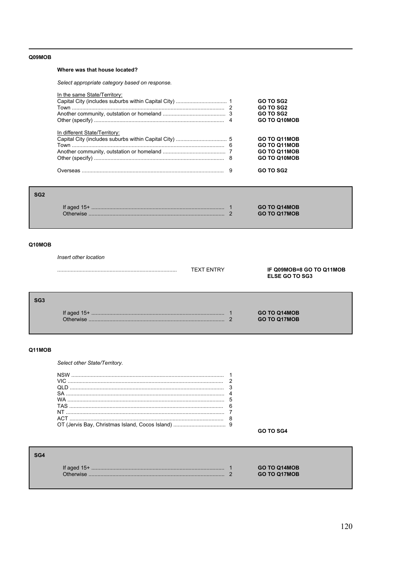# Q09MOB

# Where was that house located?

Select appropriate category based on response.

| In the same State/Territory:  | GO TO SG2<br><b>GO TO SG2</b><br>GO TO SG2<br><b>GO TO Q10MOB</b> |
|-------------------------------|-------------------------------------------------------------------|
| In different State/Territory: | GO TO Q11MOB<br>GO TO Q11MOB<br>GO TO Q11MOB<br>GO TO Q10MOB      |
|                               | <b>GO TO SG2</b>                                                  |

| SG <sub>2</sub> |           |                                            |
|-----------------|-----------|--------------------------------------------|
|                 | Otherwise | <b>GO TO Q14MOB</b><br><b>GO TO Q17MOB</b> |

# Q10MOB

Insert other location

|     |                            | <b>TEXT ENTRY</b> |   | IF Q09MOB=8 GO TO Q11MOB<br><b>ELSE GO TO SG3</b> |
|-----|----------------------------|-------------------|---|---------------------------------------------------|
| SG3 | If aged $15+$<br>Otherwise |                   | ົ | <b>GO TO Q14MOB</b><br><b>GO TO Q17MOB</b>        |

# Q11MOB

SG4

Select other State/Territory.

| NSW  |           |
|------|-----------|
| VIC. |           |
|      |           |
|      |           |
|      |           |
|      |           |
|      |           |
| ACT  |           |
|      |           |
|      | GO TO SG4 |

| If aged $15+$ | <b>GO TO Q14MOB</b> |
|---------------|---------------------|
| ∩thenwise     | <b>GO TO Q17MOB</b> |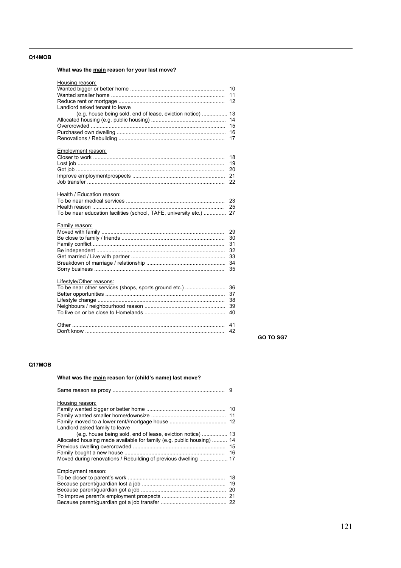# **Q14MOB**

# **What was the main reason for your last move?**

| Housing reason:                                                     |     |
|---------------------------------------------------------------------|-----|
|                                                                     | 10  |
|                                                                     | 11  |
|                                                                     | 12  |
| Landlord asked tenant to leave                                      |     |
| (e.g. house being sold, end of lease, eviction notice)              | 13  |
|                                                                     | 14  |
|                                                                     | 15  |
|                                                                     | 16  |
|                                                                     | 17  |
| Employment reason:                                                  |     |
|                                                                     | 18  |
|                                                                     | 19  |
|                                                                     | 20  |
|                                                                     | 21  |
|                                                                     |     |
| Health / Education reason:                                          |     |
|                                                                     | 23  |
|                                                                     | 25  |
| To be near education facilities (school, TAFE, university etc.)  27 |     |
| Family reason:                                                      |     |
|                                                                     | 29  |
|                                                                     | 30  |
|                                                                     | 31  |
|                                                                     | 32  |
|                                                                     | -33 |
|                                                                     | 34  |
|                                                                     | 35  |
|                                                                     |     |
| Lifestyle/Other reasons:                                            |     |
|                                                                     |     |
|                                                                     |     |
|                                                                     | 38  |
|                                                                     |     |
|                                                                     | 40  |
|                                                                     |     |
|                                                                     | 41  |
|                                                                     | 42  |
|                                                                     |     |

# **Q17MOB**

# What was the main reason for (child's name) last move?

| Housing reason:                                                       |  |
|-----------------------------------------------------------------------|--|
|                                                                       |  |
|                                                                       |  |
|                                                                       |  |
| Landlord asked family to leave                                        |  |
|                                                                       |  |
| Allocated housing made available for family (e.g. public housing)  14 |  |
|                                                                       |  |
|                                                                       |  |
| Moved during renovations / Rebuilding of previous dwelling  17        |  |
| Employment reason:                                                    |  |
|                                                                       |  |
|                                                                       |  |
|                                                                       |  |
|                                                                       |  |
|                                                                       |  |

**GO TO SG7**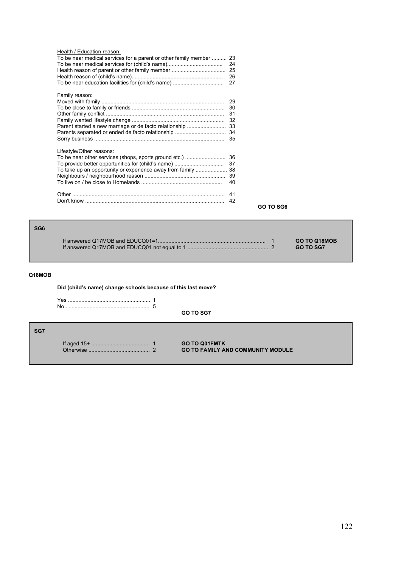| Health / Education reason:<br>To be near medical services for a parent or other family member  23<br>Health reason of parent or other family member<br>To be near education facilities for (child's name) | 24<br>25<br>26<br>27                   |
|-----------------------------------------------------------------------------------------------------------------------------------------------------------------------------------------------------------|----------------------------------------|
| Family reason:<br>Parent started a new marriage or de facto relationship<br>Parents separated or ended de facto relationship                                                                              | 29<br>30<br>31<br>32<br>33<br>34<br>35 |
| Lifestyle/Other reasons:<br>To be near other services (shops, sports ground etc.)<br>To provide better opportunities for (child's name)<br>To take up an opportunity or experience away from family       | 36<br>37<br>38<br>39<br>40             |
|                                                                                                                                                                                                           | 41<br>42                               |

**GO TO SG6**

# **SG6** If answered Q17MOB and EDUCQ01=1........................................................................ 1 **GO TO Q18MOB** If answered Q17MOB and EDUCQ01 not equal to 1 ...................................................... 2 **GO TO SG7**

# **Q18MOB**

**Did (childís name) change schools because of this last move?**

|     | Yes<br>No | <b>GO TO SG7</b>                                                 |
|-----|-----------|------------------------------------------------------------------|
| SG7 |           |                                                                  |
|     | Otherwise | <b>GO TO Q01FMTK</b><br><b>GO TO FAMILY AND COMMUNITY MODULE</b> |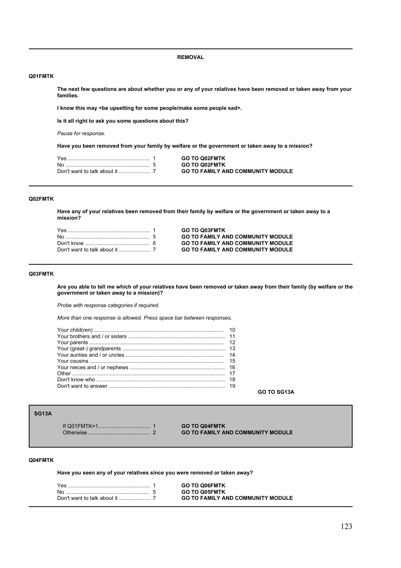**REMOVAL**

# **Q01FMTK**

**The next few questions are about whether you or any of your relatives have been removed or taken away from your families.** 

I know this may <be upsetting for some people/make some people sad>.

**Is it all right to ask you some questions about this?** 

*Pause for response.*

**Have you been removed from your family by welfare or the government or taken away to a mission?**

| Yes ……………………………………………… 1 | <b>GO TO Q02FMTK</b>                     |
|--------------------------|------------------------------------------|
|                          | <b>GO TO Q02FMTK</b>                     |
|                          | <b>GO TO FAMILY AND COMMUNITY MODULE</b> |

#### **Q02FMTK**

**Have any of your relatives been removed from their family by welfare or the government or taken away to a mission?**

Yes ....................................................... 1 **GO TO Q03FMTK GO TO FAMILY AND COMMUNITY MODULE** Don't know ........................................... 6 **GO TO FAMILY AND COMMUNITY MODULE** Don't want to talk about it ..................... 7 **GO TO FAMILY AND COMMUNITY MODULE**

# **Q03FMTK**

**Are you able to tell me which of your relatives have been removed or taken away from their family (by welfare or the government or taken away to a mission)?**

*Probe with response categories if required.*

*More than one response is allowed. Press space bar between responses.*

**GO TO SG13A**

# **SG13A**

If Q01FMTK=1................................... 1 **GO TO Q04FMTK GO TO FAMILY AND COMMUNITY MODULE** 

#### **Q04FMTK**

**Have you seen any of your relatives since you were removed or taken away?**

|  | <b>GO TO Q06FMTK</b>                     |
|--|------------------------------------------|
|  | <b>GO TO Q05FMTK</b>                     |
|  | <b>GO TO FAMILY AND COMMUNITY MODULE</b> |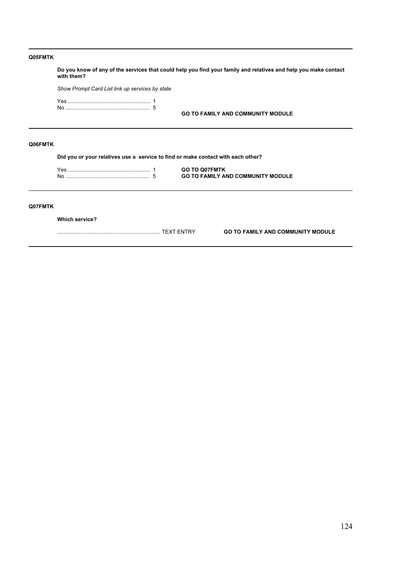| Q05FMTK |                                                                                  |                                                                                                                 |
|---------|----------------------------------------------------------------------------------|-----------------------------------------------------------------------------------------------------------------|
|         | with them?                                                                       | Do you know of any of the services that could help you find your family and relatives and help you make contact |
|         | Show Prompt Card List link up services by state                                  |                                                                                                                 |
|         |                                                                                  |                                                                                                                 |
|         |                                                                                  | <b>GO TO FAMILY AND COMMUNITY MODULE</b>                                                                        |
|         |                                                                                  |                                                                                                                 |
| Q06FMTK |                                                                                  |                                                                                                                 |
|         | Did you or your relatives use a service to find or make contact with each other? |                                                                                                                 |
|         |                                                                                  | <b>GO TO Q07FMTK</b>                                                                                            |
|         |                                                                                  | <b>GO TO FAMILY AND COMMUNITY MODULE</b>                                                                        |
|         |                                                                                  |                                                                                                                 |
| Q07FMTK |                                                                                  |                                                                                                                 |
|         | <b>Which service?</b>                                                            |                                                                                                                 |

..................................................................... TEXT ENTRY **GO TO FAMILY AND COMMUNITY MODULE**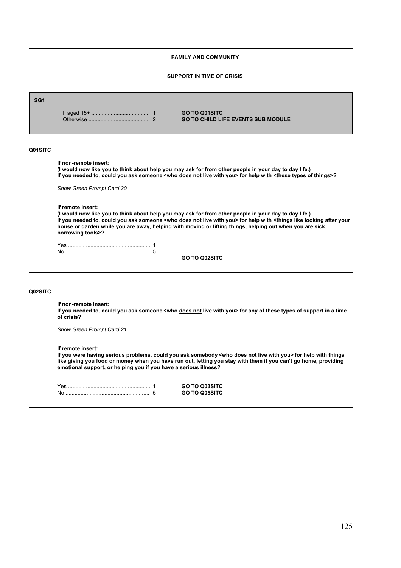# **FAMILY AND COMMUNITY**

#### **SUPPORT IN TIME OF CRISIS**

| SG <sub>1</sub> |                                                    | <b>GO TO Q01SITC</b><br><b>GO TO CHILD LIFE EVENTS SUB MODULE</b>                                                                                                                                                                                                                                                                                                                  |
|-----------------|----------------------------------------------------|------------------------------------------------------------------------------------------------------------------------------------------------------------------------------------------------------------------------------------------------------------------------------------------------------------------------------------------------------------------------------------|
| Q01SITC         | If non-remote insert:<br>Show Green Prompt Card 20 | (I would now like you to think about help you may ask for from other people in your day to day life.)<br>If you needed to, could you ask someone <who does="" live="" not="" with="" you=""> for help with <these of="" things="" types="">?</these></who>                                                                                                                         |
|                 | If remote insert:<br>borrowing tools>?             | (I would now like you to think about help you may ask for from other people in your day to day life.)<br>If you needed to, could you ask someone <who does="" live="" not="" with="" you=""> for help with <things after="" like="" looking="" your<br="">house or garden while you are away, helping with moving or lifting things, helping out when you are sick,</things></who> |
|                 |                                                    | <b>GO TO Q02SITC</b>                                                                                                                                                                                                                                                                                                                                                               |
| <b>Q02SITC</b>  |                                                    |                                                                                                                                                                                                                                                                                                                                                                                    |

### **If non-remote insert:**

If you needed to, could you ask someone <who does not live with you> for any of these types of support in a time **of crisis?**

*Show Green Prompt Card 21*

#### **If remote insert:**

**If you were having serious problems, could you ask somebody <who does not live with you> for help with things like giving you food or money when you have run out, letting you stay with them if you can't go home, providing emotional support, or helping you if you have a serious illness?**

|  | <b>GO TO Q03SITC</b> |
|--|----------------------|
|  | <b>GO TO Q05SITC</b> |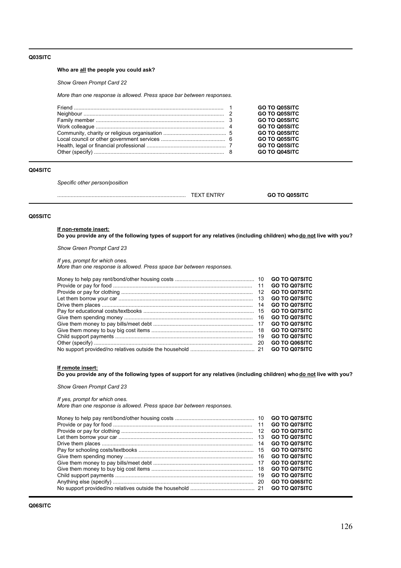### **Q03SITC**

# **Who are all the people you could ask?**

*Show Green Prompt Card 22*

*More than one response is allowed. Press space bar between responses.*

|  | <b>GO TO Q05SITC</b> |
|--|----------------------|
|  | <b>GO TO Q05SITC</b> |
|  | <b>GO TO Q05SITC</b> |
|  | <b>GO TO Q05SITC</b> |
|  | <b>GO TO Q05SITC</b> |
|  | <b>GO TO Q05SITC</b> |
|  | <b>GO TO Q05SITC</b> |
|  | <b>GO TO Q04SITC</b> |

### **Q04SITC**

*Specific other person/position*

| <br>. . |  |
|---------|--|
|         |  |

### **Q05SITC**

**If non-remote insert: Do you provide any of the following types of support for any relatives (including children) who do not live with you?**

*Show Green Prompt Card 23*

*If yes, prompt for which ones. More than one response is allowed. Press space bar between responses.*

|    | <b>GO TO Q07SITC</b> |
|----|----------------------|
|    | <b>GO TO Q07SITC</b> |
| 13 | <b>GO TO Q07SITC</b> |
| 14 | <b>GO TO Q07SITC</b> |
|    | <b>GO TO Q07SITC</b> |
|    | <b>GO TO Q07SITC</b> |
|    | <b>GO TO Q07SITC</b> |
|    | <b>GO TO Q07SITC</b> |
| 19 | <b>GO TO Q07SITC</b> |
| 20 | <b>GO TO Q06SITC</b> |
|    | <b>GO TO Q07SITC</b> |

# **If remote insert:**

Do you provide any of the following types of support for any relatives (including children) who **do not live with you?** 

*Show Green Prompt Card 23*

#### *If yes, prompt for which ones.*

*More than one response is allowed. Press space bar between responses.*

|    | <b>GO TO Q07SITC</b> |
|----|----------------------|
| 12 | <b>GO TO Q07SITC</b> |
| 13 | <b>GO TO Q07SITC</b> |
| 14 | <b>GO TO Q07SITC</b> |
|    | <b>GO TO Q07SITC</b> |
|    | <b>GO TO Q07SITC</b> |
|    | <b>GO TO Q07SITC</b> |
|    | <b>GO TO Q07SITC</b> |
|    | <b>GO TO Q07SITC</b> |
|    | <b>GO TO Q06SITC</b> |
|    | <b>GO TO Q07SITC</b> |
|    |                      |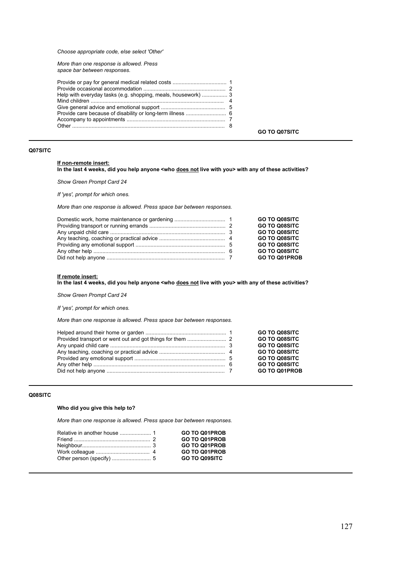*Choose appropriate code, else select 'Other'*

*More than one response is allowed. Press space bar between responses.*

| Help with everyday tasks (e.g. shopping, meals, housework)  3 |
|---------------------------------------------------------------|
|---------------------------------------------------------------|

**GO TO Q07SITC**

# **Q07SITC**

# **If non-remote insert:**

**In the last 4 weeks, did you help anyone <who does not live with you> with any of these activities?**

*Show Green Prompt Card 24*

*If 'yes', prompt for which ones.*

*More than one response is allowed. Press space bar between responses.*

|  | <b>GO TO Q08SITC</b> |
|--|----------------------|
|  | <b>GO TO Q08SITC</b> |
|  | <b>GO TO Q08SITC</b> |
|  | <b>GO TO Q08SITC</b> |
|  | <b>GO TO Q08SITC</b> |
|  | <b>GO TO Q08SITC</b> |
|  | <b>GO TO Q01PROB</b> |

#### **If remote insert:**

**In the last 4 weeks, did you help anyone <who does not live with you> with any of these activities?**

*Show Green Prompt Card 24*

*If 'yes', prompt for which ones.*

*More than one response is allowed. Press space bar between responses.*

|  | <b>GO TO Q08SITC</b><br><b>GO TO Q08SITC</b><br><b>GO TO Q08SITC</b><br><b>GO TO Q08SITC</b><br><b>GO TO Q08SITC</b> |
|--|----------------------------------------------------------------------------------------------------------------------|
|  | <b>GO TO Q08SITC</b><br><b>GO TO Q01PROB</b>                                                                         |

# **Q08SITC**

### **Who did you give this help to?**

*More than one response is allowed. Press space bar between responses.*

|  | <b>GO TO Q01PROB</b> |
|--|----------------------|
|  | <b>GO TO Q01PROB</b> |
|  | <b>GO TO Q01PROB</b> |
|  | <b>GO TO Q01PROB</b> |
|  | <b>GO TO Q09SITC</b> |
|  |                      |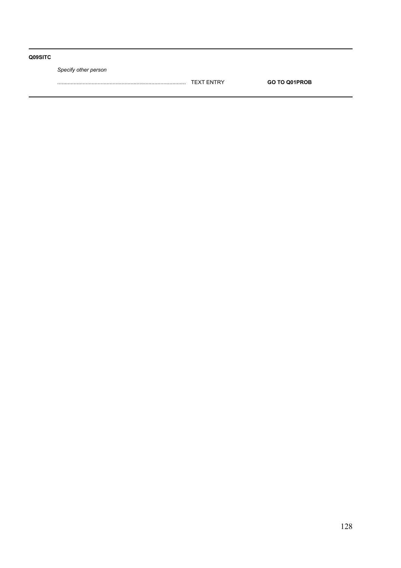# **Q09SITC**

*Specify other person*

...................................................................................... TEXT ENTRY **GO TO Q01PROB**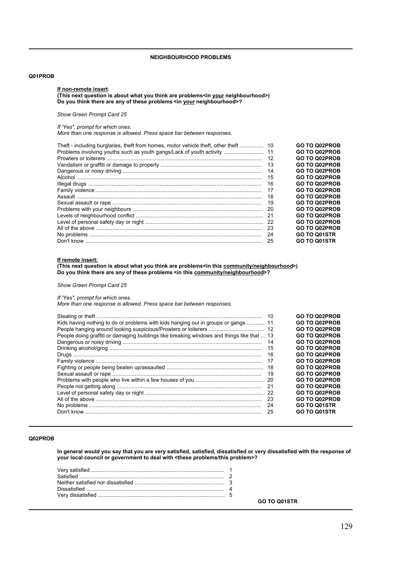### **NEIGHBOURHOOD PROBLEMS**

### **Q01PROB**

#### **If non-remote insert**:

# **(This next question is about what you think are problems<in your neighbourhood>) Do you think there are any of these problems <in your neighbourhood>?**

# *Show Green Prompt Card 25*

#### *If 'Yes", prompt for which ones.*

*More than one response is allowed. Press space bar between responses.*

| Theft - including burglaries, theft from homes, motor vehicle theft, other theft | 10  | <b>GO TO Q02PROB</b> |
|----------------------------------------------------------------------------------|-----|----------------------|
| Problems involving youths such as youth gangs/Lack of youth activity             | 11  | <b>GO TO Q02PROB</b> |
|                                                                                  | 12  | <b>GO TO Q02PROB</b> |
|                                                                                  | 13  | <b>GO TO Q02PROB</b> |
|                                                                                  | 14  | <b>GO TO Q02PROB</b> |
|                                                                                  | 15  | <b>GO TO Q02PROB</b> |
|                                                                                  | 16  | <b>GO TO Q02PROB</b> |
|                                                                                  | 17  | <b>GO TO Q02PROB</b> |
|                                                                                  | 18  | <b>GO TO Q02PROB</b> |
|                                                                                  | 19  | <b>GO TO Q02PROB</b> |
|                                                                                  | -20 | <b>GO TO Q02PROB</b> |
|                                                                                  | 21  | <b>GO TO Q02PROB</b> |
|                                                                                  |     | <b>GO TO Q02PROB</b> |
|                                                                                  | -23 | <b>GO TO Q02PROB</b> |
|                                                                                  | 24  | <b>GO TO Q01STR</b>  |
|                                                                                  | 25  | GO TO Q01STR         |

#### **If remote insert:**

**(This next question is about what you think are problems<in this community/neighbourhood>) Do you think there are any of these problems <in this community/neighbourhood>?**

*Show Green Prompt Card 25*

# *If 'Yes", prompt for which ones.*

*More than one response is allowed. Press space bar between responses.*

|                                                                                            | 10   |
|--------------------------------------------------------------------------------------------|------|
| Kids having nothing to do or problems with kids hanging out in groups or gangs  11         |      |
|                                                                                            |      |
| People doing graffiti or damaging buildings like breaking windows and things like that  13 |      |
|                                                                                            | 14   |
|                                                                                            | 15   |
|                                                                                            | 16   |
|                                                                                            | 17   |
|                                                                                            | 18   |
|                                                                                            | 19   |
|                                                                                            |      |
|                                                                                            | -21  |
|                                                                                            |      |
|                                                                                            | - 23 |
|                                                                                            | 24   |
|                                                                                            | 25   |
|                                                                                            |      |

### **Q02PROB**

**In general would you say that you are very satisfied, satisfied, dissatisfied or very dissatisfied with the response of your local council or government to deal with <these problems/this problem>?**

**GO TO Q01STR**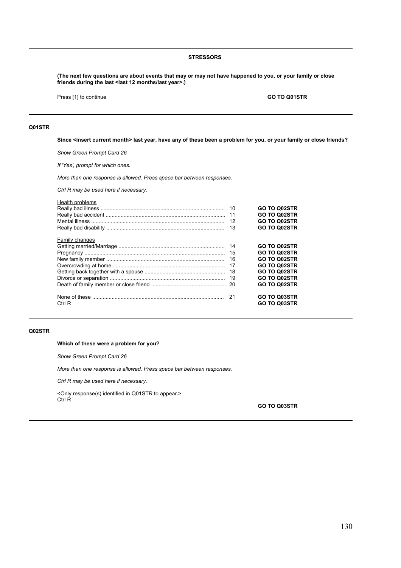### **STRESSORS**

**(The next few questions are about events that may or may not have happened to you, or your family or close friends during the last <last 12 months/last year>.)**

Press [1] to continue **GO TO Q01STR** 

# **Q01STR**

**Since <insert current month> last year, have any of these been a problem for you, or your family or close friends?** 

*Show Green Prompt Card 26*

*If 'Yes', prompt for which ones.* 

*More than one response is allowed. Press space bar between responses.* 

*Ctrl R may be used here if necessary.*

| Health problems | 11<br>12<br>13 | <b>GO TO Q02STR</b><br>GO TO Q02STR<br>GO TO Q02STR<br><b>GO TO Q02STR</b>                                                               |
|-----------------|----------------|------------------------------------------------------------------------------------------------------------------------------------------|
| Family changes  | 16<br>-18      | <b>GO TO Q02STR</b><br><b>GO TO Q02STR</b><br><b>GO TO Q02STR</b><br>GO TO Q02STR<br><b>GO TO Q02STR</b><br>GO TO Q02STR<br>GO TO Q02STR |
| Ctrl R          |                | <b>GO TO Q03STR</b><br><b>GO TO Q03STR</b>                                                                                               |

#### **Q02STR**

### **Which of these were a problem for you?**

*Show Green Prompt Card 26*

*More than one response is allowed. Press space bar between responses.* 

*Ctrl R may be used here if necessary.*

<Only response(s) identified in Q01STR to appear.> Ctrl R

**GO TO Q03STR**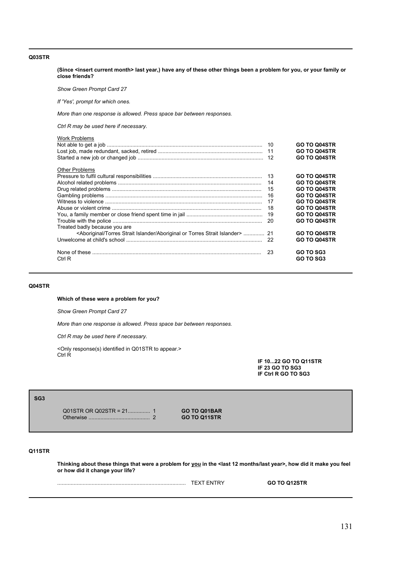### **Q03STR**

**(Since <insert current month> last year,) have any of these other things been a problem for you, or your family or close friends?** 

*Show Green Prompt Card 27*

*If 'Yes', prompt for which ones.* 

*More than one response is allowed. Press space bar between responses.* 

*Ctrl R may be used here if necessary.*

| <b>Work Problems</b>                                                              | 10<br>11<br>12 | <b>GO TO Q04STR</b><br><b>GO TO Q04STR</b><br><b>GO TO Q04STR</b> |
|-----------------------------------------------------------------------------------|----------------|-------------------------------------------------------------------|
| <b>Other Problems</b>                                                             |                |                                                                   |
|                                                                                   | 13             | <b>GO TO Q04STR</b>                                               |
|                                                                                   | 14             | GO TO Q04STR                                                      |
|                                                                                   | 15             | GO TO Q04STR                                                      |
|                                                                                   | 16             | <b>GO TO Q04STR</b>                                               |
|                                                                                   | 17             | <b>GO TO Q04STR</b>                                               |
|                                                                                   | 18             | <b>GO TO Q04STR</b>                                               |
|                                                                                   | 19             | <b>GO TO Q04STR</b>                                               |
|                                                                                   | 20             | <b>GO TO Q04STR</b>                                               |
| Treated badly because you are                                                     |                |                                                                   |
| <aboriginal aboriginal="" islander="" or="" strait="" torres="">  21</aboriginal> |                | <b>GO TO Q04STR</b>                                               |
|                                                                                   | 22             | <b>GO TO Q04STR</b>                                               |
|                                                                                   |                |                                                                   |
|                                                                                   | 23             | GO TO SG3                                                         |
| Ctrl R                                                                            |                | <b>GO TO SG3</b>                                                  |

# **Q04STR**

**Which of these were a problem for you?**

*Show Green Prompt Card 27*

*More than one response is allowed. Press space bar between responses.* 

*Ctrl R may be used here if necessary.*

<Only response(s) identified in Q01STR to appear.> Ctrl R

**IF 10...22 GO TO Q11STR IF 23 GO TO SG3 IF Ctrl R GO TO SG3**

#### **SG3**

Q01STR OR Q02STR = 21............... 1 **GO TO Q01BAR** Otherwise ......................................... 2 **GO TO Q11STR**

# **Q11STR**

**Thinking about these things that were a problem for you in the <last 12 months/last year>, how did it make you feel or how did it change your life?**

...................................................................................... TEXT ENTRY **GO TO Q12STR**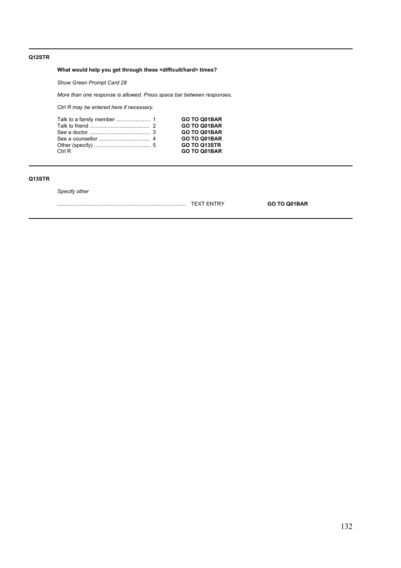# **Q12STR**

# **What would help you get through these <difficult/hard> times?**

*Show Green Prompt Card 28*

*More than one response is allowed. Press space bar between responses.*

*Ctrl R may be entered here if necessary.*

| Ctrl R | GO TO Q01BAR<br>GO TO Q01BAR<br>GO TO Q01BAR<br>GO TO Q01BAR<br><b>GO TO Q13STR</b><br>GO TO Q01BAR |
|--------|-----------------------------------------------------------------------------------------------------|
|        |                                                                                                     |

# **Q13STR**

*Specify other* 

| --- | . JAN |
|-----|-------|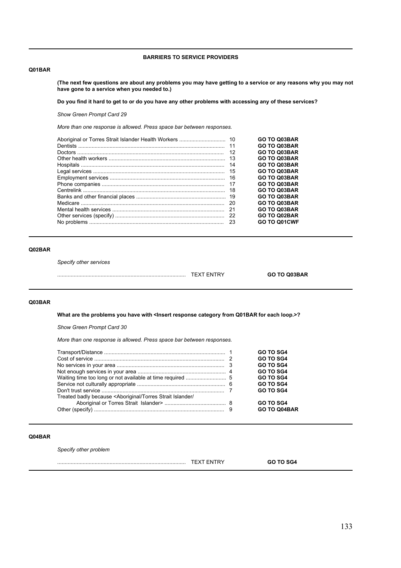# **BARRIERS TO SERVICE PROVIDERS**

# **Q01BAR**

**(The next few questions are about any problems you may have getting to a service or any reasons why you may not have gone to a service when you needed to.)**

**Do you find it hard to get to or do you have any other problems with accessing any of these services?**

*Show Green Prompt Card 29*

*More than one response is allowed. Press space bar between responses.*

|     | <b>GO TO Q03BAR</b> |
|-----|---------------------|
|     | <b>GO TO Q03BAR</b> |
| 12  | <b>GO TO Q03BAR</b> |
| -13 | <b>GO TO Q03BAR</b> |
| 14  | <b>GO TO Q03BAR</b> |
| 15  | <b>GO TO Q03BAR</b> |
| -16 | <b>GO TO Q03BAR</b> |
| -17 | <b>GO TO Q03BAR</b> |
| 18  | <b>GO TO Q03BAR</b> |
|     | <b>GO TO Q03BAR</b> |
| -20 | <b>GO TO Q03BAR</b> |
|     | <b>GO TO Q03BAR</b> |
|     | <b>GO TO Q02BAR</b> |
|     | GO TO Q01CWF        |

# **Q02BAR**

*Specify other services*

...................................................................................... TEXT ENTRY **GO TO Q03BAR**

# **Q03BAR**

What are the problems you have with <Insert response category from Q01BAR for each loop.>?

*Show Green Prompt Card 30*

*More than one response is allowed. Press space bar between responses.*

|                                                                                                     | GO TO SG4           |
|-----------------------------------------------------------------------------------------------------|---------------------|
|                                                                                                     | GO TO SG4           |
|                                                                                                     | GO TO SG4           |
|                                                                                                     | <b>GO TO SG4</b>    |
|                                                                                                     | <b>GO TO SG4</b>    |
|                                                                                                     | <b>GO TO SG4</b>    |
|                                                                                                     | <b>GO TO SG4</b>    |
| Treated badly because <aboriginal <="" islander="" strait="" td="" torres=""><td></td></aboriginal> |                     |
|                                                                                                     | GO TO SG4           |
|                                                                                                     | <b>GO TO Q04BAR</b> |

#### **Q04BAR**

*Specify other problem*

...................................................................................... TEXT ENTRY **GO TO SG4**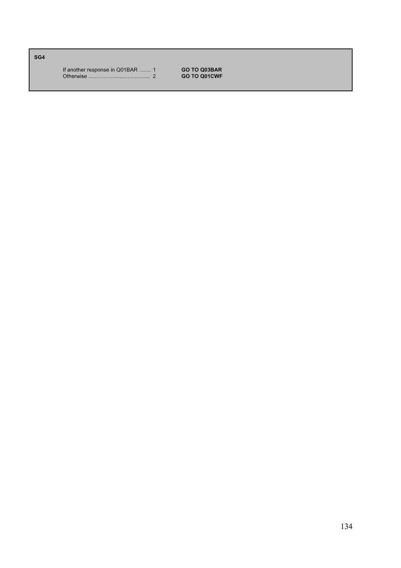**SG4**

If another response in Q01BAR ........ 1 **GO TO Q03BAR** Otherwise ......................................... 2 **GO TO Q01CWF**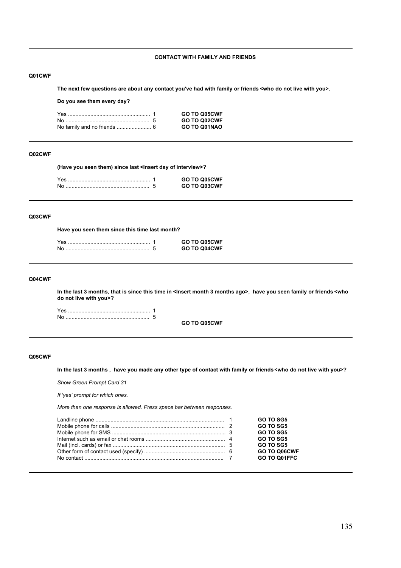# **CONTACT WITH FAMILY AND FRIENDS**

### **Q01CWF**

**The next few questions are about any contact you've had with family or friends <who do not live with you>.**

**Do you see them every day?**

|  | <b>GO TO Q05CWF</b> |
|--|---------------------|
|  | <b>GO TO Q02CWF</b> |
|  | GO TO Q01NAO        |

# **Q02CWF**

**(Have you seen them) since last <Insert day of interview>?**

|  | GO TO Q05CWF |
|--|--------------|
|  | GO TO Q03CWF |

#### **Q03CWF**

**Have you seen them since this time last month?**

|  | GO TO Q05CWF |
|--|--------------|
|  | GO TO Q04CWF |

# **Q04CWF**

**In the last 3 months, that is since this time in <Insert month 3 months ago>, have you seen family or friends <who do not live with you>?**

**GO TO Q05CWF**

### **Q05CWF**

**In the last 3 months , have you made any other type of contact with family or friends <who do not live with you>?**

*Show Green Prompt Card 31*

*If 'yes' prompt for which ones.*

*More than one response is allowed. Press space bar between responses.*

|  | <b>GO TO SG5</b> |
|--|------------------|
|  | GO TO SG5        |
|  | <b>GO TO SG5</b> |
|  | <b>GO TO SG5</b> |
|  | <b>GO TO SG5</b> |
|  | GO TO Q06CWF     |
|  | GO TO O01FFC     |
|  |                  |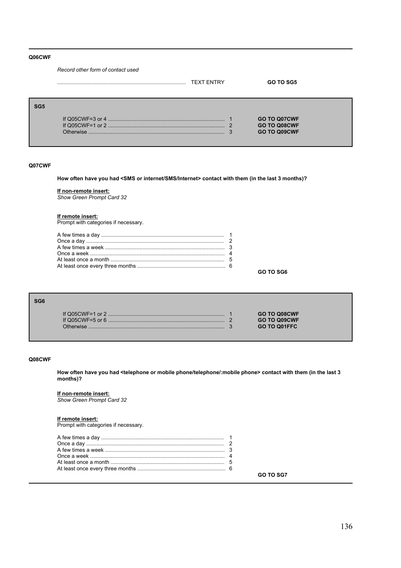### **Q06CWF**

*Record other form of contact used*

|            |           | <b>TEXT ENTRY</b> | GO TO SG5                                                  |
|------------|-----------|-------------------|------------------------------------------------------------|
| <b>SG5</b> | Otherwise | $\Omega$          | <b>GO TO Q07CWF</b><br>GO TO Q08CWF<br><b>GO TO Q09CWF</b> |

#### **Q07CWF**

**How often have you had <SMS or internet/SMS/Internet> contact with them (in the last 3 months)?**

#### **If non-remote insert:**

*Show Green Prompt Card 32*

#### **If remote insert:**

Prompt with categories if necessary.

**GO TO SG6**

| G6 |                                                     |  |
|----|-----------------------------------------------------|--|
|    | <b>GO TO Q08CWF</b><br>GO TO Q09CWF<br>GO TO Q01FFC |  |

### **Q08CWF**

**SG6**

**How often have you had <telephone or mobile phone/telephone/:mobile phone> contact with them (in the last 3 months)?**

### **If non-remote insert:**

*Show Green Prompt Card 32*

### **If remote insert:**

Prompt with categories if necessary.

|--|--|

**GO TO SG7**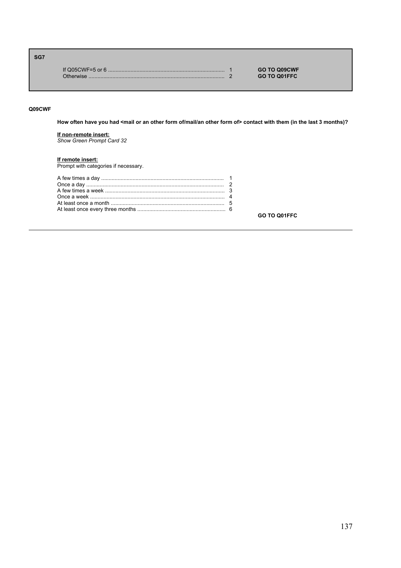# **SG7**

|  | <b>GO TO Q09CWF</b> |
|--|---------------------|
|  | <b>GO TO Q01FFC</b> |

# **Q09CWF**

**How often have you had <mail or an other form of/mail/an other form of> contact with them (in the last 3 months)?**

# **If non-remote insert:**

*Show Green Prompt Card 32*

# **If remote insert:** Prompt with categories if necessary.

**GO TO Q01FFC**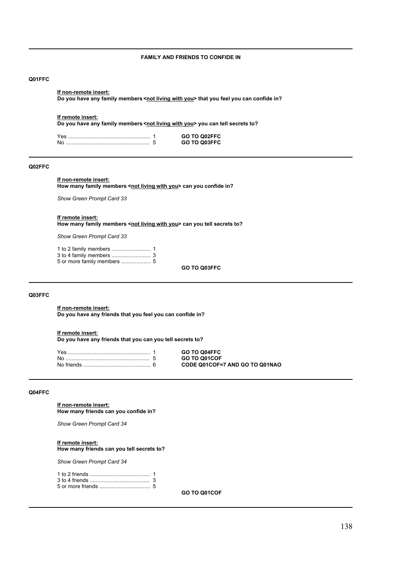# **FAMILY AND FRIENDS TO CONFIDE IN**

# **Q01FFC**

#### **If non-remote insert:**

Do you have any family members <not living with you> that you feel you can confide in?

#### **If remote insert:**

**Do you have any family members <not living with you> you can tell secrets to?** 

|  | GO TO Q02FFC |
|--|--------------|
|  | GO TO O03FFC |

### **Q02FFC**

# **If non-remote insert:**

How many family members <not living with you> can you confide in?

*Show Green Prompt Card 33*

#### **If remote insert:**

How many family members <not living with you> can you tell secrets to?

*Show Green Prompt Card 33*

5 or more family members .................... 5

**GO TO Q03FFC**

#### **Q03FFC**

**If non-remote insert: Do you have any friends that you feel you can confide in?**

#### **If remote insert:**

**Do you have any friends that you can you tell secrets to?**

|  | <b>GO TO Q04FFC</b>            |
|--|--------------------------------|
|  | <b>GO TO Q01COF</b>            |
|  | CODE Q01COF=7 AND GO TO Q01NAO |

#### **Q04FFC**

**If non-remote insert: How many friends can you confide in?**

*Show Green Prompt Card 34*

#### **If remote insert:**

### **How many friends can you tell secrets to?**

*Show Green Prompt Card 34*

**GO TO Q01COF**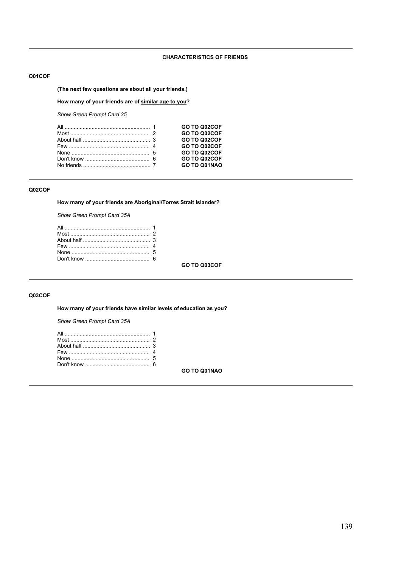# **CHARACTERISTICS OF FRIENDS**

## **Q01COF**

# **(The next few questions are about all your friends.)**

# **How many of your friends are of similar age to you?**

*Show Green Prompt Card 35*

|  | GO TO Q02COF |
|--|--------------|
|  | GO TO Q02COF |
|  | GO TO Q02COF |
|  | GO TO Q02COF |
|  | GO TO Q02COF |
|  | GO TO Q02COF |
|  | GO TO Q01NAO |
|  |              |

# **Q02COF**

**How many of your friends are Aboriginal/Torres Strait Islander?**

*Show Green Prompt Card 35A*

**GO TO Q03COF**

# **Q03COF**

**How many of your friends have similar levels of education as you?**

*Show Green Prompt Card 35A*

**GO TO Q01NAO**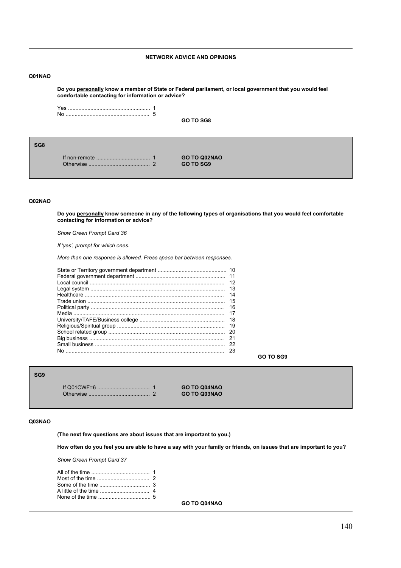# **NETWORK ADVICE AND OPINIONS**

# **Q01NAO**

**Do you personally know a member of State or Federal parliament, or local government that you would feel comfortable contacting for information or advice?**

**GO TO SG8**

**SG8**

If non-remote .................................... 1 **GO TO Q02NAO** Otherwise ......................................... 2 **GO TO SG9**

#### **Q02NAO**

**Do you personally know someone in any of the following types of organisations that you would feel comfortable contacting for information or advice?**

*Show Green Prompt Card 36*

*If 'yes', prompt for which ones.*

*More than one response is allowed. Press space bar between responses.*

| -11 |
|-----|
| 12  |
| 13  |
| 14  |
| 15  |
| 16  |
| 17  |
| 18  |
| 19  |
| 20  |
| 21  |
| 22  |
| 23  |

**GO TO SG9**

# **SG9**

If Q01CWF=6 ................................... 1 **GO TO Q04NAO** Otherwise ......................................... 2 **GO TO Q03NAO**

#### **Q03NAO**

**(The next few questions are about issues that are important to you.)**

**How often do you feel you are able to have a say with your family or friends, on issues that are important to you?**

*Show Green Prompt Card 37*

**GO TO Q04NAO**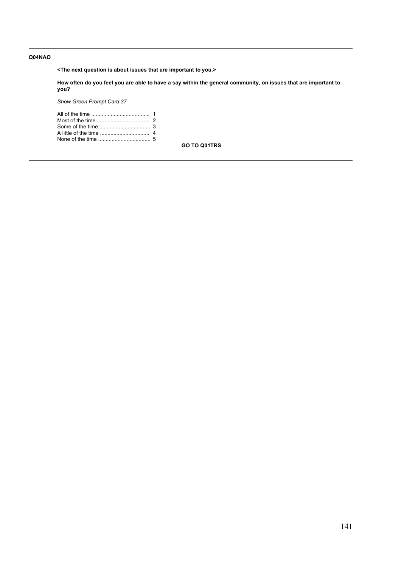# **Q04NAO**

**<The next question is about issues that are important to you.>**

**How often do you feel you are able to have a say within the general community, on issues that are important to you?**

*Show Green Prompt Card 37*

**GO TO Q01TRS**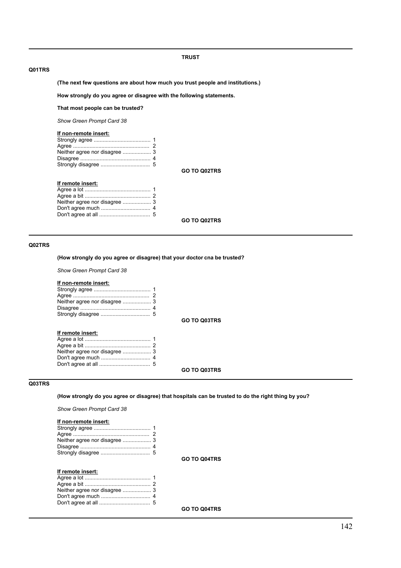### **TRUST**

## **Q01TRS**

**(The next few questions are about how much you trust people and institutions.)**

**How strongly do you agree or disagree with the following statements.**

# **That most people can be trusted?**

*Show Green Prompt Card 38*

### **If non-remote insert:**

| Neither agree nor disagree  3 |  |
|-------------------------------|--|
|                               |  |
|                               |  |
|                               |  |
|                               |  |

**GO TO Q02TRS**

# **If remote insert:**

**GO TO Q02TRS**

# **Q02TRS**

### **(How strongly do you agree or disagree) that your doctor cna be trusted?**

*Show Green Prompt Card 38*

# **If non-remote insert:**

**GO TO Q03TRS**

# **If remote insert:**

# **GO TO Q03TRS**

# **Q03TRS**

# **(How strongly do you agree or disagree) that hospitals can be trusted to do the right thing by you?**

*Show Green Prompt Card 38*

### **If non-remote insert:**

# **If remote insert:**

**GO TO Q04TRS**

**GO TO Q04TRS**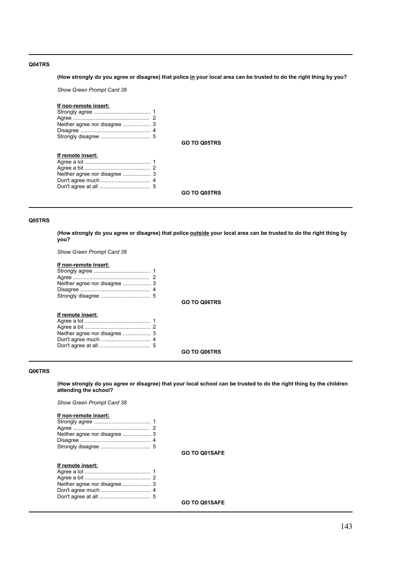# **Q04TRS**

### **(How strongly do you agree or disagree) that police in your local area can be trusted to do the right thing by you?**

*Show Green Prompt Card 38*

### **If non-remote insert:**

| Neither agree nor disagree  3 |  |
|-------------------------------|--|
|                               |  |
|                               |  |

**GO TO Q05TRS**

# **If remote insert:**

| Neither agree nor disagree  3 |  |
|-------------------------------|--|
|                               |  |
|                               |  |
|                               |  |

**GO TO Q05TRS**

### **Q05TRS**

**(How strongly do you agree or disagree) that police outside your local area can be trusted to do the right thing by you?**

*Show Green Prompt Card 38*

# **If non-remote insert:**

| Neither agree nor disagree  3 |  |
|-------------------------------|--|
|                               |  |
|                               |  |
|                               |  |
|                               |  |

**GO TO Q06TRS**

# **If remote insert:**

**GO TO Q06TRS**

### **Q06TRS**

**(How strongly do you agree or disagree) that your local school can be trusted to do the right thing by the children attending the school?**

*Show Green Prompt Card 38*

### **If non-remote insert:**

**GO TO Q01SAFE**

# **If remote insert:**

**GO TO Q01SAFE**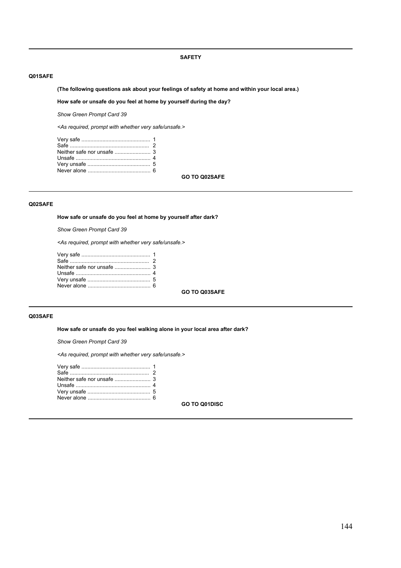### **SAFETY**

### **Q01SAFE**

# **(The following questions ask about your feelings of safety at home and within your local area.)**

### **How safe or unsafe do you feel at home by yourself during the day?**

*Show Green Prompt Card 39*

*<As required, prompt with whether very safe/unsafe.>*

**GO TO Q02SAFE**

# **Q02SAFE**

**How safe or unsafe do you feel at home by yourself after dark?**

*Show Green Prompt Card 39*

*<As required, prompt with whether very safe/unsafe.>*

**GO TO Q03SAFE**

# **Q03SAFE**

**How safe or unsafe do you feel walking alone in your local area after dark?**

*Show Green Prompt Card 39*

*<As required, prompt with whether very safe/unsafe.>*

**GO TO Q01DISC**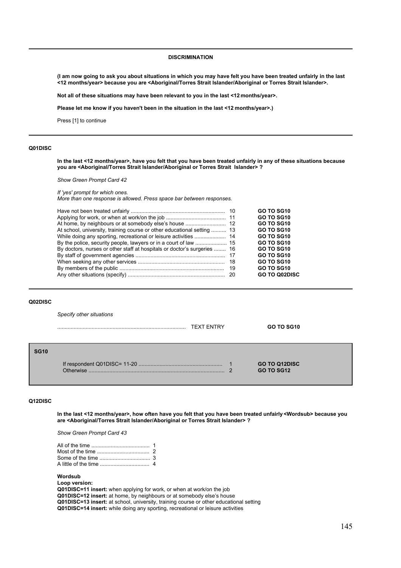### **DISCRIMINATION**

**(I am now going to ask you about situations in which you may have felt you have been treated unfairly in the last <12 months/year> because you are <Aboriginal/Torres Strait Islander/Aboriginal or Torres Strait Islander>.** 

**Not all of these situations may have been relevant to you in the last <12 months/year>.** 

**Please let me know if you haven't been in the situation in the last <12 months/year>.)**

Press [1] to continue

### **Q01DISC**

**In the last <12 months/year>, have you felt that you have been treated unfairly in any of these situations because you are <Aboriginal/Torres Strait Islander/Aboriginal or Torres Strait Islander> ?**

*Show Green Prompt Card 42*

*If 'yes' prompt for which ones.*

*More than one response is allowed. Press space bar between responses.*

|                                                                          | GO TO SG10           |
|--------------------------------------------------------------------------|----------------------|
|                                                                          | <b>GO TO SG10</b>    |
|                                                                          | GO TO SG10           |
| At school, university, training course or other educational setting  13  | GO TO SG10           |
|                                                                          | GO TO SG10           |
|                                                                          | GO TO SG10           |
| By doctors, nurses or other staff at hospitals or doctor's surgeries  16 | GO TO SG10           |
|                                                                          | <b>GO TO SG10</b>    |
|                                                                          | GO TO SG10           |
|                                                                          | GO TO SG10           |
|                                                                          | <b>GO TO Q02DISC</b> |
|                                                                          |                      |

### **Q02DISC**

*Specify other situations*

|             |           | <b>TEXT ENTRY</b> | GO TO SG10                                     |
|-------------|-----------|-------------------|------------------------------------------------|
| <b>SG10</b> | Otherwise |                   | <b>GO TO Q12DISC</b><br><b>GO TO SG12</b><br>ົ |

### **Q12DISC**

**In the last <12 months/year>, how often have you felt that you have been treated unfairly <Wordsub> because you are <Aboriginal/Torres Strait Islander/Aboriginal or Torres Strait Islander> ?**

*Show Green Prompt Card 43*

**Wordsub**

**Loop version:**

**Q01DISC=11 insert:** when applying for work, or when at work/on the job

**Q01DISC=12 insert:** at home, by neighbours or at somebody else's house **Q01DISC=13 insert:** at school, university, training course or other educational setting

**Q01DISC=14 insert:** while doing any sporting, recreational or leisure activities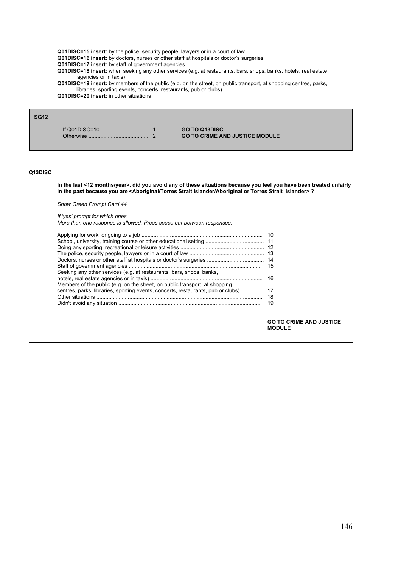**Q01DISC=15 insert:** by the police, security people, lawyers or in a court of law

Q01DISC=16 insert: by doctors, nurses or other staff at hospitals or doctor's surgeries

**Q01DISC=17 insert:** by staff of government agencies

**Q01DISC=18 insert:** when seeking any other services (e.g. at restaurants, bars, shops, banks, hotels, real estate agencies or in taxis)

**Q01DISC=19 insert:** by members of the public (e.g. on the street, on public transport, at shopping centres, parks, libraries, sporting events, concerts, restaurants, pub or clubs)

**Q01DISC=20 insert:** in other situations

# **SG12**

If Q01DISC=10 ................................. 1 **GO TO Q13DISC**

**GO TO CRIME AND JUSTICE MODULE** 

#### **Q13DISC**

**In the last <12 months/year>, did you avoid any of these situations because you feel you have been treated unfairly in the past because you are <Aboriginal/Torres Strait Islander/Aboriginal or Torres Strait Islander> ?** 

*Show Green Prompt Card 44*

### *If 'yes' prompt for which ones.*

*More than one response is allowed. Press space bar between responses.*

| Seeking any other services (e.g. at restaurants, bars, shops, banks,                 |     |
|--------------------------------------------------------------------------------------|-----|
|                                                                                      |     |
| Members of the public (e.g. on the street, on public transport, at shopping          |     |
| centres, parks, libraries, sporting events, concerts, restaurants, pub or clubs)  17 |     |
|                                                                                      |     |
|                                                                                      | -19 |
|                                                                                      |     |

**GO TO CRIME AND JUSTICE MODULE**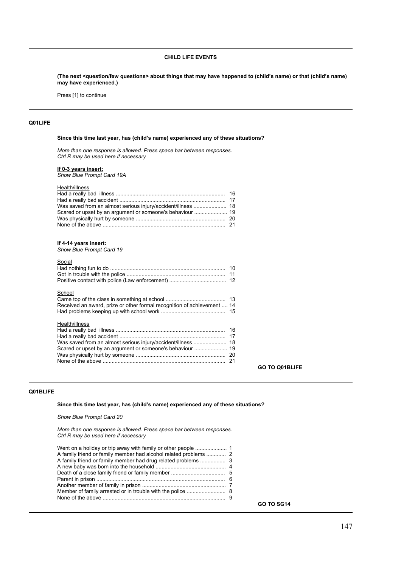### **CHILD LIFE EVENTS**

**(The next <question/few questions> about things that may have happened to (childís name) or that (childís name) may have experienced.)**

Press [1] to continue

### **Q01LIFE**

### Since this time last year, has (child's name) experienced any of these situations?

*More than one response is allowed. Press space bar between responses. Ctrl R may be used here if necessary*

#### **If 0-3 years insert:**

*Show Blue Prompt Card 19A*

### Health/illness

| Was saved from an almost serious injury/accident/illness  18 |  |
|--------------------------------------------------------------|--|
|                                                              |  |
|                                                              |  |
|                                                              |  |
|                                                              |  |

### **If 4-14 years insert:**

*Show Blue Prompt Card 19*

| Social                                                                  |  |
|-------------------------------------------------------------------------|--|
|                                                                         |  |
|                                                                         |  |
|                                                                         |  |
| School                                                                  |  |
|                                                                         |  |
| Received an award, prize or other formal recognition of achievement  14 |  |
|                                                                         |  |
| Health/illness                                                          |  |
| Was saved from an almost serious injury/accident/illness  18            |  |
|                                                                         |  |
|                                                                         |  |
|                                                                         |  |
|                                                                         |  |

### **Q01BLIFE**

# Since this time last year, has (child's name) experienced any of these situations?

*Show Blue Prompt Card 20*

*More than one response is allowed. Press space bar between responses. Ctrl R may be used here if necessary*

**GO TO SG14**

**GO TO Q01BLIFE**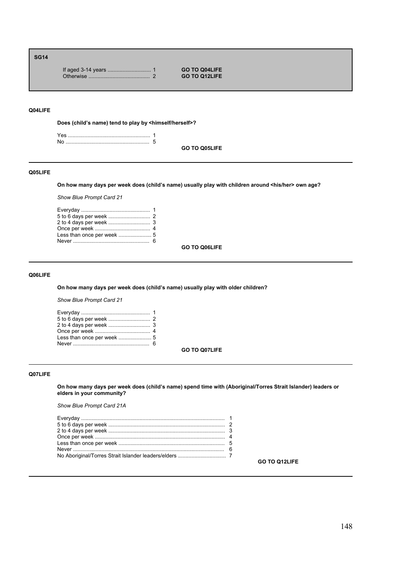# **SG14**

If aged 3-14 years ............................. 1 **GO TO Q04LIFE** Otherwise ......................................... 2 **GO TO Q12LIFE**

# **Q04LIFE**

**Does (childís name) tend to play by <himself/herself>?**

Yes ....................................................... 1 No ........................................................ 5

**GO TO Q05LIFE**

### **Q05LIFE**

**On how many days per week does (childís name) usually play with children around <his/her> own age?**

*Show Blue Prompt Card 21*

| Less than once per week  5 |  |
|----------------------------|--|
|                            |  |

**GO TO Q06LIFE**

### **Q06LIFE**

On how many days per week does (child's name) usually play with older children?

*Show Blue Prompt Card 21*

**GO TO Q07LIFE**

# **Q07LIFE**

**On how many days per week does (childís name) spend time with (Aboriginal/Torres Strait Islander) leaders or elders in your community?**

*Show Blue Prompt Card 21A*

**GO TO Q12LIFE**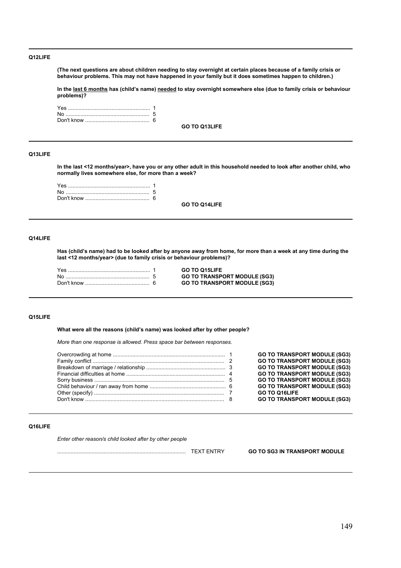### **Q12LIFE**

**(The next questions are about children needing to stay overnight at certain places because of a family crisis or behaviour problems. This may not have happened in your family but it does sometimes happen to children.)** 

**In the last 6 months has (childís name) needed to stay overnight somewhere else (due to family crisis or behaviour problems)?**

**GO TO Q13LIFE**

### **Q13LIFE**

**In the last <12 months/year>, have you or any other adult in this household needed to look after another child, who normally lives somewhere else, for more than a week?**

**GO TO Q14LIFE**

### **Q14LIFE**

**Has (childís name) had to be looked after by anyone away from home, for more than a week at any time during the last <12 months/year> (due to family crisis or behaviour problems)?** 

Yes ....................................................... 1 **GO TO Q15LIFE**  $GO TO TRANSPORT MODEL (SG3)$ GO TO TRANSPORT MODULE (SG3)

### **Q15LIFE**

What were all the reasons (child's name) was looked after by other people?

*More than one response is allowed. Press space bar between responses.*

|  | <b>GO TO TRANSPORT MODULE (SG3)</b> |
|--|-------------------------------------|
|  | <b>GO TO TRANSPORT MODULE (SG3)</b> |
|  | <b>GO TO TRANSPORT MODULE (SG3)</b> |
|  | <b>GO TO TRANSPORT MODULE (SG3)</b> |
|  | <b>GO TO TRANSPORT MODULE (SG3)</b> |
|  | <b>GO TO TRANSPORT MODULE (SG3)</b> |
|  | GO TO Q16LIFE                       |
|  | <b>GO TO TRANSPORT MODULE (SG3)</b> |
|  |                                     |

### **Q16LIFE**

*Enter other reason/s child looked after by other people*

...................................................................................... TEXT ENTRY **GO TO SG3 IN TRANSPORT MODULE**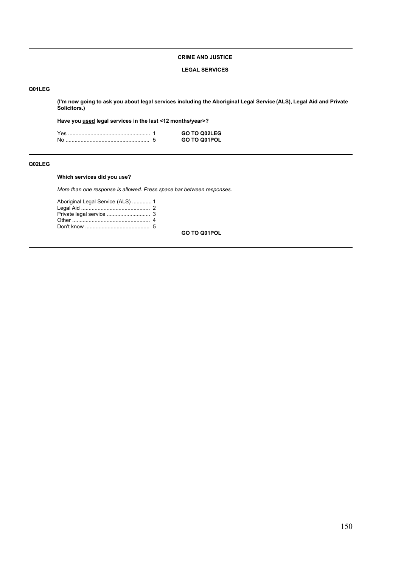# **CRIME AND JUSTICE**

### **LEGAL SERVICES**

# **Q01LEG**

**(I'm now going to ask you about legal services including the Aboriginal Legal Service (ALS), Legal Aid and Private Solicitors.)**

**Have you used legal services in the last <12 months/year>?**

|  | GO TO Q02LEG        |
|--|---------------------|
|  | <b>GO TO Q01POL</b> |

### **Q02LEG**

# **Which services did you use?**

*More than one response is allowed. Press space bar between responses.*

| Aboriginal Legal Service (ALS)  1 |  |
|-----------------------------------|--|
|                                   |  |
|                                   |  |
|                                   |  |
|                                   |  |
|                                   |  |

**GO TO Q01POL**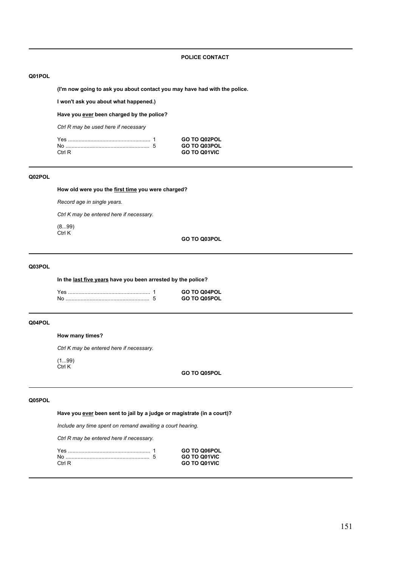### **POLICE CONTACT**

# **Q01POL**

**(I'm now going to ask you about contact you may have had with the police.**

**I won't ask you about what happened.)**

**Have you ever been charged by the police?**

*Ctrl R may be used here if necessary*

| Yes    | GO TO Q02POL        |
|--------|---------------------|
|        | GO TO Q03POL        |
| Ctrl R | <b>GO TO Q01VIC</b> |

# **Q02POL**

**How old were you the first time you were charged?**

*Record age in single years.*

*Ctrl K may be entered here if necessary.*

(8...99) Ctrl K

**GO TO Q03POL**

# **Q03POL**

**In the last five years have you been arrested by the police?**

|  | <b>GO TO Q04POL</b> |
|--|---------------------|
|  | <b>GO TO O05POL</b> |

# **Q04POL**

# **How many times?**

*Ctrl K may be entered here if necessary.*

(1...99) Ctrl K

**GO TO Q05POL**

# **Q05POL**

**Have you ever been sent to jail by a judge or magistrate (in a court)?**

*Include any time spent on remand awaiting a court hearing.*

*Ctrl R may be entered here if necessary.*

|        | <b>GO TO Q06POL</b> |
|--------|---------------------|
|        | <b>GO TO Q01VIC</b> |
| Ctrl R | <b>GO TO Q01VIC</b> |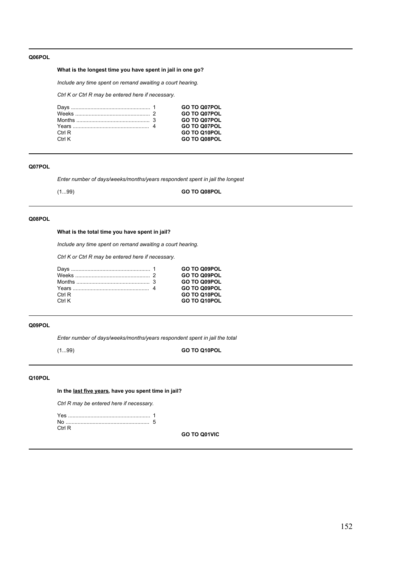### **Q06POL**

# **What is the longest time you have spent in jail in one go?**

*Include any time spent on remand awaiting a court hearing.*

*Ctrl K or Ctrl R may be entered here if necessary.*

|        | GO TO Q07POL        |
|--------|---------------------|
|        | GO TO Q07POL        |
|        | <b>GO TO Q07POL</b> |
|        | GO TO Q07POL        |
| Ctrl R | GO TO Q10POL        |
| Ctrl K | GO TO Q08POL        |

# **Q07POL**

*Enter number of days/weeks/months/years respondent spent in jail the longest*

(1...99) **GO TO Q08POL**

# **Q08POL**

# **What is the total time you have spent in jail?**

*Include any time spent on remand awaiting a court hearing.*

*Ctrl K or Ctrl R may be entered here if necessary.*

|        | <b>GO TO Q09POL</b> |
|--------|---------------------|
|        | <b>GO TO Q09POL</b> |
|        | GO TO Q09POL        |
|        | GO TO Q09POL        |
| Ctrl R | GO TO Q10POL        |
| Ctrl K | GO TO Q10POL        |
|        |                     |

# **Q09POL**

*Enter number of days/weeks/months/years respondent spent in jail the total*

# (1...99) **GO TO Q10POL**

# **Q10POL**

**In the last five years, have you spent time in jail?**

*Ctrl R may be entered here if necessary.*

| Ctrl R |  |
|--------|--|

**GO TO Q01VIC**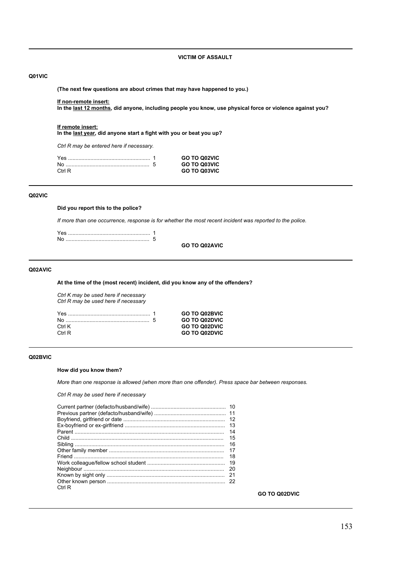# **VICTIM OF ASSAULT**

# **Q01VIC**

**(The next few questions are about crimes that may have happened to you.)**

#### **If non-remote insert:**

**In the last 12 months, did anyone, including people you know, use physical force or violence against you?**

#### **If remote insert:**

**In the last year, did anyone start a fight with you or beat you up?**

*Ctrl R may be entered here if necessary.*

|       | <b>GO TO Q02VIC</b> |
|-------|---------------------|
|       | <b>GO TO Q03VIC</b> |
| CtrlR | GO TO Q03VIC        |

# **Q02VIC**

**Did you report this to the police?**

*If more than one occurrence, response is for whether the most recent incident was reported to the police.*

**GO TO Q02AVIC**

# **Q02AVIC**

**At the time of the (most recent) incident, did you know any of the offenders?**

*Ctrl K may be used here if necessary Ctrl R may be used here if necessary*

|        | <b>GO TO Q02BVIC</b> |
|--------|----------------------|
|        | <b>GO TO Q02DVIC</b> |
| Ctrl K | <b>GO TO Q02DVIC</b> |
| Ctrl R | <b>GO TO Q02DVIC</b> |

#### **Q02BVIC**

### **How did you know them?**

*More than one response is allowed (when more than one offender). Press space bar between responses.*

# *Ctrl R may be used here if necessary*

| Child …………………………………………………………………………………………… | -12<br>13<br>14<br>15<br>16<br>17<br>18<br>19<br>20<br>-21<br>22 |
|-------------------------------------------|------------------------------------------------------------------|
| Ctrl R                                    |                                                                  |
|                                           |                                                                  |

**GO TO Q02DVIC**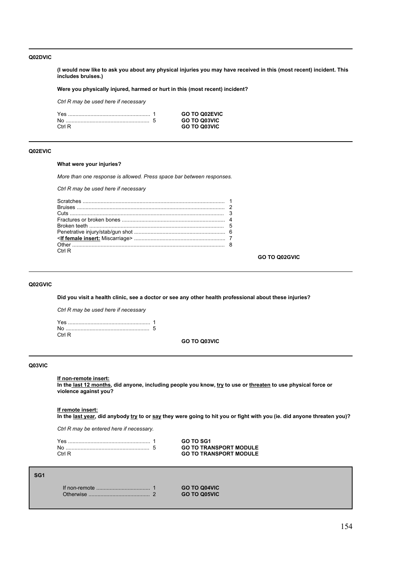### **Q02DVIC**

**(I would now like to ask you about any physical injuries you may have received in this (most recent) incident. This includes bruises.)** 

**Were you physically injured, harmed or hurt in this (most recent) incident?**

*Ctrl R may be used here if necessary*

|        | <b>GO TO Q02EVIC</b> |
|--------|----------------------|
|        | <b>GO TO Q03VIC</b>  |
| Ctrl R | <b>GO TO Q03VIC</b>  |

### **Q02EVIC**

### **What were your injuries?**

*More than one response is allowed. Press space bar between responses.*

### *Ctrl R may be used here if necessary*

| Ctrl R |  |
|--------|--|

**GO TO Q02GVIC**

# **Q02GVIC**

**Did you visit a health clinic, see a doctor or see any other health professional about these injuries?**

*Ctrl R may be used here if necessary*

| Ctrl R. |  |
|---------|--|

**GO TO Q03VIC**

### **Q03VIC**

**If non-remote insert:**

**In the last 12 months, did anyone, including people you know, try to use or threaten to use physical force or violence against you?**

#### **If remote insert:**

**In the last year, did anybody try to or say they were going to hit you or fight with you (ie. did anyone threaten you)?**

*Ctrl R may be entered here if necessary.*

|        | GO TO SG1                     |
|--------|-------------------------------|
|        | <b>GO TO TRANSPORT MODULE</b> |
| Ctrl R | <b>GO TO TRANSPORT MODULE</b> |

### **SG1**

|  | <b>GO TO Q04VIC</b> |
|--|---------------------|
|  | <b>GO TO Q05VIC</b> |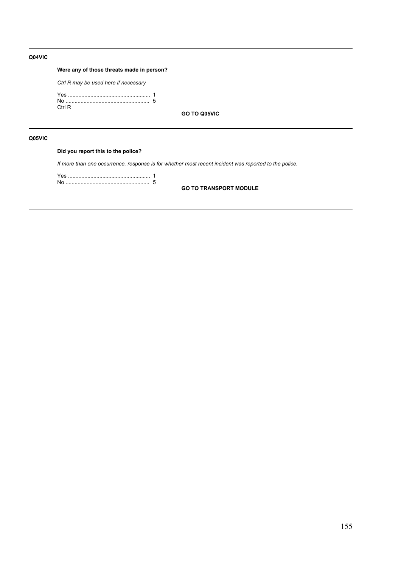### **Q04VIC**

# **Were any of those threats made in person?**

*Ctrl R may be used here if necessary*

| Ctrl R |  |
|--------|--|

**GO TO Q05VIC**

# **Q05VIC**

# **Did you report this to the police?**

*If more than one occurrence, response is for whether most recent incident was reported to the police.*

Yes ....................................................... 1 No ........................................................ 5

**GO TO TRANSPORT MODULE**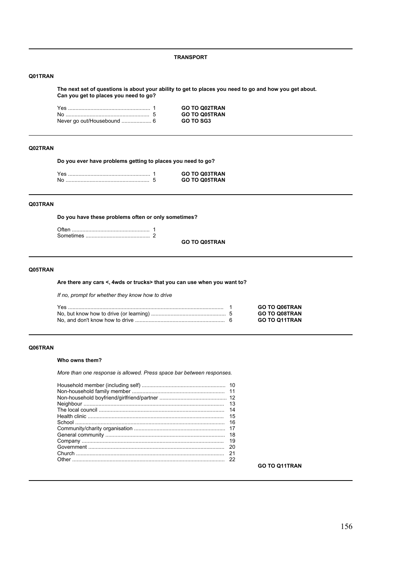**TRANSPORT**

# **Q01TRAN**

**The next set of questions is about your ability to get to places you need to go and how you get about. Can you get to places you need to go?**

|  | <b>GO TO Q02TRAN</b> |
|--|----------------------|
|  | <b>GO TO Q05TRAN</b> |
|  | GO TO SG3            |

# **Q02TRAN**

**Do you ever have problems getting to places you need to go?**

| Yes | <b>GO TO Q03TRAN</b> |
|-----|----------------------|
| No  | <b>GO TO Q05TRAN</b> |

# **Q03TRAN**

**Do you have these problems often or only sometimes?**

**GO TO Q05TRAN**

# **Q05TRAN**

**Are there any cars <, 4wds or trucks> that you can use when you want to?**

*If no, prompt for whether they know how to drive*

|  | <b>GO TO Q06TRAN</b> |
|--|----------------------|
|  | <b>GO TO Q08TRAN</b> |
|  | <b>GO TO Q11TRAN</b> |

# **Q06TRAN**

### **Who owns them?**

*More than one response is allowed. Press space bar between responses.*

| -13 |
|-----|
| 14  |
| 15  |
| 16  |
|     |
| 18  |
| 19  |
| 20  |
| 21  |
| 22  |
|     |

### **GO TO Q11TRAN**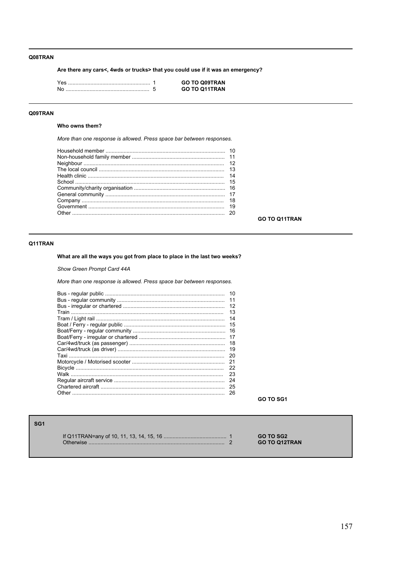### Q08TRAN

Are there any cars<, 4wds or trucks> that you could use if it was an emergency?

|     | <b>GO TO Q09TRAN</b> |
|-----|----------------------|
| .No | <b>GO TO Q11TRAN</b> |

# Q09TRAN

# Who owns them?

More than one response is allowed. Press space bar between responses.

| 14 |
|----|
|    |
|    |
|    |
| 18 |
| 19 |
|    |
|    |

**GO TO Q11TRAN** 

# Q11TRAN

What are all the ways you got from place to place in the last two weeks?

Show Green Prompt Card 44A

More than one response is allowed. Press space bar between responses.

| 10<br>11<br>12<br>13<br>14<br>15<br>16<br>17<br>18<br>19<br>20 |
|----------------------------------------------------------------|
|                                                                |
|                                                                |
|                                                                |
|                                                                |
|                                                                |
| 21                                                             |
| 22                                                             |
| 23                                                             |
| 24                                                             |
| 25                                                             |
| 26                                                             |
|                                                                |

GO TO SG1

# SG<sub>1</sub>

**GO TO SG2** GO TO Q12TRAN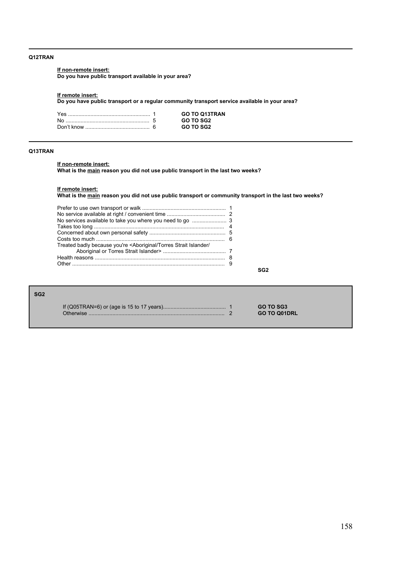### **Q12TRAN**

### **If non-remote insert:**

**Do you have public transport available in your area?**

#### **If remote insert:**

**Do you have public transport or a regular community transport service available in your area?**

|  | <b>GO TO Q13TRAN</b> |
|--|----------------------|
|  | GO TO SG2            |
|  | GO TO SG2            |

# **Q13TRAN**

### **If non-remote insert:**

**What is the main reason you did not use public transport in the last two weeks?**

#### **If remote insert:**

**What is the main reason you did not use public transport or community transport in the last two weeks?**

| Treated badly because you're <aboriginal <="" islander="" strait="" td="" torres=""><td></td></aboriginal> |  |
|------------------------------------------------------------------------------------------------------------|--|
|                                                                                                            |  |
|                                                                                                            |  |
|                                                                                                            |  |

**SG2**

| SG <sub>2</sub> |           |                                  |
|-----------------|-----------|----------------------------------|
|                 | Otherwise | GO TO SG3<br><b>GO TO Q01DRL</b> |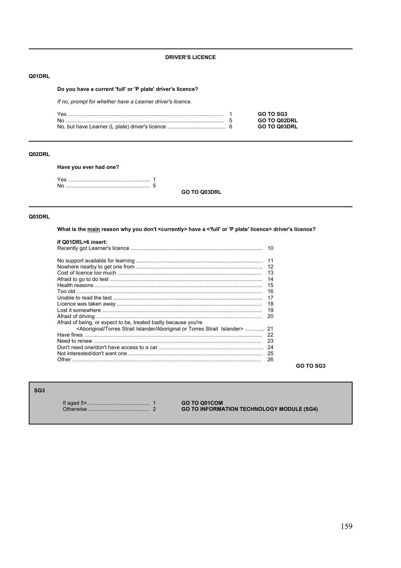### **DRIVER'S LICENCE**

# Q01DRL

# Do you have a current 'full' or 'P plate' driver's licence?

If no, prompt for whether have a Learner driver's licence.

| Yes | GO TO SG3           |
|-----|---------------------|
|     | <b>GO TO Q02DRL</b> |
|     | <b>GO TO Q03DRL</b> |

# Q02DRL

### Have you ever had one?

GO TO Q03DRL

### Q03DRL

What is the main reason why you don't <currently> have a <'full' or 'P plate' licence> driver's licence?

| If Q01DRL=6 insert:                                                            | 10 |
|--------------------------------------------------------------------------------|----|
|                                                                                | 11 |
|                                                                                | 12 |
|                                                                                | 13 |
|                                                                                | 14 |
|                                                                                | 15 |
|                                                                                | 16 |
|                                                                                | 17 |
|                                                                                | 18 |
|                                                                                | 19 |
|                                                                                | 20 |
| Afraid of being, or expect to be, treated badly because you're                 |    |
| <aboriginal aboriginal="" islander="" or="" strait="" torres=""> </aboriginal> | 21 |
|                                                                                | 22 |
|                                                                                | 23 |
|                                                                                | 24 |
|                                                                                | 25 |
| Other                                                                          | 26 |

GO TO SG3

# SG<sub>3</sub>

GO TO Q01COM **GO TO INFORMATION TECHNOLOGY MODULE (SG4)**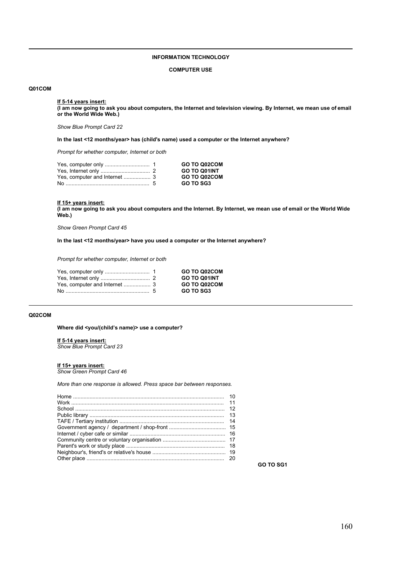# **INFORMATION TECHNOLOGY**

#### **COMPUTER USE**

### **Q01COM**

#### **If 5-14 years insert:**

**(I am now going to ask you about computers, the Internet and television viewing. By Internet, we mean use of email or the World Wide Web.)**

*Show Blue Prompt Card 22*

**In the last <12 months/year> has (child's name) used a computer or the Internet anywhere?**

*Prompt for whether computer, Internet or both*

|  | GO TO Q02COM        |
|--|---------------------|
|  | <b>GO TO Q01INT</b> |
|  | GO TO Q02COM        |
|  | <b>GO TO SG3</b>    |

### **If 15+ years insert:**

**(I am now going to ask you about computers and the Internet. By Internet, we mean use of email or the World Wide Web.)**

*Show Green Prompt Card 45*

**In the last <12 months/year> have you used a computer or the Internet anywhere?**

*Prompt for whether computer, Internet or both*

|  | GO TO Q02COM     |
|--|------------------|
|  | GO TO Q01INT     |
|  | GO TO Q02COM     |
|  | <b>GO TO SG3</b> |

# **Q02COM**

Where did <you/(child's name)> use a computer?

**If 5-14 years insert:** *Show Blue Prompt Card 23*

### **If 15+ years insert:**

*Show Green Prompt Card 46*

*More than one response is allowed. Press space bar between responses.*

**GO TO SG1**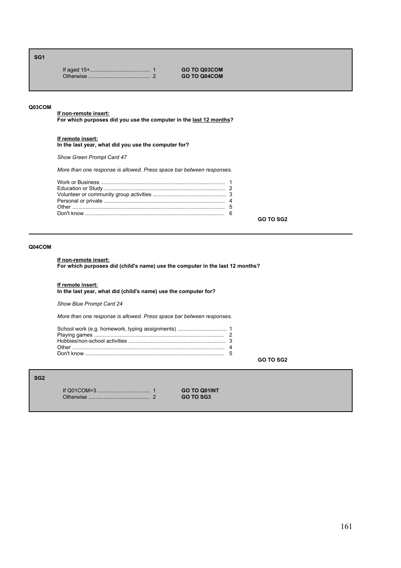### **SG1**

If aged 15+........................................ 1 **GO TO Q03COM**  $GO TO Q04COM$ 

### **Q03COM**

**If non-remote insert: For which purposes did you use the computer in the last 12 months?**

### **If remote insert:**

**In the last year, what did you use the computer for?**

*Show Green Prompt Card 47*

*More than one response is allowed. Press space bar between responses.*

**GO TO SG2**

# **Q04COM**

### **If non-remote insert:**

**For which purposes did (child's name) use the computer in the last 12 months?**

### **If remote insert:**

**In the last year, what did (child's name) use the computer for?**

*Show Blue Prompt Card 24*

*More than one response is allowed. Press space bar between responses.*

| School work (e.g. homework, typing assignments)  1 |  |
|----------------------------------------------------|--|
|                                                    |  |
|                                                    |  |

**GO TO SG2**

# **SG2**

If Q01COM=3 ................................... 1 **GO TO Q01INT** Otherwise ......................................... 2 **GO TO SG3**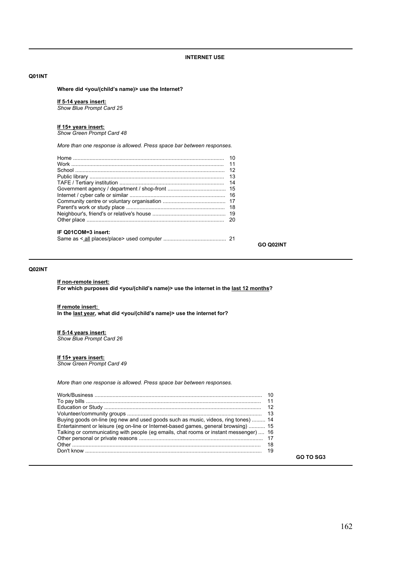### **Q01INT**

Where did <you/(child's name)> use the Internet?

#### **If 5-14 years insert:**

*Show Blue Prompt Card 25*

#### **If 15+ years insert:**

*Show Green Prompt Card 48*

*More than one response is allowed. Press space bar between responses.*

|                     | 10 |
|---------------------|----|
|                     | 11 |
|                     | 12 |
|                     | 13 |
|                     | 14 |
|                     |    |
|                     | 16 |
|                     |    |
|                     | 18 |
|                     |    |
|                     | 20 |
| IF Q01COM=3 insert: |    |
|                     |    |

### **Q02INT**

#### **If non-remote insert:**

For which purposes did <you/(child's name)> use the internet in the <u>last 12 months</u>?

#### **If remote insert:**

In the last year, what did <you/(child's name)> use the internet for?

# **If 5-14 years insert:**

*Show Blue Prompt Card 26*

#### **If 15+ years insert:**

*Show Green Prompt Card 49*

*More than one response is allowed. Press space bar between responses.*

| Buying goods on-line (eg new and used goods such as music, videos, ring tones)  14    |  |
|---------------------------------------------------------------------------------------|--|
| Entertainment or leisure (eq on-line or Internet-based games, general browsing)  15   |  |
| Talking or communicating with people (eq emails, chat rooms or instant messenger)  16 |  |
|                                                                                       |  |
|                                                                                       |  |
|                                                                                       |  |
|                                                                                       |  |

**GO TO SG3**

**GO Q02INT**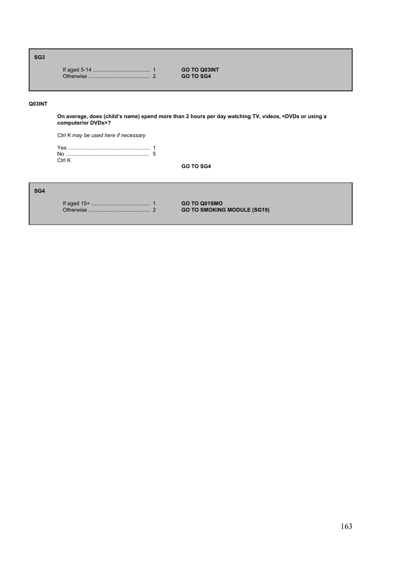# **SG3**

|  | <b>GO TO Q03INT</b> |
|--|---------------------|
|  | <b>GO TO SG4</b>    |

# **Q03INT**

**On average, does (childís name) spend more than 2 hours per day watching TV, videos, <DVDs or using a computer/or DVDs>?**

*Ctrl K may be used here if necessary*

| Ctrl K |  |
|--------|--|

**GO TO SG4**

# **SG4**

If aged 15+ ....................................... 1 **GO TO Q01SMO** Otherwise ......................................... 2 **GO TO SMOKING MODULE (SG19)**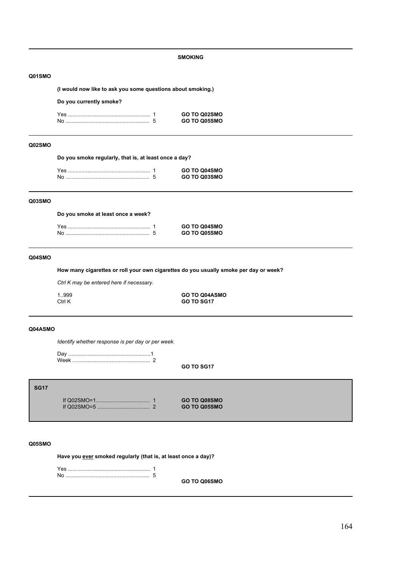### **SMOKING**

### **Q01SMO**

**(I would now like to ask you some questions about smoking.)**

### **Do you currently smoke?**

| Yes | GO TO Q02SMO        |
|-----|---------------------|
| No  | <b>GO TO Q05SMO</b> |

# **Q02SMO**

**Do you smoke regularly, that is, at least once a day?**

|  | GO TO Q04SMO |
|--|--------------|
|  | GO TO Q03SMO |

### **Q03SMO**

**Do you smoke at least once a week?**

|     | <b>GO TO Q04SMO</b> |
|-----|---------------------|
| .No | <b>GO TO Q05SMO</b> |

# **Q04SMO**

**How many cigarettes or roll your own cigarettes do you usually smoke per day or week?**

*Ctrl K may be entered here if necessary.*

1..999 **GO TO Q04ASMO** GO TO SG17

### **Q04ASMO**

*Identify whether response is per day or per week.*

Day .......................................................1 Week .................................................... 2

**GO TO SG17**

**SG17**

If Q02SMO=1.................................... 1 **GO TO Q08SMO** If Q02SMO=5 ................................... 2 **GO TO Q05SMO**

### **Q05SMO**

**Have you ever smoked regularly (that is, at least once a day)?**

Yes ....................................................... 1 No ........................................................ 5

**GO TO Q06SMO**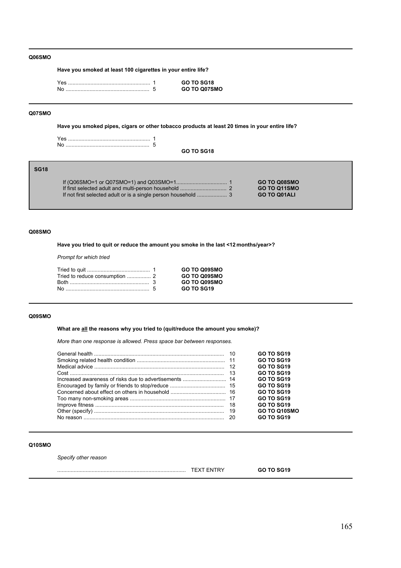### **Q06SMO**

**Have you smoked at least 100 cigarettes in your entire life?**

|  | GO TO SG18   |
|--|--------------|
|  | GO TO Q07SMO |

# **Q07SMO**

**Have you smoked pipes, cigars or other tobacco products at least 20 times in your entire life?**

**GO TO SG18**

# **SG18**

|  | <b>GO TO Q08SMO</b> |
|--|---------------------|
|  | GO TO Q11SMO        |
|  | <b>GO TO Q01ALI</b> |

### **Q08SMO**

**Have you tried to quit or reduce the amount you smoke in the last <12 months/year>?**

*Prompt for which tried*

|  | GO TO Q09SMO |
|--|--------------|
|  | GO TO Q09SMO |
|  | GO TO Q09SMO |
|  | GO TO SG19   |

### **Q09SMO**

**What are all the reasons why you tried to (quit/reduce the amount you smoke)?**

*More than one response is allowed. Press space bar between responses.*

|  | <b>GO TO SG19</b> |
|--|-------------------|
|  | <b>GO TO SG19</b> |
|  | GO TO SG19        |
|  | <b>GO TO SG19</b> |
|  | <b>GO TO SG19</b> |
|  | GO TO SG19        |
|  | <b>GO TO SG19</b> |
|  | GO TO SG19        |
|  | GO TO SG19        |
|  | GO TO Q10SMO      |
|  | <b>GO TO SG19</b> |

### **Q10SMO**

*Specify other reason*

| . | 7.18 |
|---|------|
|   |      |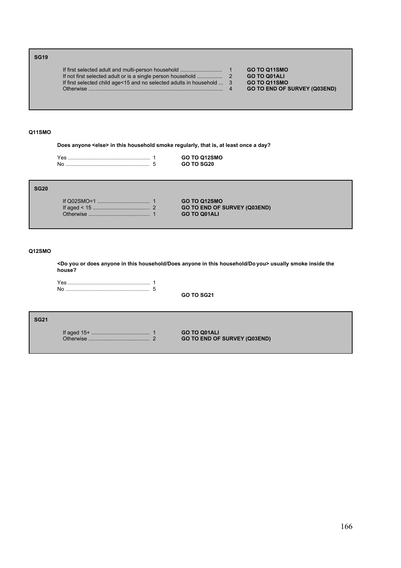# **SG19**

|                                                                         | GO TO Q11SMO                        |
|-------------------------------------------------------------------------|-------------------------------------|
|                                                                         | <b>GO TO Q01ALI</b>                 |
| If first selected child age < 15 and no selected adults in household  3 | GO TO Q11SMO                        |
|                                                                         | <b>GO TO END OF SURVEY (Q03END)</b> |

# **Q11SMO**

**Does anyone <else> in this household smoke regularly, that is, at least once a day?**

|    | <b>GO TO Q12SMO</b> |
|----|---------------------|
| No | GO TO SG20          |

# **SG20**

|  | <b>GO TO Q12SMO</b>                 |
|--|-------------------------------------|
|  | <b>GO TO END OF SURVEY (Q03END)</b> |
|  | <b>GO TO Q01ALI</b>                 |

# **Q12SMO**

**<Do you or does anyone in this household/Does anyone in this household/Do you> usually smoke inside the house?**

**GO TO SG21**

**SG21**

If aged 15+ ....................................... 1 **GO TO Q01ALI GO TO END OF SURVEY (Q03END)**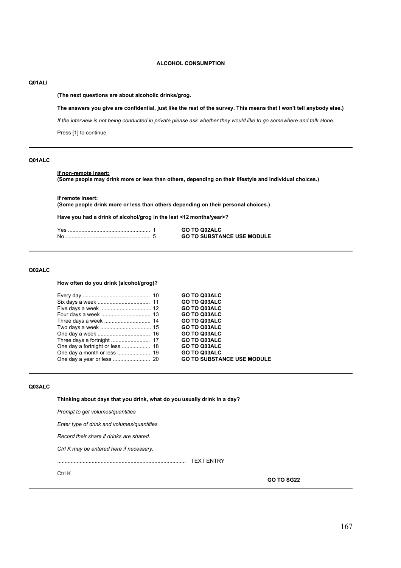### **ALCOHOL CONSUMPTION**

# **Q01ALI**

**(The next questions are about alcoholic drinks/grog.**

**The answers you give are confidential, just like the rest of the survey. This means that I won't tell anybody else.)** 

*If the interview is not being conducted in private please ask whether they would like to go somewhere and talk alone.*

Press [1] to continue

# **Q01ALC**

# **If non-remote insert:**

**(Some people may drink more or less than others, depending on their lifestyle and individual choices.)**

**If remote insert: (Some people drink more or less than others depending on their personal choices.)**

**Have you had a drink of alcohol/grog in the last <12 months/year>?**

| Yes | <b>GO TO Q02ALC</b>               |
|-----|-----------------------------------|
| No  | <b>GO TO SUBSTANCE USE MODULE</b> |

### **Q02ALC**

**How often do you drink (alcohol/grog)?**

|  | <b>GO TO Q03ALC</b>               |
|--|-----------------------------------|
|  | GO TO Q03ALC                      |
|  | <b>GO TO Q03ALC</b>               |
|  | <b>GO TO Q03ALC</b>               |
|  | <b>GO TO Q03ALC</b>               |
|  | GO TO Q03ALC                      |
|  | GO TO Q03ALC                      |
|  | <b>GO TO Q03ALC</b>               |
|  | GO TO Q03ALC                      |
|  | <b>GO TO Q03ALC</b>               |
|  | <b>GO TO SUBSTANCE USE MODULE</b> |
|  |                                   |

### **Q03ALC**

**Thinking about days that you drink, what do you usually drink in a day?**

*Prompt to get volumes/quantities*

*Enter type of drink and volumes/quantities*

*Record their share if drinks are shared.*

*Ctrl K may be entered here if necessary.*

...................................................................................... TEXT ENTRY

Ctrl K

**GO TO SG22**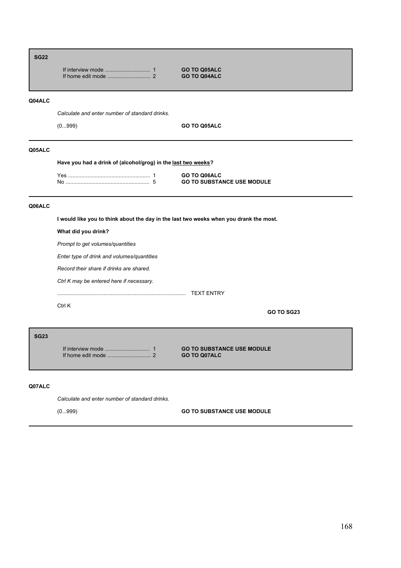# **SG22** If interview mode .............................. 1 **GO TO Q05ALC** If home edit mode ............................. 2 **GO TO Q04ALC Q04ALC** *Calculate and enter number of standard drinks.* (0...999) **GO TO Q05ALC Q05ALC Have you had a drink of (alcohol/grog) in the last two weeks?** Yes ....................................................... 1 **GO TO Q06ALC** No ........................................................ 5 **GO TO SUBSTANCE USE MODULE Q06ALC**

**I would like you to think about the day in the last two weeks when you drank the most.** 

**What did you drink?**

*Prompt to get volumes/quantities*

*Enter type of drink and volumes/quantities*

*Record their share if drinks are shared.*

*Ctrl K may be entered here if necessary.*

...................................................................................... TEXT ENTRY

Ctrl K

**GO TO SG23**

**SG23** If home edit mode ............................. 2 **GO TO Q07ALC**

If interview mode .............................. 1 **GO TO SUBSTANCE USE MODULE**

### **Q07ALC**

*Calculate and enter number of standard drinks.*

(0...999) **GO TO SUBSTANCE USE MODULE**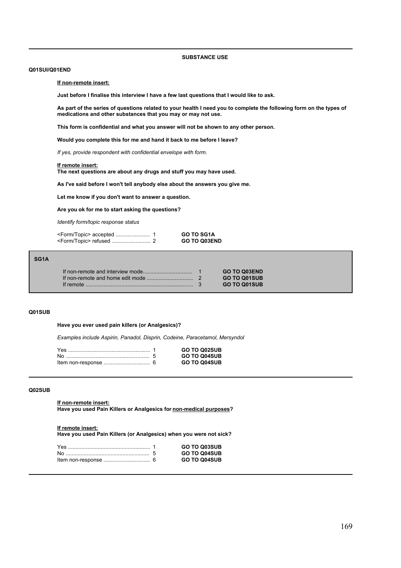### **SUBSTANCE USE**

### **Q01SUI/Q01END**

**If non-remote insert:**

**Just before I finalise this interview I have a few last questions that I would like to ask.**

**As part of the series of questions related to your health I need you to complete the following form on the types of medications and other substances that you may or may not use.**

**This form is confidential and what you answer will not be shown to any other person.**

**Would you complete this for me and hand it back to me before I leave?**

*If yes, provide respondent with confidential envelope with form.*

### **If remote insert:**

**The next questions are about any drugs and stuff you may have used.**

**As I've said before I won't tell anybody else about the answers you give me.**

**Let me know if you don't want to answer a question.**

**Are you ok for me to start asking the questions?**

*Identify form/topic response status*

| <b>GO TO SG1A</b>   |
|---------------------|
| <b>GO TO Q03END</b> |

### **SG1A**

|  | <b>GO TO Q03END</b> |
|--|---------------------|
|  | <b>GO TO Q01SUB</b> |
|  | <b>GO TO Q01SUB</b> |

#### **Q01SUB**

### **Have you ever used pain killers (or Analgesics)?**

*Examples include Aspirin, Panadol, Disprin, Codeine, Paracetamol, Mersyndol* 

|  | <b>GO TO Q02SUB</b> |
|--|---------------------|
|  | <b>GO TO Q04SUB</b> |
|  | <b>GO TO Q04SUB</b> |

### **Q02SUB**

**If non-remote insert:**

**Have you used Pain Killers or Analgesics for non-medical purposes?**

#### **If remote insert:**

**Have you used Pain Killers (or Analgesics) when you were not sick?**

|  | <b>GO TO Q03SUB</b> |
|--|---------------------|
|  | <b>GO TO Q04SUB</b> |
|  | <b>GO TO Q04SUB</b> |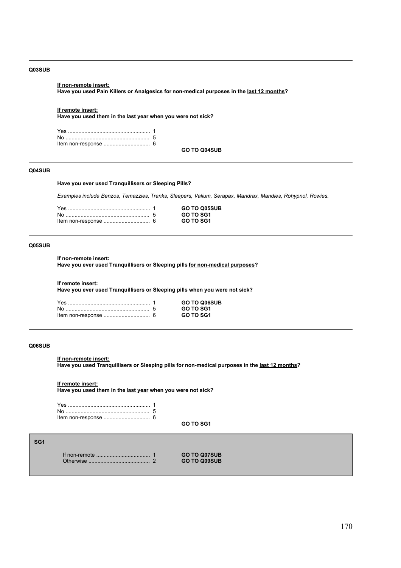### **Q03SUB**

### **If non-remote insert:**

**Have you used Pain Killers or Analgesics for non-medical purposes in the last 12 months?**

### **If remote insert:**

**Have you used them in the last year when you were not sick?**

**GO TO Q04SUB**

### **Q04SUB**

### **Have you ever used Tranquillisers or Sleeping Pills?**

*Examples include Benzos, Temazzies, Tranks, Sleepers, Valium, Serapax, Mandrax, Mandies, Rohypnol, Rowies.*

|  | <b>GO TO Q05SUB</b> |
|--|---------------------|
|  | GO TO SG1           |
|  | GO TO SG1           |

### **Q05SUB**

### **If non-remote insert:**

**Have you ever used Tranquillisers or Sleeping pills for non-medical purposes?**

### **If remote insert:**

**Have you ever used Tranquillisers or Sleeping pills when you were not sick?**

|    | <b>GO TO Q06SUB</b> |
|----|---------------------|
| N∩ | GO TO SG1           |
|    | GO TO SG1           |

### **Q06SUB**

### **If non-remote insert:**

**Have you used Tranquillisers or Sleeping pills for non-medical purposes in the last 12 months?**

#### **If remote insert:**

**Have you used them in the last year when you were not sick?**

**GO TO SG1**

# **SG1**

|  | <b>GO TO Q07SUB</b> |
|--|---------------------|
|  | <b>GO TO Q09SUB</b> |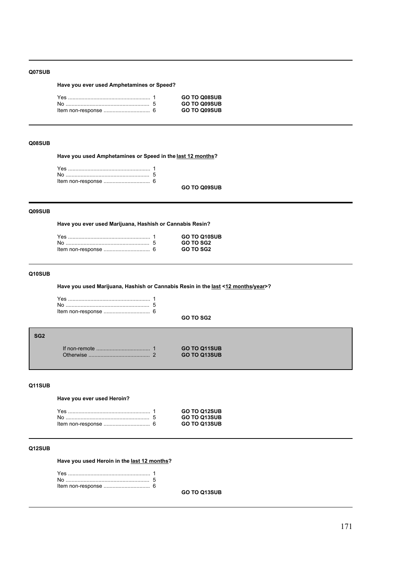### **Q07SUB**

# **Have you ever used Amphetamines or Speed?**

|  | <b>GO TO Q08SUB</b> |
|--|---------------------|
|  | <b>GO TO Q09SUB</b> |
|  | <b>GO TO Q09SUB</b> |

### **Q08SUB**

**Have you used Amphetamines or Speed in the last 12 months?**

**GO TO Q09SUB**

# **Q09SUB**

**Have you ever used Marijuana, Hashish or Cannabis Resin?**

|  | <b>GO TO Q10SUB</b> |
|--|---------------------|
|  | <b>GO TO SG2</b>    |
|  | <b>GO TO SG2</b>    |

# **Q10SUB**

**Have you used Marijuana, Hashish or Cannabis Resin in the last <12 months/year>?**

**GO TO SG2**

| ۰. |    |
|----|----|
|    | ۰. |
|    |    |

|  | <b>GO TO Q11SUB</b> |
|--|---------------------|
|  | <b>GO TO Q13SUB</b> |

### **Q11SUB**

# **Have you ever used Heroin?**

|  | <b>GO TO Q12SUB</b> |
|--|---------------------|
|  | <b>GO TO Q13SUB</b> |
|  | <b>GO TO Q13SUB</b> |

# **Q12SUB**

**Have you used Heroin in the last 12 months?**

**GO TO Q13SUB**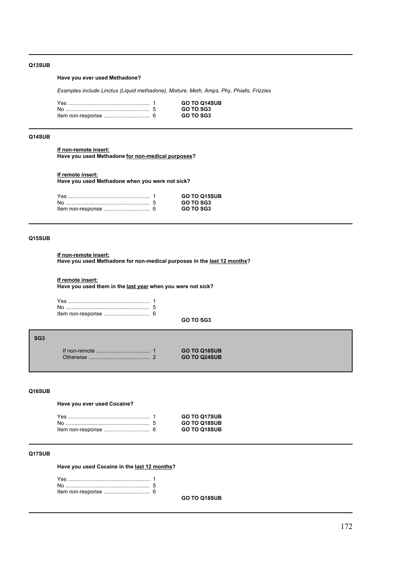# **Q13SUB**

# **Have you ever used Methadone?**

*Examples include Linctus (Liquid methadone), Mixture, Meth, Amps, Phy, Phialls, Frizzies*

|  | <b>GO TO Q14SUB</b> |
|--|---------------------|
|  | GO TO SG3           |
|  | <b>GO TO SG3</b>    |

# **Q14SUB**

**If non-remote insert: Have you used Methadone for non-medical purposes?**

### **If remote insert:**

**Have you used Methadone when you were not sick?**

|  | <b>GO TO Q15SUB</b> |
|--|---------------------|
|  | GO TO SG3           |
|  | GO TO SG3           |

# **Q15SUB**

### **If non-remote insert:**

**Have you used Methadone for non-medical purposes in the last 12 months?**

### **If remote insert:**

**Have you used them in the last year when you were not sick?**

#### **GO TO SG3**

| SG3 |           |                     |  |
|-----|-----------|---------------------|--|
|     |           | <b>GO TO Q16SUB</b> |  |
|     | Otherwise | <b>GO TO Q24SUB</b> |  |

# **Q16SUB**

**Have you ever used Cocaine?**

|  | <b>GO TO Q17SUB</b> |
|--|---------------------|
|  | <b>GO TO Q18SUB</b> |
|  | <b>GO TO Q18SUB</b> |

# **Q17SUB**

**Have you used Cocaine in the last 12 months?**

**GO TO Q18SUB**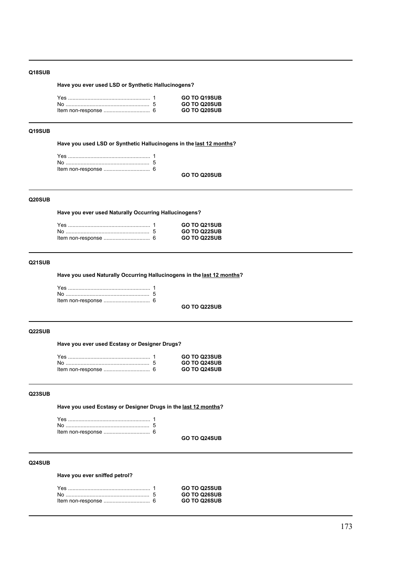### **Q18SUB**

**Have you ever used LSD or Synthetic Hallucinogens?**

| <b>GO TO Q19SUB</b> |
|---------------------|
| <b>GO TO Q20SUB</b> |
| <b>GO TO Q20SUB</b> |
|                     |

### **Q19SUB**

**Have you used LSD or Synthetic Hallucinogens in the last 12 months?**

|  | GO TO 020SUB |
|--|--------------|

# **Q20SUB**

**Have you ever used Naturally Occurring Hallucinogens?**

|  | <b>GO TO Q21SUB</b> |
|--|---------------------|
|  | <b>GO TO Q22SUB</b> |
|  | <b>GO TO Q22SUB</b> |

# **Q21SUB**

**Have you used Naturally Occurring Hallucinogens in the last 12 months?**

**GO TO Q22SUB**

### **Q22SUB**

**Have you ever used Ecstasy or Designer Drugs?**

|  | <b>GO TO Q23SUB</b> |
|--|---------------------|
|  | <b>GO TO Q24SUB</b> |
|  | <b>GO TO Q24SUB</b> |

### **Q23SUB**

**Have you used Ecstasy or Designer Drugs in the last 12 months?**

**GO TO Q24SUB**

# **Q24SUB**

**Have you ever sniffed petrol?**

|  | <b>GO TO Q25SUB</b> |
|--|---------------------|
|  | <b>GO TO Q26SUB</b> |
|  | <b>GO TO Q26SUB</b> |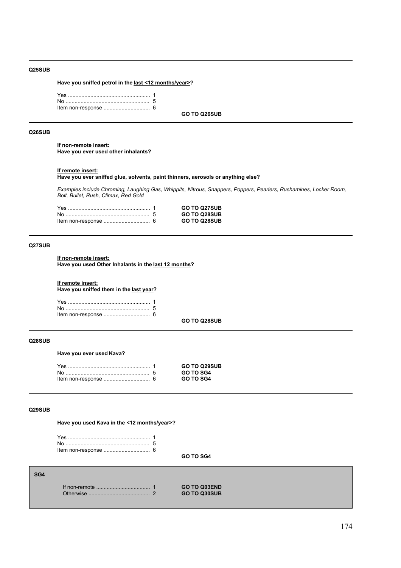### **Q25SUB**

**Have you sniffed petrol in the last <12 months/year>?**

**GO TO Q26SUB**

### **Q26SUB**

**If non-remote insert: Have you ever used other inhalants?**

#### **If remote insert:**

**Have you ever sniffed glue, solvents, paint thinners, aerosols or anything else?**

*Examples include Chroming, Laughing Gas, Whippits, Nitrous, Snappers, Poppers, Pearlers, Rushamines, Locker Room, Bolt, Bullet, Rush, Climax, Red Gold*

|  | <b>GO TO Q27SUB</b> |
|--|---------------------|
|  | <b>GO TO Q28SUB</b> |
|  | <b>GO TO Q28SUB</b> |

# **Q27SUB**

**If non-remote insert:**

**Have you used Other Inhalants in the last 12 months?**

**If remote insert:**

**Have you sniffed them in the last year?**

**GO TO Q28SUB**

**GO TO SG4**

### **Q28SUB**

**Have you ever used Kava?**

|  | <b>GO TO Q29SUB</b> |
|--|---------------------|
|  | <b>GO TO SG4</b>    |
|  | <b>GO TO SG4</b>    |

# **Q29SUB**

**Have you used Kava in the <12 months/year>?**

# **SG4**

|  | <b>GO TO Q03END</b> |
|--|---------------------|
|  | <b>GO TO Q30SUB</b> |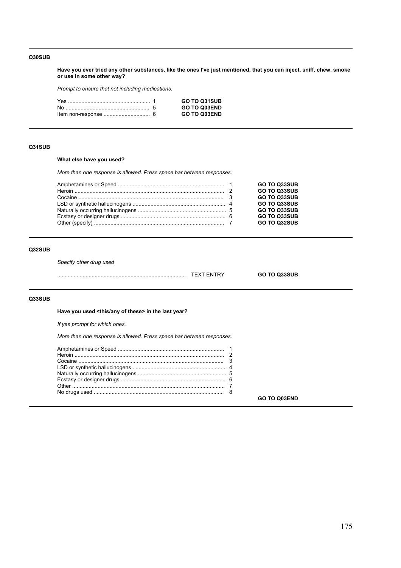### **Q30SUB**

**Have you ever tried any other substances, like the ones I've just mentioned, that you can inject, sniff, chew, smoke or use in some other way?**

*Prompt to ensure that not including medications.*

|  | <b>GO TO Q31SUB</b> |
|--|---------------------|
|  | <b>GO TO Q03END</b> |
|  | <b>GO TO Q03END</b> |

# **Q31SUB**

# **What else have you used?**

*More than one response is allowed. Press space bar between responses.*

|  | <b>GO TO Q33SUB</b> |
|--|---------------------|
|  | <b>GO TO Q33SUB</b> |
|  | <b>GO TO Q33SUB</b> |
|  | <b>GO TO Q33SUB</b> |
|  | <b>GO TO Q33SUB</b> |
|  | <b>GO TO Q33SUB</b> |
|  | <b>GO TO Q32SUB</b> |
|  |                     |

# **Q32SUB**

*Specify other drug used*

| -----<br>- - |  |
|--------------|--|
|              |  |

# **Q33SUB**

**Have you used <this/any of these> in the last year?**

*If yes prompt for which ones.*

*More than one response is allowed. Press space bar between responses.*

**GO TO Q03END**